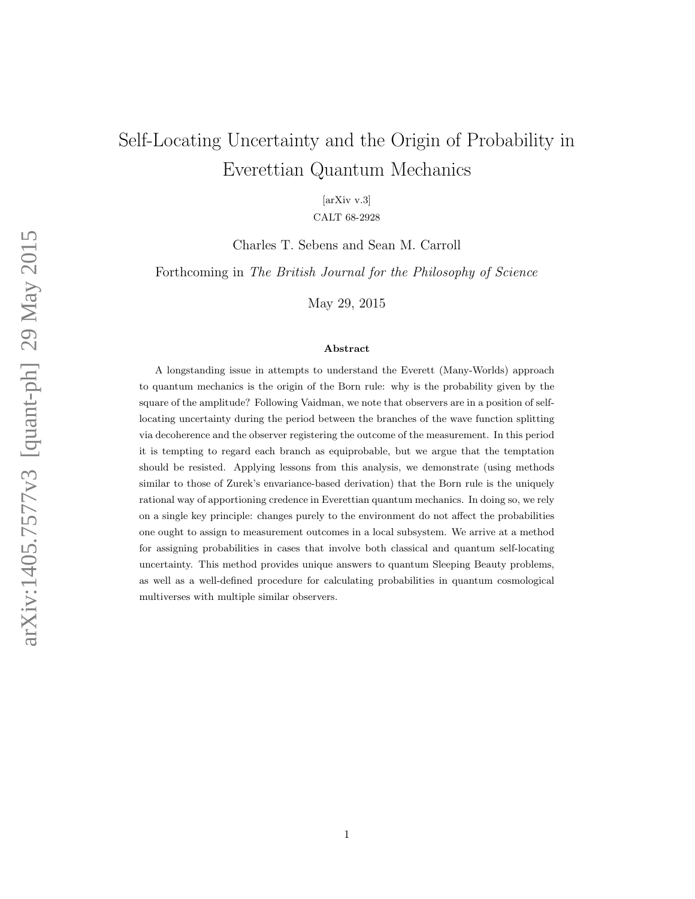# Self-Locating Uncertainty and the Origin of Probability in Everettian Quantum Mechanics

[arXiv v.3]

CALT 68-2928

Charles T. Sebens and Sean M. Carroll

Forthcoming in The British Journal for the Philosophy of Science

May 29, 2015

#### Abstract

A longstanding issue in attempts to understand the Everett (Many-Worlds) approach to quantum mechanics is the origin of the Born rule: why is the probability given by the square of the amplitude? Following Vaidman, we note that observers are in a position of selflocating uncertainty during the period between the branches of the wave function splitting via decoherence and the observer registering the outcome of the measurement. In this period it is tempting to regard each branch as equiprobable, but we argue that the temptation should be resisted. Applying lessons from this analysis, we demonstrate (using methods similar to those of Zurek's envariance-based derivation) that the Born rule is the uniquely rational way of apportioning credence in Everettian quantum mechanics. In doing so, we rely on a single key principle: changes purely to the environment do not affect the probabilities one ought to assign to measurement outcomes in a local subsystem. We arrive at a method for assigning probabilities in cases that involve both classical and quantum self-locating uncertainty. This method provides unique answers to quantum Sleeping Beauty problems, as well as a well-defined procedure for calculating probabilities in quantum cosmological multiverses with multiple similar observers.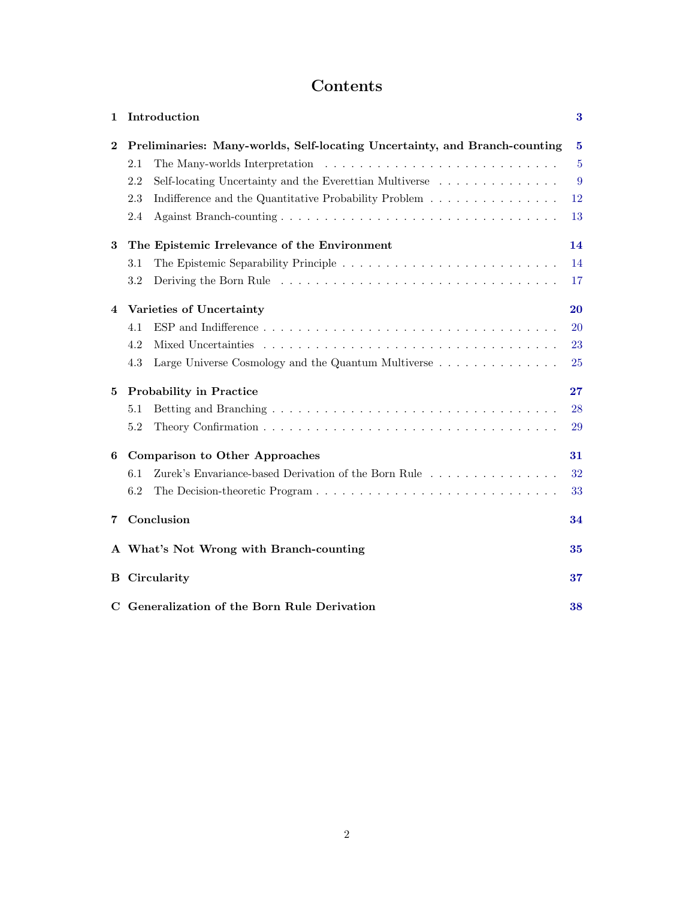# Contents

| 1        | Introduction                                                                                                    | 3              |
|----------|-----------------------------------------------------------------------------------------------------------------|----------------|
| $\bf{2}$ | Preliminaries: Many-worlds, Self-locating Uncertainty, and Branch-counting                                      | 5              |
|          | 2.1                                                                                                             | $\overline{5}$ |
|          | 2.2<br>Self-locating Uncertainty and the Everettian Multiverse                                                  | 9              |
|          | Indifference and the Quantitative Probability Problem<br>2.3                                                    | 12             |
|          | 2.4                                                                                                             | 13             |
| 3        | The Epistemic Irrelevance of the Environment                                                                    | 14             |
|          | 3.1                                                                                                             | 14             |
|          | 3.2                                                                                                             | 17             |
| 4        | Varieties of Uncertainty                                                                                        | 20             |
|          | 4.1                                                                                                             | 20             |
|          | 4.2                                                                                                             | 23             |
|          | 4.3<br>Large Universe Cosmology and the Quantum Multiverse $\dots \dots \dots \dots \dots$                      | 25             |
| 5        | <b>Probability in Practice</b>                                                                                  | $\bf 27$       |
|          | 5.1                                                                                                             | 28             |
|          | 5.2                                                                                                             | 29             |
| 6        | <b>Comparison to Other Approaches</b>                                                                           | 31             |
|          | Zurek's Envariance-based Derivation of the Born Rule<br>6.1                                                     | 32             |
|          | The Decision-theoretic Program $\dots \dots \dots \dots \dots \dots \dots \dots \dots \dots \dots \dots$<br>6.2 | 33             |
| 7        | Conclusion                                                                                                      | 34             |
|          | A What's Not Wrong with Branch-counting                                                                         | 35             |
| B.       | Circularity                                                                                                     | 37             |
|          | C Generalization of the Born Rule Derivation                                                                    | 38             |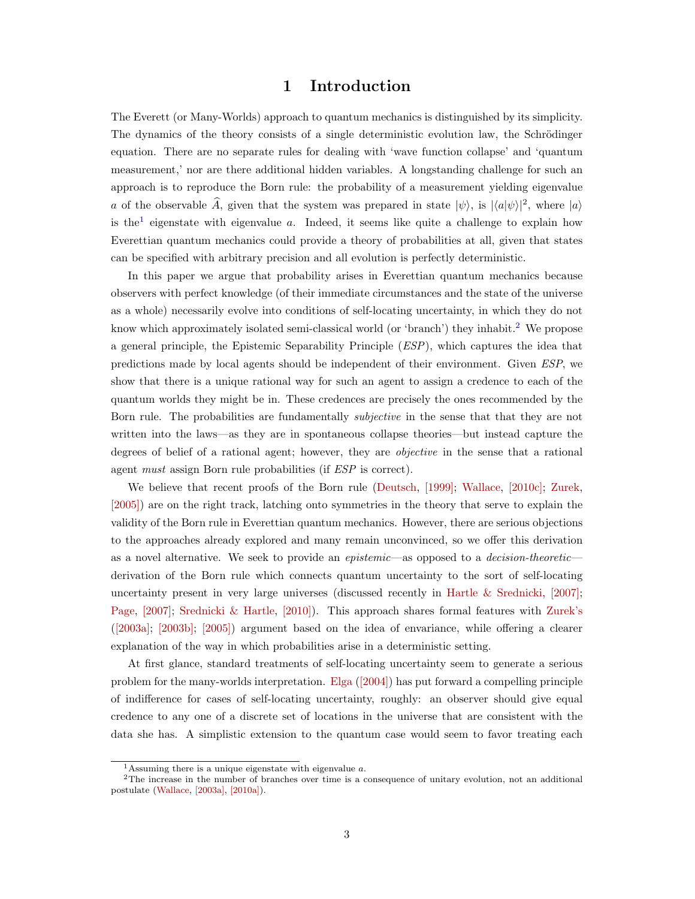## 1 Introduction

<span id="page-2-0"></span>The Everett (or Many-Worlds) approach to quantum mechanics is distinguished by its simplicity. The dynamics of the theory consists of a single deterministic evolution law, the Schrödinger equation. There are no separate rules for dealing with 'wave function collapse' and 'quantum measurement,' nor are there additional hidden variables. A longstanding challenge for such an approach is to reproduce the Born rule: the probability of a measurement yielding eigenvalue a of the observable  $\hat{A}$ , given that the system was prepared in state  $|\psi\rangle$ , is  $|\langle a|\psi\rangle|^2$ , where  $|a\rangle$ is the<sup>[1](#page-2-1)</sup> eigenstate with eigenvalue  $a$ . Indeed, it seems like quite a challenge to explain how Everettian quantum mechanics could provide a theory of probabilities at all, given that states can be specified with arbitrary precision and all evolution is perfectly deterministic.

In this paper we argue that probability arises in Everettian quantum mechanics because observers with perfect knowledge (of their immediate circumstances and the state of the universe as a whole) necessarily evolve into conditions of self-locating uncertainty, in which they do not know which approximately isolated semi-classical world (or 'branch') they inhabit.<sup>[2](#page-2-2)</sup> We propose a general principle, the Epistemic Separability Principle (ESP), which captures the idea that predictions made by local agents should be independent of their environment. Given ESP, we show that there is a unique rational way for such an agent to assign a credence to each of the quantum worlds they might be in. These credences are precisely the ones recommended by the Born rule. The probabilities are fundamentally subjective in the sense that that they are not written into the laws—as they are in spontaneous collapse theories—but instead capture the degrees of belief of a rational agent; however, they are *objective* in the sense that a rational agent *must* assign Born rule probabilities (if *ESP* is correct).

We believe that recent proofs of the Born rule [\(Deutsch,](#page-40-0) [\[1999\];](#page-40-0) [Wallace,](#page-43-0) [\[2010c\];](#page-43-0) [Zurek,](#page-43-1) [\[2005\]\)](#page-43-1) are on the right track, latching onto symmetries in the theory that serve to explain the validity of the Born rule in Everettian quantum mechanics. However, there are serious objections to the approaches already explored and many remain unconvinced, so we offer this derivation as a novel alternative. We seek to provide an epistemic—as opposed to a decision-theoretic derivation of the Born rule which connects quantum uncertainty to the sort of self-locating uncertainty present in very large universes (discussed recently in [Hartle & Srednicki,](#page-41-0) [\[2007\];](#page-41-0) [Page,](#page-41-1) [\[2007\];](#page-41-1) [Srednicki & Hartle,](#page-42-0) [\[2010\]\)](#page-42-0). This approach shares formal features with [Zurek's](#page-43-2) [\(\[2003a\];](#page-43-2) [\[2003b\];](#page-43-3) [\[2005\]\)](#page-43-1) argument based on the idea of envariance, while offering a clearer explanation of the way in which probabilities arise in a deterministic setting.

At first glance, standard treatments of self-locating uncertainty seem to generate a serious problem for the many-worlds interpretation. [Elga](#page-40-1) [\(\[2004\]\)](#page-40-1) has put forward a compelling principle of indifference for cases of self-locating uncertainty, roughly: an observer should give equal credence to any one of a discrete set of locations in the universe that are consistent with the data she has. A simplistic extension to the quantum case would seem to favor treating each

<span id="page-2-2"></span><span id="page-2-1"></span><sup>&</sup>lt;sup>1</sup> Assuming there is a unique eigenstate with eigenvalue  $a$ .

 $2$ The increase in the number of branches over time is a consequence of unitary evolution, not an additional postulate [\(Wallace,](#page-42-1) [\[2003a\],](#page-42-1) [\[2010a\]\)](#page-43-4).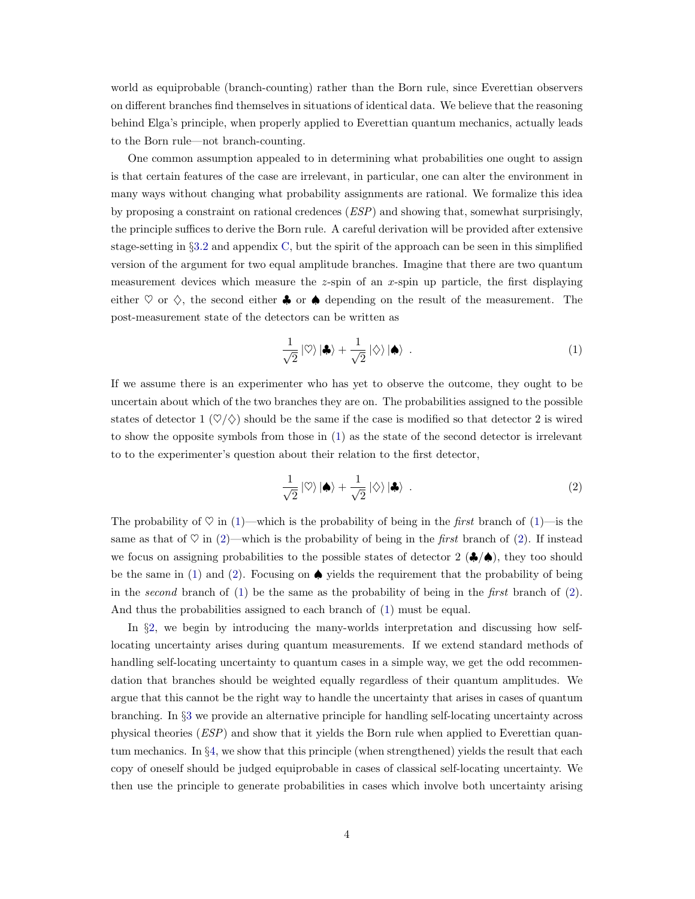world as equiprobable (branch-counting) rather than the Born rule, since Everettian observers on different branches find themselves in situations of identical data. We believe that the reasoning behind Elga's principle, when properly applied to Everettian quantum mechanics, actually leads to the Born rule—not branch-counting.

One common assumption appealed to in determining what probabilities one ought to assign is that certain features of the case are irrelevant, in particular, one can alter the environment in many ways without changing what probability assignments are rational. We formalize this idea by proposing a constraint on rational credences  $(ESP)$  and showing that, somewhat surprisingly, the principle suffices to derive the Born rule. A careful derivation will be provided after extensive stage-setting in §[3.2](#page-16-0) and appendix [C,](#page-37-0) but the spirit of the approach can be seen in this simplified version of the argument for two equal amplitude branches. Imagine that there are two quantum measurement devices which measure the  $z$ -spin of an  $x$ -spin up particle, the first displaying either  $\heartsuit$  or  $\diamondsuit$ , the second either  $\clubsuit$  or  $\spadesuit$  depending on the result of the measurement. The post-measurement state of the detectors can be written as

<span id="page-3-0"></span>
$$
\frac{1}{\sqrt{2}}|\heartsuit\rangle|\clubsuit\rangle + \frac{1}{\sqrt{2}}|\diamondsuit\rangle|\spadesuit\rangle . \tag{1}
$$

If we assume there is an experimenter who has yet to observe the outcome, they ought to be uncertain about which of the two branches they are on. The probabilities assigned to the possible states of detector 1  $(\heartsuit/\Diamond)$  should be the same if the case is modified so that detector 2 is wired to show the opposite symbols from those in [\(1\)](#page-3-0) as the state of the second detector is irrelevant to to the experimenter's question about their relation to the first detector,

<span id="page-3-1"></span>
$$
\frac{1}{\sqrt{2}}|\heartsuit\rangle|\spadesuit\rangle + \frac{1}{\sqrt{2}}|\diamondsuit\rangle|\clubsuit\rangle . \tag{2}
$$

The probability of  $\heartsuit$  in [\(1\)](#page-3-0)—which is the probability of being in the *first* branch of (1)—is the same as that of  $\heartsuit$  in [\(2\)](#page-3-1)—which is the probability of being in the *first* branch of (2). If instead we focus on assigning probabilities to the possible states of detector  $2 \left( \clubsuit / \spadesuit \right)$ , they too should be the same in [\(1\)](#page-3-0) and [\(2\)](#page-3-1). Focusing on  $\spadesuit$  yields the requirement that the probability of being in the second branch of  $(1)$  be the same as the probability of being in the *first* branch of  $(2)$ . And thus the probabilities assigned to each branch of [\(1\)](#page-3-0) must be equal.

In §[2,](#page-4-0) we begin by introducing the many-worlds interpretation and discussing how selflocating uncertainty arises during quantum measurements. If we extend standard methods of handling self-locating uncertainty to quantum cases in a simple way, we get the odd recommendation that branches should be weighted equally regardless of their quantum amplitudes. We argue that this cannot be the right way to handle the uncertainty that arises in cases of quantum branching. In §[3](#page-13-0) we provide an alternative principle for handling self-locating uncertainty across physical theories (ESP) and show that it yields the Born rule when applied to Everettian quantum mechanics. In §[4,](#page-19-0) we show that this principle (when strengthened) yields the result that each copy of oneself should be judged equiprobable in cases of classical self-locating uncertainty. We then use the principle to generate probabilities in cases which involve both uncertainty arising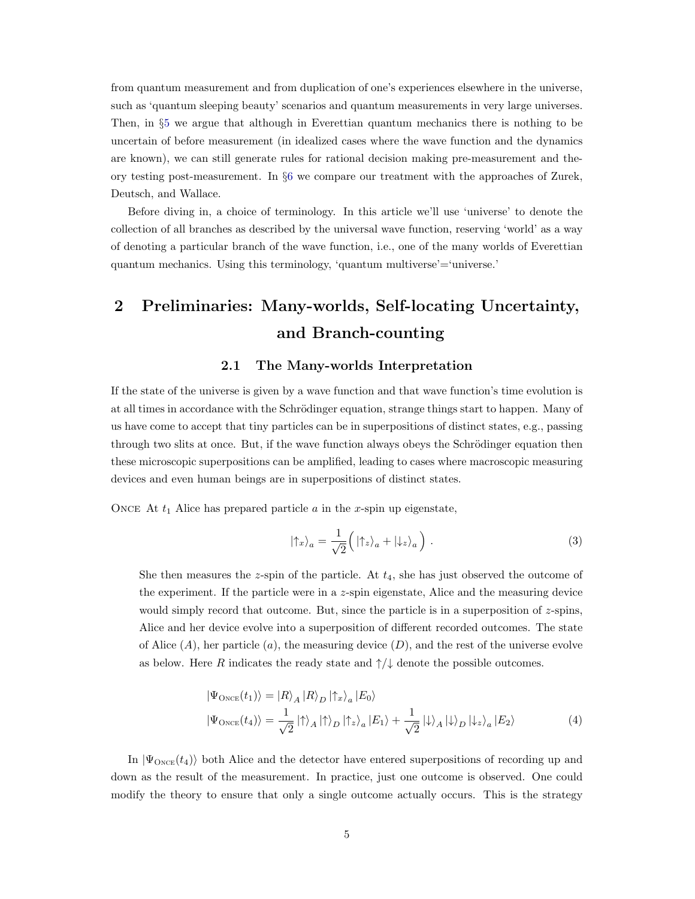from quantum measurement and from duplication of one's experiences elsewhere in the universe, such as 'quantum sleeping beauty' scenarios and quantum measurements in very large universes. Then, in §[5](#page-26-0) we argue that although in Everettian quantum mechanics there is nothing to be uncertain of before measurement (in idealized cases where the wave function and the dynamics are known), we can still generate rules for rational decision making pre-measurement and theory testing post-measurement. In §[6](#page-30-0) we compare our treatment with the approaches of Zurek, Deutsch, and Wallace.

Before diving in, a choice of terminology. In this article we'll use 'universe' to denote the collection of all branches as described by the universal wave function, reserving 'world' as a way of denoting a particular branch of the wave function, i.e., one of the many worlds of Everettian quantum mechanics. Using this terminology, 'quantum multiverse'='universe.'

# <span id="page-4-0"></span>2 Preliminaries: Many-worlds, Self-locating Uncertainty, and Branch-counting

#### 2.1 The Many-worlds Interpretation

<span id="page-4-1"></span>If the state of the universe is given by a wave function and that wave function's time evolution is at all times in accordance with the Schrödinger equation, strange things start to happen. Many of us have come to accept that tiny particles can be in superpositions of distinct states, e.g., passing through two slits at once. But, if the wave function always obeys the Schrödinger equation then these microscopic superpositions can be amplified, leading to cases where macroscopic measuring devices and even human beings are in superpositions of distinct states.

ONCE At  $t_1$  Alice has prepared particle a in the x-spin up eigenstate,

<span id="page-4-2"></span>
$$
|\uparrow_x\rangle_a = \frac{1}{\sqrt{2}} \Big( |\uparrow_z\rangle_a + |\downarrow_z\rangle_a \Big).
$$
 (3)

She then measures the z-spin of the particle. At  $t_4$ , she has just observed the outcome of the experiment. If the particle were in a z-spin eigenstate, Alice and the measuring device would simply record that outcome. But, since the particle is in a superposition of z-spins, Alice and her device evolve into a superposition of different recorded outcomes. The state of Alice  $(A)$ , her particle  $(a)$ , the measuring device  $(D)$ , and the rest of the universe evolve as below. Here R indicates the ready state and  $\uparrow/\downarrow$  denote the possible outcomes.

$$
\begin{aligned} \left| \Psi_{\text{ONCE}}(t_1) \right\rangle &= \left| R \right\rangle_A \left| R \right\rangle_D \left| \uparrow_x \right\rangle_a \left| E_0 \right\rangle \\ \left| \Psi_{\text{ONCE}}(t_4) \right\rangle &= \frac{1}{\sqrt{2}} \left| \uparrow \right\rangle_A \left| \uparrow \right\rangle_D \left| \uparrow_z \right\rangle_a \left| E_1 \right\rangle + \frac{1}{\sqrt{2}} \left| \downarrow \right\rangle_A \left| \downarrow \right\rangle_D \left| \downarrow_z \right\rangle_a \left| E_2 \right\rangle \end{aligned} \tag{4}
$$

In  $|\Psi_{\text{ONCE}}(t_4)\rangle$  both Alice and the detector have entered superpositions of recording up and down as the result of the measurement. In practice, just one outcome is observed. One could modify the theory to ensure that only a single outcome actually occurs. This is the strategy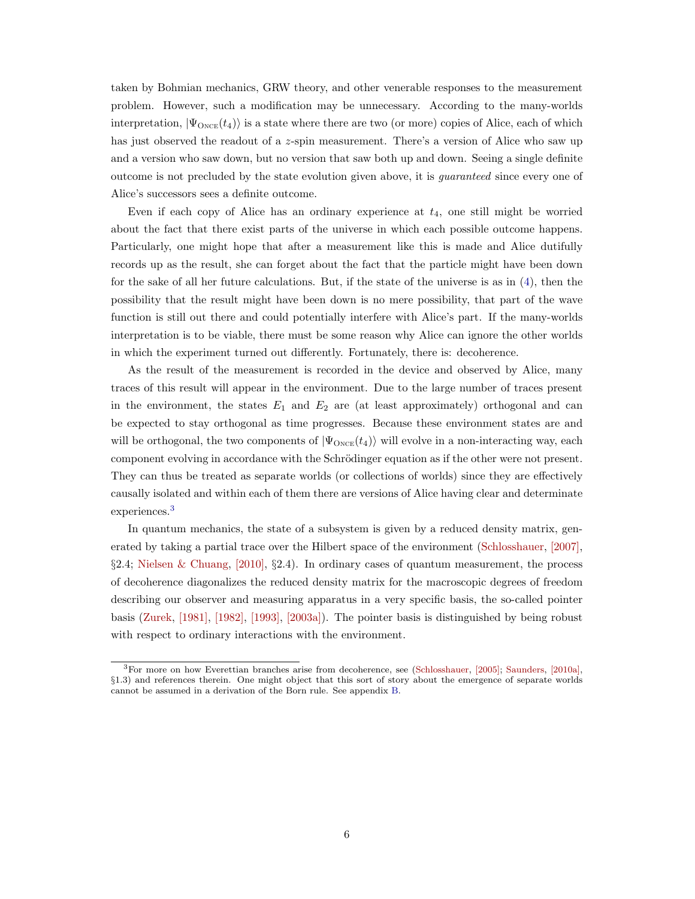taken by Bohmian mechanics, GRW theory, and other venerable responses to the measurement problem. However, such a modification may be unnecessary. According to the many-worlds interpretation,  $|\Psi_{\text{ONCE}}(t_4)\rangle$  is a state where there are two (or more) copies of Alice, each of which has just observed the readout of a z-spin measurement. There's a version of Alice who saw up and a version who saw down, but no version that saw both up and down. Seeing a single definite outcome is not precluded by the state evolution given above, it is guaranteed since every one of Alice's successors sees a definite outcome.

Even if each copy of Alice has an ordinary experience at  $t_4$ , one still might be worried about the fact that there exist parts of the universe in which each possible outcome happens. Particularly, one might hope that after a measurement like this is made and Alice dutifully records up as the result, she can forget about the fact that the particle might have been down for the sake of all her future calculations. But, if the state of the universe is as in [\(4\)](#page-4-2), then the possibility that the result might have been down is no mere possibility, that part of the wave function is still out there and could potentially interfere with Alice's part. If the many-worlds interpretation is to be viable, there must be some reason why Alice can ignore the other worlds in which the experiment turned out differently. Fortunately, there is: decoherence.

As the result of the measurement is recorded in the device and observed by Alice, many traces of this result will appear in the environment. Due to the large number of traces present in the environment, the states  $E_1$  and  $E_2$  are (at least approximately) orthogonal and can be expected to stay orthogonal as time progresses. Because these environment states are and will be orthogonal, the two components of  $|\Psi_{\text{ONCE}}(t_4)\rangle$  will evolve in a non-interacting way, each component evolving in accordance with the Schrödinger equation as if the other were not present. They can thus be treated as separate worlds (or collections of worlds) since they are effectively causally isolated and within each of them there are versions of Alice having clear and determinate experiences.[3](#page-5-0)

In quantum mechanics, the state of a subsystem is given by a reduced density matrix, generated by taking a partial trace over the Hilbert space of the environment [\(Schlosshauer,](#page-42-2) [\[2007\],](#page-42-2) §2.4; [Nielsen & Chuang,](#page-41-2) [\[2010\],](#page-41-2) §2.4). In ordinary cases of quantum measurement, the process of decoherence diagonalizes the reduced density matrix for the macroscopic degrees of freedom describing our observer and measuring apparatus in a very specific basis, the so-called pointer basis [\(Zurek,](#page-43-5) [\[1981\],](#page-43-5) [\[1982\],](#page-43-6) [\[1993\],](#page-43-7) [\[2003a\]\)](#page-43-2). The pointer basis is distinguished by being robust with respect to ordinary interactions with the environment.

<span id="page-5-0"></span><sup>3</sup>For more on how Everettian branches arise from decoherence, see [\(Schlosshauer,](#page-42-3) [\[2005\];](#page-42-3) [Saunders,](#page-41-3) [\[2010a\],](#page-41-3) §1.3) and references therein. One might object that this sort of story about the emergence of separate worlds cannot be assumed in a derivation of the Born rule. See appendix [B.](#page-36-0)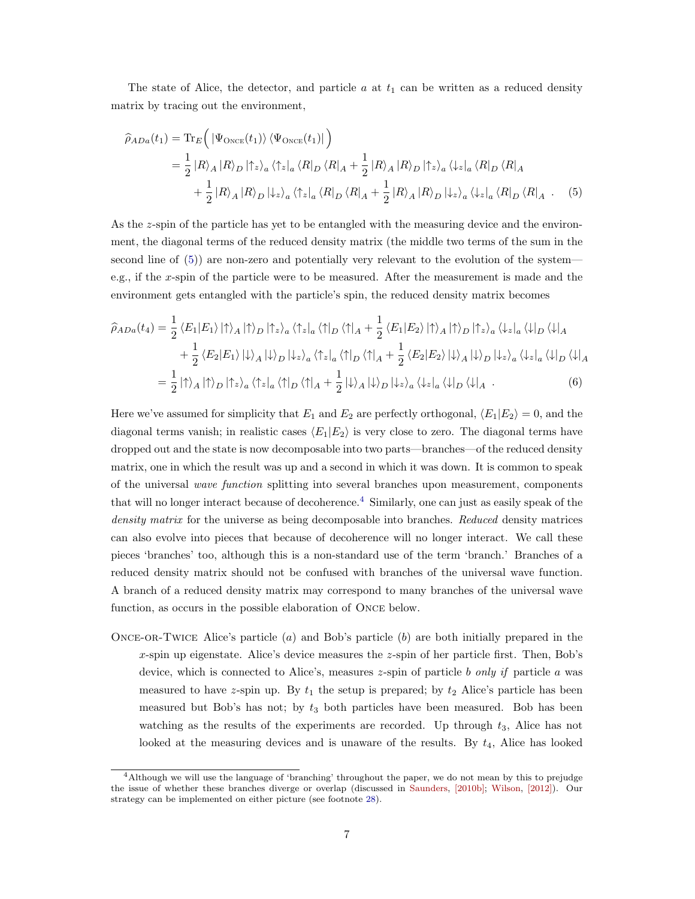The state of Alice, the detector, and particle a at  $t_1$  can be written as a reduced density matrix by tracing out the environment,

<span id="page-6-0"></span>
$$
\hat{\rho}_{ADa}(t_1) = \text{Tr}_{E}\left(\left|\Psi_{\text{ONCE}}(t_1)\right\rangle\left\langle\Psi_{\text{ONCE}}(t_1)\right|\right)
$$
\n
$$
= \frac{1}{2}\left|R_{A}\right|R_{D}\right| \uparrow z\rangle_a \left\langle\uparrow z\right|_a \left\langle R\right|_D \left\langle R\right|_A + \frac{1}{2}\left|R_{A}\right|R_{D}\right| \uparrow z\rangle_a \left\langle\downarrow z\right|_a \left\langle R\right|_D \left\langle R\right|_A + \frac{1}{2}\left|R_{A}\right|R_{D}\right| \uparrow z\rangle_a \left\langle\downarrow z\right|_a \left\langle R\right|_D \left\langle R\right|_A . \quad (5)
$$

As the z-spin of the particle has yet to be entangled with the measuring device and the environment, the diagonal terms of the reduced density matrix (the middle two terms of the sum in the second line of  $(5)$ ) are non-zero and potentially very relevant to the evolution of the system e.g., if the x-spin of the particle were to be measured. After the measurement is made and the environment gets entangled with the particle's spin, the reduced density matrix becomes

<span id="page-6-2"></span>
$$
\widehat{\rho}_{ADa}(t_4) = \frac{1}{2} \langle E_1 | E_1 \rangle | \uparrow \rangle_A | \uparrow \rangle_D | \uparrow_z \rangle_a \langle \uparrow_z |_a \langle \uparrow |_D \langle \uparrow |_A + \frac{1}{2} \langle E_1 | E_2 \rangle | \uparrow \rangle_A | \uparrow \rangle_D | \uparrow_z \rangle_a \langle \downarrow_z |_a \langle \downarrow |_D \langle \downarrow |_A + \frac{1}{2} \langle E_2 | E_1 \rangle | \downarrow \rangle_A | \downarrow \rangle_D | \downarrow_z \rangle_a \langle \uparrow_z |_a \langle \uparrow |_D \langle \uparrow |_A + \frac{1}{2} \langle E_2 | E_2 \rangle | \downarrow \rangle_A | \downarrow \rangle_D | \downarrow_z \rangle_a \langle \downarrow_z |_a \langle \downarrow |_D \langle \downarrow |_A + \frac{1}{2} \langle E_2 | E_2 \rangle | \downarrow \rangle_A | \downarrow \rangle_D | \downarrow_z \rangle_a \langle \downarrow_z |_a \langle \downarrow |_D \langle \downarrow |_A + \frac{1}{2} \langle E_2 | E_2 \rangle | \downarrow \rangle_A | \downarrow \rangle_D | \downarrow_z \rangle_a \langle \downarrow_z |_a \langle \downarrow |_D \langle \downarrow |_A + \frac{1}{2} \langle E_2 | E_2 \rangle | \downarrow \rangle_A | \downarrow \rangle_D | \downarrow_z \rangle_a \langle \downarrow_z |_a \langle \downarrow |_B \langle \downarrow |_A + \frac{1}{2} \langle E_2 | E_2 \rangle | \downarrow \rangle_A | \downarrow \rangle_D | \downarrow_z \rangle_a \langle \downarrow_z |_a \langle \downarrow |_B \langle \downarrow |_A + \frac{1}{2} \langle E_2 | E_2 \rangle | \downarrow \rangle_A | \downarrow \rangle_D | \downarrow_z \rangle_a \langle \downarrow |_A + \frac{1}{2} \langle E_2 | E_2 \rangle | \downarrow \rangle_A | \downarrow \rangle_D | \downarrow_z \rangle_a \langle \downarrow |_A + \frac{1}{2} \langle E_2 | E_2 \rangle | \downarrow \rangle_A | \downarrow \rangle_D | \downarrow_z \rangle_a \langle \downarrow |_A + \frac{1}{2} \langle E_2 | E_2 \rangle | \downarrow \rangle_A | \downarrow \rangle_D | \downarrow_z \rangle_a \langle \downarrow |_A + \frac{1}{2} \langle E_2 | E_2 \rangle | \downarrow
$$

Here we've assumed for simplicity that  $E_1$  and  $E_2$  are perfectly orthogonal,  $\langle E_1|E_2\rangle = 0$ , and the diagonal terms vanish; in realistic cases  $\langle E_1|E_2\rangle$  is very close to zero. The diagonal terms have dropped out and the state is now decomposable into two parts—branches—of the reduced density matrix, one in which the result was up and a second in which it was down. It is common to speak of the universal wave function splitting into several branches upon measurement, components that will no longer interact because of decoherence.<sup>[4](#page-6-1)</sup> Similarly, one can just as easily speak of the density matrix for the universe as being decomposable into branches. Reduced density matrices can also evolve into pieces that because of decoherence will no longer interact. We call these pieces 'branches' too, although this is a non-standard use of the term 'branch.' Branches of a reduced density matrix should not be confused with branches of the universal wave function. A branch of a reduced density matrix may correspond to many branches of the universal wave function, as occurs in the possible elaboration of ONCE below.

ONCE-OR-TWICE Alice's particle  $(a)$  and Bob's particle  $(b)$  are both initially prepared in the x-spin up eigenstate. Alice's device measures the z-spin of her particle first. Then, Bob's device, which is connected to Alice's, measures z-spin of particle b only if particle a was measured to have z-spin up. By  $t_1$  the setup is prepared; by  $t_2$  Alice's particle has been measured but Bob's has not; by  $t_3$  both particles have been measured. Bob has been watching as the results of the experiments are recorded. Up through  $t_3$ , Alice has not looked at the measuring devices and is unaware of the results. By  $t_4$ , Alice has looked

<span id="page-6-1"></span><sup>4</sup>Although we will use the language of 'branching' throughout the paper, we do not mean by this to prejudge the issue of whether these branches diverge or overlap (discussed in [Saunders,](#page-42-4) [\[2010b\];](#page-42-4) [Wilson,](#page-43-8) [\[2012\]\)](#page-43-8). Our strategy can be implemented on either picture (see footnote [28\)](#page-26-1).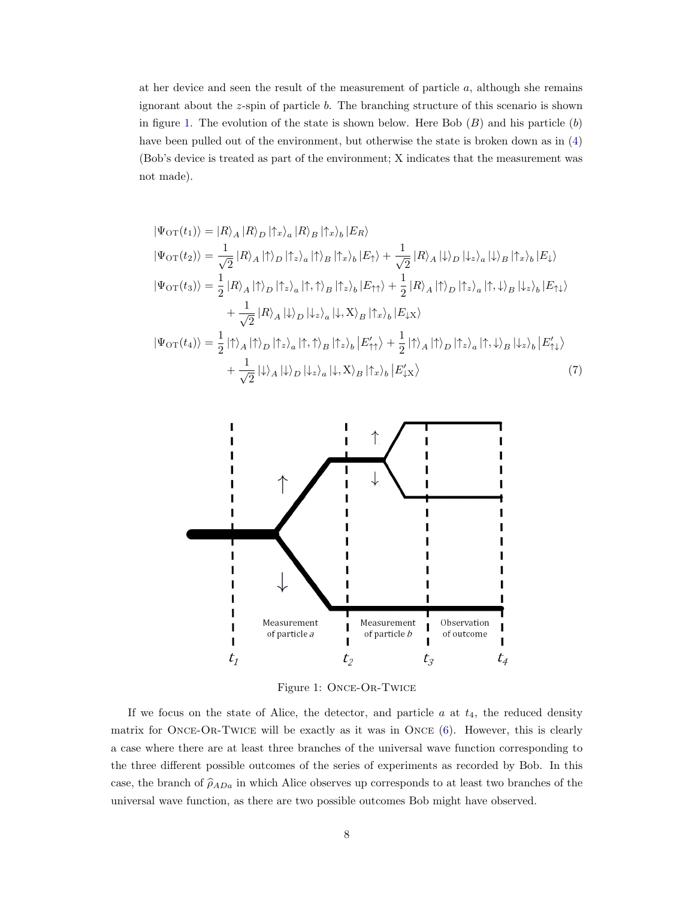at her device and seen the result of the measurement of particle a, although she remains ignorant about the z-spin of particle b. The branching structure of this scenario is shown in figure [1.](#page-7-0) The evolution of the state is shown below. Here Bob  $(B)$  and his particle  $(b)$ have been pulled out of the environment, but otherwise the state is broken down as in [\(4\)](#page-4-2) (Bob's device is treated as part of the environment; X indicates that the measurement was not made).

$$
|\Psi_{\text{OT}}(t_{1})\rangle = |R\rangle_{A} |R\rangle_{D} |\uparrow_{x}\rangle_{a} |R\rangle_{B} |\uparrow_{x}\rangle_{b} |E_{R}\rangle
$$
  
\n
$$
|\Psi_{\text{OT}}(t_{2})\rangle = \frac{1}{\sqrt{2}} |R\rangle_{A} |\uparrow\rangle_{D} |\uparrow_{z}\rangle_{a} |\uparrow\rangle_{B} |\uparrow_{x}\rangle_{b} |E_{\uparrow}\rangle + \frac{1}{\sqrt{2}} |R\rangle_{A} |\downarrow\rangle_{D} |\downarrow_{z}\rangle_{a} |\downarrow\rangle_{B} |\uparrow_{x}\rangle_{b} |E_{\downarrow}\rangle
$$
  
\n
$$
|\Psi_{\text{OT}}(t_{3})\rangle = \frac{1}{2} |R\rangle_{A} |\uparrow\rangle_{D} |\uparrow_{z}\rangle_{a} |\uparrow, \uparrow\rangle_{B} |\uparrow_{z}\rangle_{b} |E_{\uparrow\uparrow}\rangle + \frac{1}{2} |R\rangle_{A} |\uparrow\rangle_{D} |\uparrow_{z}\rangle_{a} |\uparrow, \downarrow\rangle_{B} |\downarrow_{z}\rangle_{b} |E_{\uparrow\downarrow}\rangle
$$
  
\n
$$
+ \frac{1}{\sqrt{2}} |R\rangle_{A} |\downarrow\rangle_{D} |\downarrow_{z}\rangle_{a} |\downarrow, X\rangle_{B} |\uparrow_{x}\rangle_{b} |E_{\downarrow X}\rangle
$$
  
\n
$$
|\Psi_{\text{OT}}(t_{4})\rangle = \frac{1}{2} | \uparrow\rangle_{A} | \uparrow\rangle_{D} | \uparrow_{z}\rangle_{a} | \uparrow, \uparrow\rangle_{B} | \uparrow_{z}\rangle_{b} |E'_{\uparrow\uparrow}\rangle + \frac{1}{2} | \uparrow\rangle_{A} | \uparrow\rangle_{D} | \uparrow_{z}\rangle_{a} | \downarrow, \downarrow\rangle_{B} |E'_{\downarrow\downarrow}\rangle
$$
  
\n
$$
+ \frac{1}{\sqrt{2}} | \downarrow\rangle_{A} | \downarrow\rangle_{D} | \downarrow_{z}\rangle_{a} | \downarrow, X\rangle_{B} | \uparrow_{x}\rangle_{b} |E'_{\downarrow\chi}\rangle
$$
  
\n(7)

<span id="page-7-1"></span>

<span id="page-7-0"></span>Figure 1: Once-Or-Twice

If we focus on the state of Alice, the detector, and particle  $a$  at  $t_4$ , the reduced density matrix for ONCE-OR-TWICE will be exactly as it was in ONCE  $(6)$ . However, this is clearly a case where there are at least three branches of the universal wave function corresponding to the three different possible outcomes of the series of experiments as recorded by Bob. In this case, the branch of  $\hat{\rho}_{ADa}$  in which Alice observes up corresponds to at least two branches of the universal wave function, as there are two possible outcomes Bob might have observed.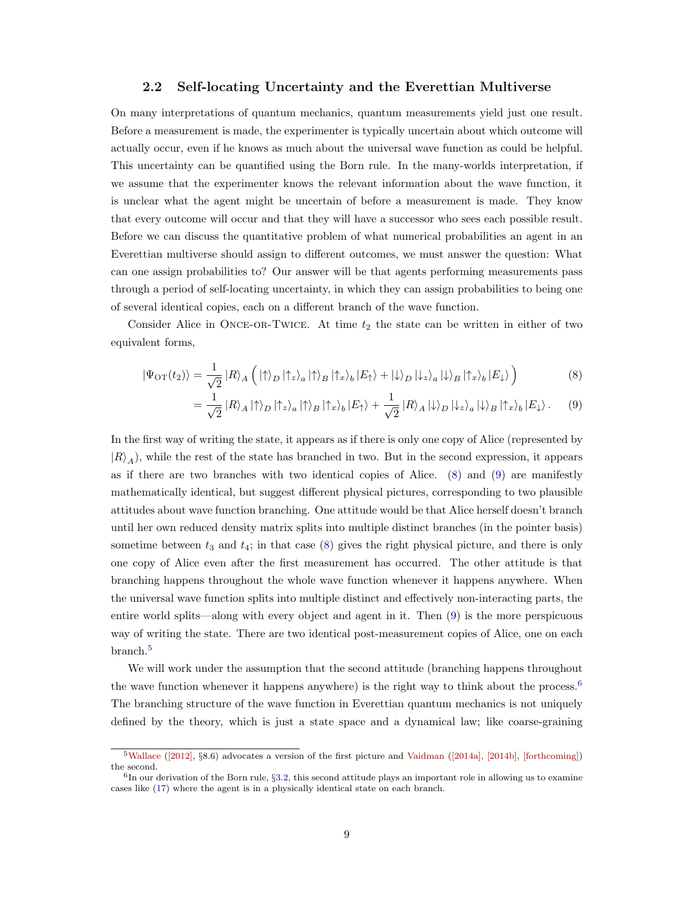#### 2.2 Self-locating Uncertainty and the Everettian Multiverse

<span id="page-8-0"></span>On many interpretations of quantum mechanics, quantum measurements yield just one result. Before a measurement is made, the experimenter is typically uncertain about which outcome will actually occur, even if he knows as much about the universal wave function as could be helpful. This uncertainty can be quantified using the Born rule. In the many-worlds interpretation, if we assume that the experimenter knows the relevant information about the wave function, it is unclear what the agent might be uncertain of before a measurement is made. They know that every outcome will occur and that they will have a successor who sees each possible result. Before we can discuss the quantitative problem of what numerical probabilities an agent in an Everettian multiverse should assign to different outcomes, we must answer the question: What can one assign probabilities to? Our answer will be that agents performing measurements pass through a period of self-locating uncertainty, in which they can assign probabilities to being one of several identical copies, each on a different branch of the wave function.

Consider Alice in ONCE-OR-TWICE. At time  $t_2$  the state can be written in either of two equivalent forms,

$$
|\Psi_{\text{OT}}(t_2)\rangle = \frac{1}{\sqrt{2}} |R\rangle_A \left( |\!\uparrow\rangle_D |\!\uparrow_z\rangle_a |\!\uparrow\rangle_B |\!\uparrow_x\rangle_b |E_\uparrow\rangle + |\!\downarrow\rangle_D |\!\downarrow_z\rangle_a |\!\downarrow\rangle_B |\!\uparrow_x\rangle_b |E_\downarrow\rangle \right) \tag{8}
$$

<span id="page-8-2"></span><span id="page-8-1"></span>
$$
= \frac{1}{\sqrt{2}} |R\rangle_A |\!\uparrow\rangle_D |\!\uparrow_z\rangle_a |\!\uparrow\rangle_B |\!\uparrow_x\rangle_b |E_\uparrow\rangle + \frac{1}{\sqrt{2}} |R\rangle_A |\!\downarrow\rangle_D |\!\downarrow_z\rangle_a |\!\downarrow\rangle_B |\!\uparrow_x\rangle_b |E_\downarrow\rangle. \tag{9}
$$

In the first way of writing the state, it appears as if there is only one copy of Alice (represented by  $|R\rangle_A$ , while the rest of the state has branched in two. But in the second expression, it appears as if there are two branches with two identical copies of Alice. [\(8\)](#page-8-1) and [\(9\)](#page-8-2) are manifestly mathematically identical, but suggest different physical pictures, corresponding to two plausible attitudes about wave function branching. One attitude would be that Alice herself doesn't branch until her own reduced density matrix splits into multiple distinct branches (in the pointer basis) sometime between  $t_3$  and  $t_4$ ; in that case [\(8\)](#page-8-1) gives the right physical picture, and there is only one copy of Alice even after the first measurement has occurred. The other attitude is that branching happens throughout the whole wave function whenever it happens anywhere. When the universal wave function splits into multiple distinct and effectively non-interacting parts, the entire world splits—along with every object and agent in it. Then [\(9\)](#page-8-2) is the more perspicuous way of writing the state. There are two identical post-measurement copies of Alice, one on each branch.<sup>[5](#page-8-3)</sup>

We will work under the assumption that the second attitude (branching happens throughout the wave function whenever it happens anywhere) is the right way to think about the process.<sup>[6](#page-8-4)</sup> The branching structure of the wave function in Everettian quantum mechanics is not uniquely defined by the theory, which is just a state space and a dynamical law; like coarse-graining

<span id="page-8-3"></span> $5$ [Wallace](#page-43-9) [\(\[2012\],](#page-43-9) §8.6) advocates a version of the first picture and [Vaidman](#page-42-5) [\(\[2014a\],](#page-42-5) [\[2014b\],](#page-42-6) [\[forthcoming\]\)](#page-42-7) the second.

<span id="page-8-4"></span><sup>&</sup>lt;sup>6</sup>In our derivation of the Born rule, §[3.2,](#page-16-0) this second attitude plays an important role in allowing us to examine cases like [\(17\)](#page-17-0) where the agent is in a physically identical state on each branch.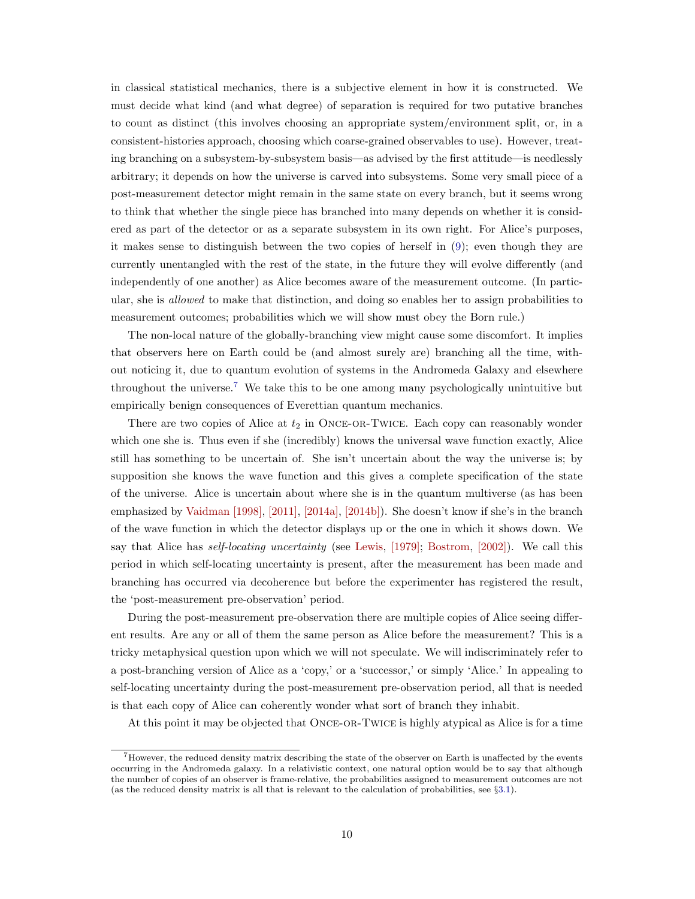in classical statistical mechanics, there is a subjective element in how it is constructed. We must decide what kind (and what degree) of separation is required for two putative branches to count as distinct (this involves choosing an appropriate system/environment split, or, in a consistent-histories approach, choosing which coarse-grained observables to use). However, treating branching on a subsystem-by-subsystem basis—as advised by the first attitude—is needlessly arbitrary; it depends on how the universe is carved into subsystems. Some very small piece of a post-measurement detector might remain in the same state on every branch, but it seems wrong to think that whether the single piece has branched into many depends on whether it is considered as part of the detector or as a separate subsystem in its own right. For Alice's purposes, it makes sense to distinguish between the two copies of herself in [\(9\)](#page-8-2); even though they are currently unentangled with the rest of the state, in the future they will evolve differently (and independently of one another) as Alice becomes aware of the measurement outcome. (In particular, she is *allowed* to make that distinction, and doing so enables her to assign probabilities to measurement outcomes; probabilities which we will show must obey the Born rule.)

The non-local nature of the globally-branching view might cause some discomfort. It implies that observers here on Earth could be (and almost surely are) branching all the time, without noticing it, due to quantum evolution of systems in the Andromeda Galaxy and elsewhere throughout the universe.<sup>[7](#page-9-0)</sup> We take this to be one among many psychologically unintuitive but empirically benign consequences of Everettian quantum mechanics.

There are two copies of Alice at  $t_2$  in Once-or-Twice. Each copy can reasonably wonder which one she is. Thus even if she (incredibly) knows the universal wave function exactly, Alice still has something to be uncertain of. She isn't uncertain about the way the universe is; by supposition she knows the wave function and this gives a complete specification of the state of the universe. Alice is uncertain about where she is in the quantum multiverse (as has been emphasized by [Vaidman](#page-42-8) [\[1998\],](#page-42-8) [\[2011\],](#page-42-9) [\[2014a\],](#page-42-5) [\[2014b\]\)](#page-42-6). She doesn't know if she's in the branch of the wave function in which the detector displays up or the one in which it shows down. We say that Alice has self-locating uncertainty (see [Lewis,](#page-41-4) [\[1979\];](#page-41-4) [Bostrom,](#page-40-2) [\[2002\]\)](#page-40-2). We call this period in which self-locating uncertainty is present, after the measurement has been made and branching has occurred via decoherence but before the experimenter has registered the result, the 'post-measurement pre-observation' period.

During the post-measurement pre-observation there are multiple copies of Alice seeing different results. Are any or all of them the same person as Alice before the measurement? This is a tricky metaphysical question upon which we will not speculate. We will indiscriminately refer to a post-branching version of Alice as a 'copy,' or a 'successor,' or simply 'Alice.' In appealing to self-locating uncertainty during the post-measurement pre-observation period, all that is needed is that each copy of Alice can coherently wonder what sort of branch they inhabit.

At this point it may be objected that Once-or-Twice is highly atypical as Alice is for a time

<span id="page-9-0"></span><sup>7</sup>However, the reduced density matrix describing the state of the observer on Earth is unaffected by the events occurring in the Andromeda galaxy. In a relativistic context, one natural option would be to say that although the number of copies of an observer is frame-relative, the probabilities assigned to measurement outcomes are not (as the reduced density matrix is all that is relevant to the calculation of probabilities, see §[3.1\)](#page-13-1).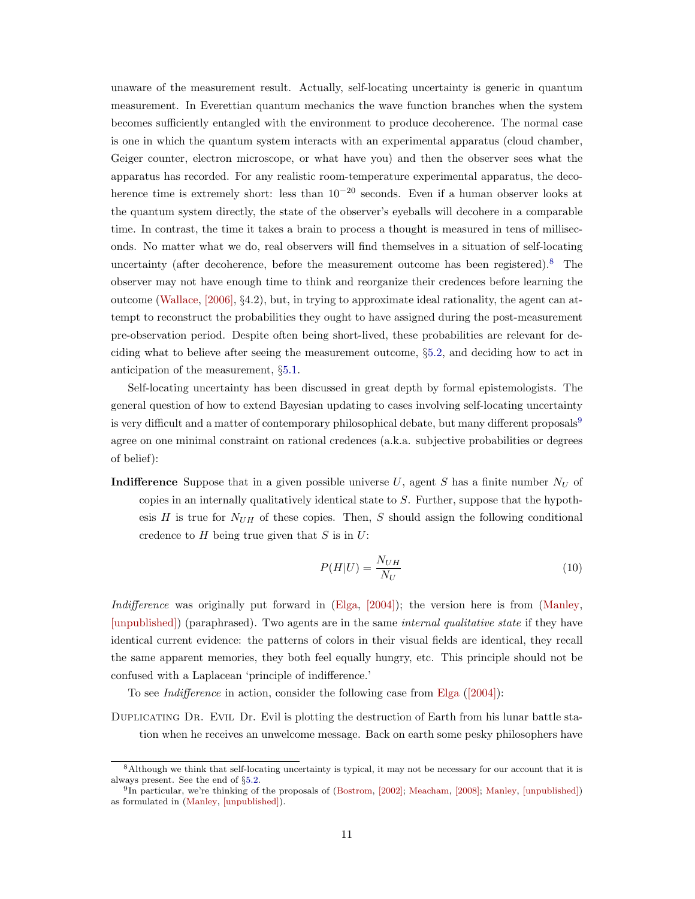unaware of the measurement result. Actually, self-locating uncertainty is generic in quantum measurement. In Everettian quantum mechanics the wave function branches when the system becomes sufficiently entangled with the environment to produce decoherence. The normal case is one in which the quantum system interacts with an experimental apparatus (cloud chamber, Geiger counter, electron microscope, or what have you) and then the observer sees what the apparatus has recorded. For any realistic room-temperature experimental apparatus, the decoherence time is extremely short: less than  $10^{-20}$  seconds. Even if a human observer looks at the quantum system directly, the state of the observer's eyeballs will decohere in a comparable time. In contrast, the time it takes a brain to process a thought is measured in tens of milliseconds. No matter what we do, real observers will find themselves in a situation of self-locating uncertainty (after decoherence, before the measurement outcome has been registered).<sup>[8](#page-10-0)</sup> The observer may not have enough time to think and reorganize their credences before learning the outcome [\(Wallace,](#page-43-10) [\[2006\],](#page-43-10) §4.2), but, in trying to approximate ideal rationality, the agent can attempt to reconstruct the probabilities they ought to have assigned during the post-measurement pre-observation period. Despite often being short-lived, these probabilities are relevant for deciding what to believe after seeing the measurement outcome, §[5.2,](#page-28-0) and deciding how to act in anticipation of the measurement, §[5.1.](#page-27-0)

Self-locating uncertainty has been discussed in great depth by formal epistemologists. The general question of how to extend Bayesian updating to cases involving self-locating uncertainty is very difficult and a matter of contemporary philosophical debate, but many different proposals<sup>[9](#page-10-1)</sup> agree on one minimal constraint on rational credences (a.k.a. subjective probabilities or degrees of belief):

**Indifference** Suppose that in a given possible universe U, agent S has a finite number  $N_U$  of copies in an internally qualitatively identical state to  $S$ . Further, suppose that the hypothesis H is true for  $N_{UH}$  of these copies. Then, S should assign the following conditional credence to  $H$  being true given that  $S$  is in  $U$ :

$$
P(H|U) = \frac{N_{UH}}{N_U} \tag{10}
$$

Indifference was originally put forward in [\(Elga,](#page-40-1) [\[2004\]\)](#page-40-1); the version here is from [\(Manley,](#page-41-5) [\[unpublished\]\)](#page-41-5) (paraphrased). Two agents are in the same internal qualitative state if they have identical current evidence: the patterns of colors in their visual fields are identical, they recall the same apparent memories, they both feel equally hungry, etc. This principle should not be confused with a Laplacean 'principle of indifference.'

To see Indifference in action, consider the following case from [Elga](#page-40-1) [\(\[2004\]\)](#page-40-1):

Duplicating Dr. Evil Dr. Evil is plotting the destruction of Earth from his lunar battle station when he receives an unwelcome message. Back on earth some pesky philosophers have

<span id="page-10-0"></span><sup>8</sup>Although we think that self-locating uncertainty is typical, it may not be necessary for our account that it is always present. See the end of §[5.2.](#page-28-0)

<span id="page-10-1"></span><sup>&</sup>lt;sup>9</sup>In particular, we're thinking of the proposals of [\(Bostrom,](#page-40-2) [\[2002\];](#page-40-2) [Meacham,](#page-41-6) [\[2008\];](#page-41-6) [Manley,](#page-41-5) [\[unpublished\]\)](#page-41-5) as formulated in [\(Manley,](#page-41-5) [\[unpublished\]\)](#page-41-5).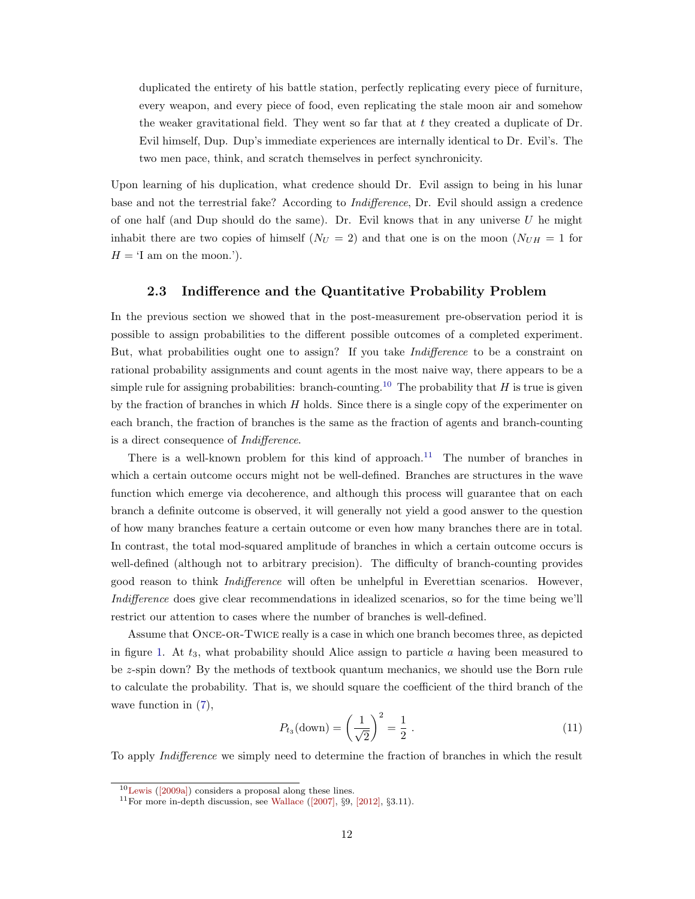duplicated the entirety of his battle station, perfectly replicating every piece of furniture, every weapon, and every piece of food, even replicating the stale moon air and somehow the weaker gravitational field. They went so far that at  $t$  they created a duplicate of Dr. Evil himself, Dup. Dup's immediate experiences are internally identical to Dr. Evil's. The two men pace, think, and scratch themselves in perfect synchronicity.

Upon learning of his duplication, what credence should Dr. Evil assign to being in his lunar base and not the terrestrial fake? According to Indifference, Dr. Evil should assign a credence of one half (and Dup should do the same). Dr. Evil knows that in any universe  $U$  he might inhabit there are two copies of himself ( $N_U = 2$ ) and that one is on the moon ( $N_{UH} = 1$  for  $H = 'I$  am on the moon.').

#### 2.3 Indifference and the Quantitative Probability Problem

<span id="page-11-0"></span>In the previous section we showed that in the post-measurement pre-observation period it is possible to assign probabilities to the different possible outcomes of a completed experiment. But, what probabilities ought one to assign? If you take Indifference to be a constraint on rational probability assignments and count agents in the most naive way, there appears to be a simple rule for assigning probabilities: branch-counting.<sup>[10](#page-11-1)</sup> The probability that H is true is given by the fraction of branches in which  $H$  holds. Since there is a single copy of the experimenter on each branch, the fraction of branches is the same as the fraction of agents and branch-counting is a direct consequence of Indifference.

There is a well-known problem for this kind of approach.<sup>[11](#page-11-2)</sup> The number of branches in which a certain outcome occurs might not be well-defined. Branches are structures in the wave function which emerge via decoherence, and although this process will guarantee that on each branch a definite outcome is observed, it will generally not yield a good answer to the question of how many branches feature a certain outcome or even how many branches there are in total. In contrast, the total mod-squared amplitude of branches in which a certain outcome occurs is well-defined (although not to arbitrary precision). The difficulty of branch-counting provides good reason to think Indifference will often be unhelpful in Everettian scenarios. However, Indifference does give clear recommendations in idealized scenarios, so for the time being we'll restrict our attention to cases where the number of branches is well-defined.

Assume that Once-or-Twice really is a case in which one branch becomes three, as depicted in figure [1.](#page-7-0) At  $t_3$ , what probability should Alice assign to particle a having been measured to be z-spin down? By the methods of textbook quantum mechanics, we should use the Born rule to calculate the probability. That is, we should square the coefficient of the third branch of the wave function in [\(7\)](#page-7-1),

$$
P_{t_3}(\text{down}) = \left(\frac{1}{\sqrt{2}}\right)^2 = \frac{1}{2} \tag{11}
$$

To apply Indifference we simply need to determine the fraction of branches in which the result

<span id="page-11-1"></span> $10$ [Lewis](#page-41-7) [\(\[2009a\]\)](#page-41-7) considers a proposal along these lines.

<span id="page-11-2"></span><sup>&</sup>lt;sup>11</sup>For more in-depth discussion, see [Wallace](#page-43-11) [\(\[2007\],](#page-43-11)  $\S9$ , [\[2012\],](#page-43-9)  $\S3.11$ ).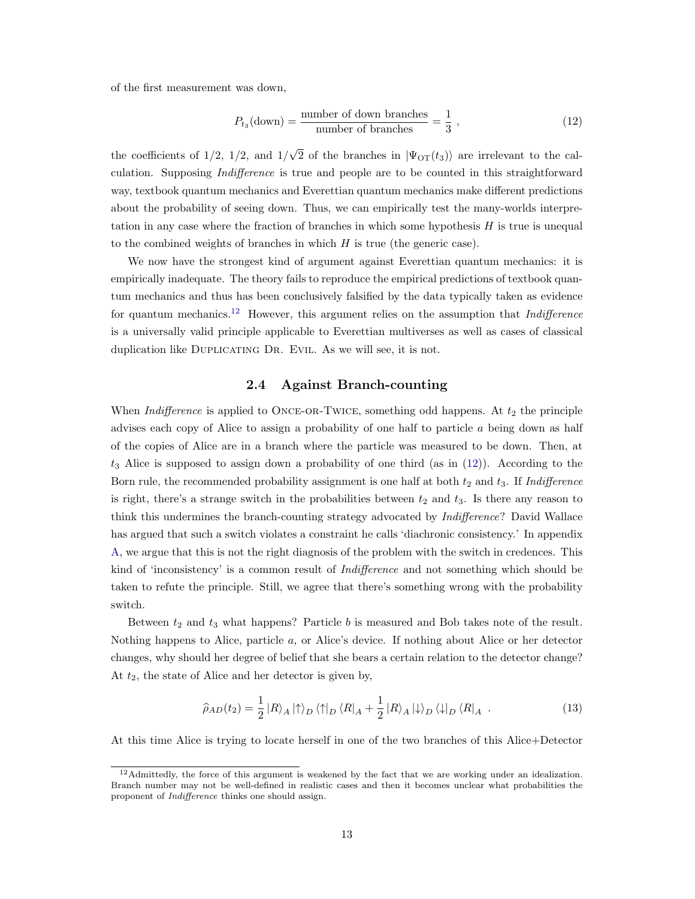of the first measurement was down,

<span id="page-12-2"></span>
$$
P_{t_3}(\text{down}) = \frac{\text{number of down branches}}{\text{number of branches}} = \frac{1}{3},\tag{12}
$$

the coefficients of  $1/2$ ,  $1/2$ , and  $1/$ √ 2 of the branches in  $|\Psi_{\text{OT}}(t_3)\rangle$  are irrelevant to the calculation. Supposing Indifference is true and people are to be counted in this straightforward way, textbook quantum mechanics and Everettian quantum mechanics make different predictions about the probability of seeing down. Thus, we can empirically test the many-worlds interpretation in any case where the fraction of branches in which some hypothesis  $H$  is true is unequal to the combined weights of branches in which  $H$  is true (the generic case).

We now have the strongest kind of argument against Everettian quantum mechanics: it is empirically inadequate. The theory fails to reproduce the empirical predictions of textbook quantum mechanics and thus has been conclusively falsified by the data typically taken as evidence for quantum mechanics.<sup>[12](#page-12-1)</sup> However, this argument relies on the assumption that *Indifference* is a universally valid principle applicable to Everettian multiverses as well as cases of classical duplication like DUPLICATING DR. EVIL. As we will see, it is not.

#### 2.4 Against Branch-counting

<span id="page-12-0"></span>When *Indifference* is applied to ONCE-OR-TWICE, something odd happens. At  $t_2$  the principle advises each copy of Alice to assign a probability of one half to particle a being down as half of the copies of Alice are in a branch where the particle was measured to be down. Then, at  $t_3$  Alice is supposed to assign down a probability of one third (as in [\(12\)](#page-12-2)). According to the Born rule, the recommended probability assignment is one half at both  $t_2$  and  $t_3$ . If Indifference is right, there's a strange switch in the probabilities between  $t_2$  and  $t_3$ . Is there any reason to think this undermines the branch-counting strategy advocated by Indifference? David Wallace has argued that such a switch violates a constraint he calls 'diachronic consistency.' In appendix [A,](#page-34-0) we argue that this is not the right diagnosis of the problem with the switch in credences. This kind of 'inconsistency' is a common result of Indifference and not something which should be taken to refute the principle. Still, we agree that there's something wrong with the probability switch.

Between  $t_2$  and  $t_3$  what happens? Particle b is measured and Bob takes note of the result. Nothing happens to Alice, particle a, or Alice's device. If nothing about Alice or her detector changes, why should her degree of belief that she bears a certain relation to the detector change? At  $t_2$ , the state of Alice and her detector is given by,

<span id="page-12-3"></span>
$$
\widehat{\rho}_{AD}(t_2) = \frac{1}{2} |R\rangle_A | \uparrow \rangle_D \langle \uparrow |_D \langle R|_A + \frac{1}{2} |R\rangle_A | \downarrow \rangle_D \langle \downarrow |_D \langle R|_A . \tag{13}
$$

At this time Alice is trying to locate herself in one of the two branches of this Alice+Detector

<span id="page-12-1"></span> $12$ Admittedly, the force of this argument is weakened by the fact that we are working under an idealization. Branch number may not be well-defined in realistic cases and then it becomes unclear what probabilities the proponent of Indifference thinks one should assign.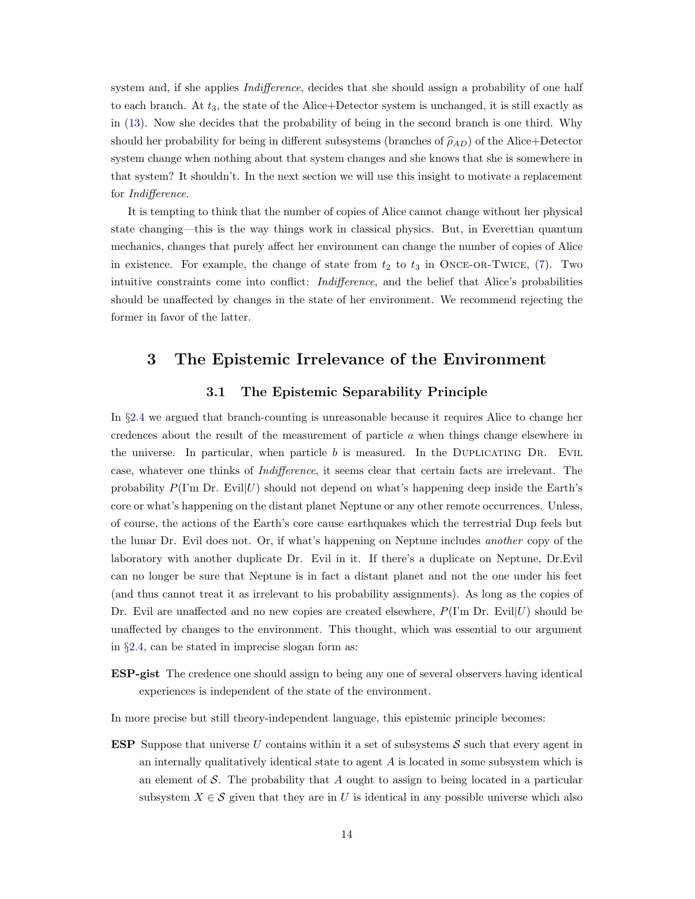system and, if she applies *Indifference*, decides that she should assign a probability of one half to each branch. At  $t_3$ , the state of the Alice+Detector system is unchanged, it is still exactly as in [\(13\)](#page-12-3). Now she decides that the probability of being in the second branch is one third. Why should her probability for being in different subsystems (branches of  $\hat{\rho}_{AD}$ ) of the Alice+Detector system change when nothing about that system changes and she knows that she is somewhere in that system? It shouldn't. In the next section we will use this insight to motivate a replacement for Indifference.

It is tempting to think that the number of copies of Alice cannot change without her physical state changing—this is the way things work in classical physics. But, in Everettian quantum mechanics, changes that purely affect her environment can change the number of copies of Alice in existence. For example, the change of state from  $t_2$  to  $t_3$  in ONCE-OR-TWICE, [\(7\)](#page-7-1). Two intuitive constraints come into conflict: Indifference, and the belief that Alice's probabilities should be unaffected by changes in the state of her environment. We recommend rejecting the former in favor of the latter.

## <span id="page-13-0"></span>3 The Epistemic Irrelevance of the Environment

#### 3.1 The Epistemic Separability Principle

<span id="page-13-1"></span>In §[2.4](#page-12-0) we argued that branch-counting is unreasonable because it requires Alice to change her credences about the result of the measurement of particle a when things change elsewhere in the universe. In particular, when particle  $b$  is measured. In the DUPLICATING DR. EVIL case, whatever one thinks of Indifference, it seems clear that certain facts are irrelevant. The probability  $P(\Gamma m)$ . Evil $|U\rangle$  should not depend on what's happening deep inside the Earth's core or what's happening on the distant planet Neptune or any other remote occurrences. Unless, of course, the actions of the Earth's core cause earthquakes which the terrestrial Dup feels but the lunar Dr. Evil does not. Or, if what's happening on Neptune includes another copy of the laboratory with another duplicate Dr. Evil in it. If there's a duplicate on Neptune, Dr.Evil can no longer be sure that Neptune is in fact a distant planet and not the one under his feet (and thus cannot treat it as irrelevant to his probability assignments). As long as the copies of Dr. Evil are unaffected and no new copies are created elsewhere,  $P(\text{I'm Dr. Evil}|U)$  should be unaffected by changes to the environment. This thought, which was essential to our argument in §[2.4,](#page-12-0) can be stated in imprecise slogan form as:

ESP-gist The credence one should assign to being any one of several observers having identical experiences is independent of the state of the environment.

In more precise but still theory-independent language, this epistemic principle becomes:

**ESP** Suppose that universe U contains within it a set of subsystems  $S$  such that every agent in an internally qualitatively identical state to agent  $A$  is located in some subsystem which is an element of S. The probability that A ought to assign to being located in a particular subsystem  $X \in \mathcal{S}$  given that they are in U is identical in any possible universe which also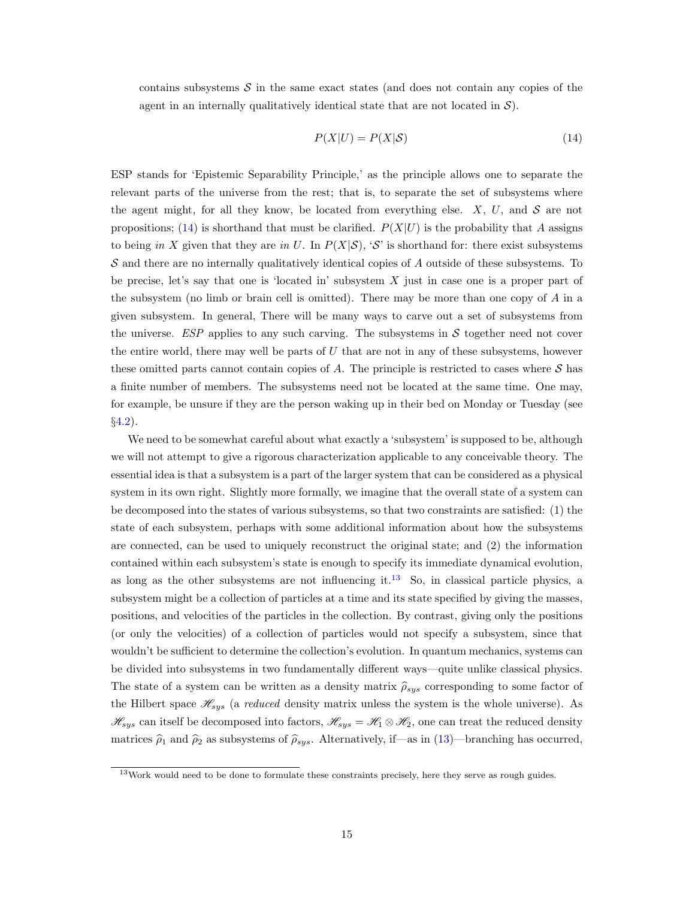contains subsystems  $S$  in the same exact states (and does not contain any copies of the agent in an internally qualitatively identical state that are not located in  $S$ ).

<span id="page-14-0"></span>
$$
P(X|U) = P(X|\mathcal{S})\tag{14}
$$

ESP stands for 'Epistemic Separability Principle,' as the principle allows one to separate the relevant parts of the universe from the rest; that is, to separate the set of subsystems where the agent might, for all they know, be located from everything else.  $X$ ,  $U$ , and  $S$  are not propositions; [\(14\)](#page-14-0) is shorthand that must be clarified.  $P(X|U)$  is the probability that A assigns to being in X given that they are in U. In  $P(X|\mathcal{S})$ , 'S' is shorthand for: there exist subsystems  $S$  and there are no internally qualitatively identical copies of  $A$  outside of these subsystems. To be precise, let's say that one is 'located in' subsystem  $X$  just in case one is a proper part of the subsystem (no limb or brain cell is omitted). There may be more than one copy of  $A$  in a given subsystem. In general, There will be many ways to carve out a set of subsystems from the universe.  $ESP$  applies to any such carving. The subsystems in  $S$  together need not cover the entire world, there may well be parts of  $U$  that are not in any of these subsystems, however these omitted parts cannot contain copies of A. The principle is restricted to cases where  $S$  has a finite number of members. The subsystems need not be located at the same time. One may, for example, be unsure if they are the person waking up in their bed on Monday or Tuesday (see  $§4.2$ ).

We need to be somewhat careful about what exactly a 'subsystem' is supposed to be, although we will not attempt to give a rigorous characterization applicable to any conceivable theory. The essential idea is that a subsystem is a part of the larger system that can be considered as a physical system in its own right. Slightly more formally, we imagine that the overall state of a system can be decomposed into the states of various subsystems, so that two constraints are satisfied: (1) the state of each subsystem, perhaps with some additional information about how the subsystems are connected, can be used to uniquely reconstruct the original state; and (2) the information contained within each subsystem's state is enough to specify its immediate dynamical evolution, as long as the other subsystems are not influencing it.<sup>[13](#page-14-1)</sup> So, in classical particle physics, a subsystem might be a collection of particles at a time and its state specified by giving the masses, positions, and velocities of the particles in the collection. By contrast, giving only the positions (or only the velocities) of a collection of particles would not specify a subsystem, since that wouldn't be sufficient to determine the collection's evolution. In quantum mechanics, systems can be divided into subsystems in two fundamentally different ways—quite unlike classical physics. The state of a system can be written as a density matrix  $\hat{\rho}_{sys}$  corresponding to some factor of the Hilbert space  $\mathcal{H}_{sys}$  (a *reduced* density matrix unless the system is the whole universe). As  $\mathscr{H}_{sys}$  can itself be decomposed into factors,  $\mathscr{H}_{sys} = \mathscr{H}_1 \otimes \mathscr{H}_2$ , one can treat the reduced density matrices  $\hat{\rho}_1$  and  $\hat{\rho}_2$  as subsystems of  $\hat{\rho}_{sys}$ . Alternatively, if—as in [\(13\)](#page-12-3)—branching has occurred,

<span id="page-14-1"></span><sup>&</sup>lt;sup>13</sup> Work would need to be done to formulate these constraints precisely, here they serve as rough guides.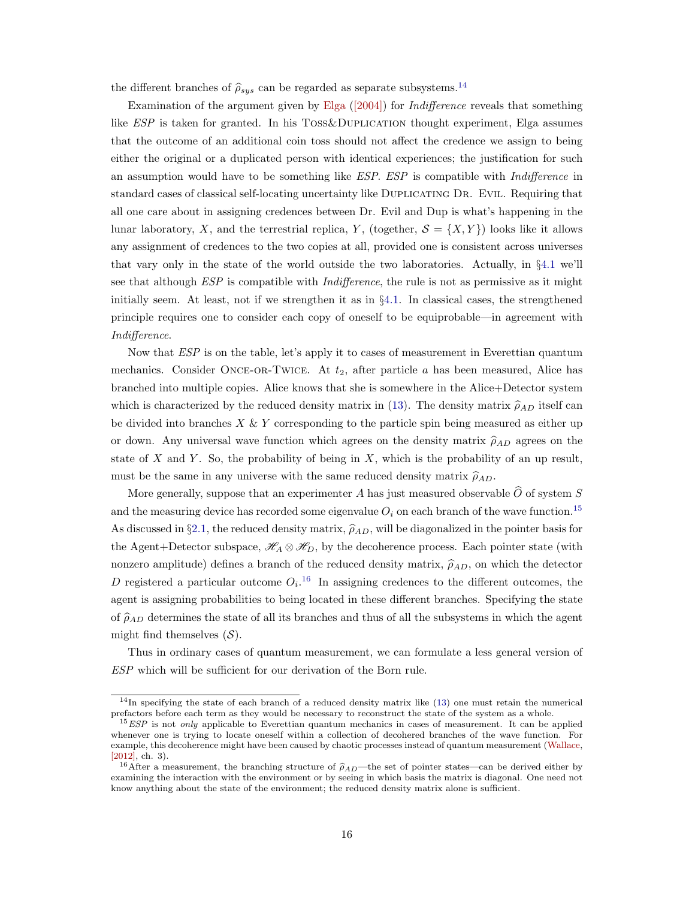the different branches of  $\hat{\rho}_{sys}$  can be regarded as separate subsystems.<sup>[14](#page-15-0)</sup>

Examination of the argument given by [Elga](#page-40-1) [\(\[2004\]\)](#page-40-1) for Indifference reveals that something like *ESP* is taken for granted. In his TOSS&DUPLICATION thought experiment, Elga assumes that the outcome of an additional coin toss should not affect the credence we assign to being either the original or a duplicated person with identical experiences; the justification for such an assumption would have to be something like *ESP*. *ESP* is compatible with *Indifference* in standard cases of classical self-locating uncertainty like Duplicating Dr. Evil. Requiring that all one care about in assigning credences between Dr. Evil and Dup is what's happening in the lunar laboratory, X, and the terrestrial replica, Y, (together,  $S = \{X, Y\}$ ) looks like it allows any assignment of credences to the two copies at all, provided one is consistent across universes that vary only in the state of the world outside the two laboratories. Actually, in §[4.1](#page-19-1) we'll see that although *ESP* is compatible with *Indifference*, the rule is not as permissive as it might initially seem. At least, not if we strengthen it as in §[4.1.](#page-19-1) In classical cases, the strengthened principle requires one to consider each copy of oneself to be equiprobable—in agreement with Indifference.

Now that ESP is on the table, let's apply it to cases of measurement in Everettian quantum mechanics. Consider ONCE-OR-TWICE. At  $t_2$ , after particle a has been measured, Alice has branched into multiple copies. Alice knows that she is somewhere in the Alice+Detector system which is characterized by the reduced density matrix in [\(13\)](#page-12-3). The density matrix  $\hat{\rho}_{AD}$  itself can be divided into branches  $X \& Y$  corresponding to the particle spin being measured as either up or down. Any universal wave function which agrees on the density matrix  $\hat{\rho}_{AD}$  agrees on the state of  $X$  and  $Y$ . So, the probability of being in  $X$ , which is the probability of an up result, must be the same in any universe with the same reduced density matrix  $\hat{\rho}_{AD}$ .

More generally, suppose that an experimenter A has just measured observable  $\widetilde{O}$  of system S and the measuring device has recorded some eigenvalue  $O_i$  on each branch of the wave function.<sup>[15](#page-15-1)</sup> As discussed in §[2.1,](#page-4-1) the reduced density matrix,  $\hat{\rho}_{AD}$ , will be diagonalized in the pointer basis for the Agent+Detector subspace,  $\mathscr{H}_A \otimes \mathscr{H}_D$ , by the decoherence process. Each pointer state (with nonzero amplitude) defines a branch of the reduced density matrix,  $\hat{\rho}_{AD}$ , on which the detector D registered a particular outcome  $O_i$ <sup>[16](#page-15-2)</sup> In assigning credences to the different outcomes, the agent is assigning probabilities to being located in these different branches. Specifying the state of  $\hat{\rho}_{AD}$  determines the state of all its branches and thus of all the subsystems in which the agent might find themselves  $(S)$ .

Thus in ordinary cases of quantum measurement, we can formulate a less general version of ESP which will be sufficient for our derivation of the Born rule.

<span id="page-15-0"></span><sup>14</sup>In specifying the state of each branch of a reduced density matrix like [\(13\)](#page-12-3) one must retain the numerical prefactors before each term as they would be necessary to reconstruct the state of the system as a whole.

<span id="page-15-1"></span><sup>&</sup>lt;sup>15</sup>ESP is not *only* applicable to Everettian quantum mechanics in cases of measurement. It can be applied whenever one is trying to locate oneself within a collection of decohered branches of the wave function. For example, this decoherence might have been caused by chaotic processes instead of quantum measurement [\(Wallace,](#page-43-9) [\[2012\],](#page-43-9) ch. 3).

<span id="page-15-2"></span><sup>&</sup>lt;sup>16</sup>After a measurement, the branching structure of  $\hat{\rho}_{AD}$ —the set of pointer states—can be derived either by examining the interaction with the environment or by seeing in which basis the matrix is diagonal. One need not know anything about the state of the environment; the reduced density matrix alone is sufficient.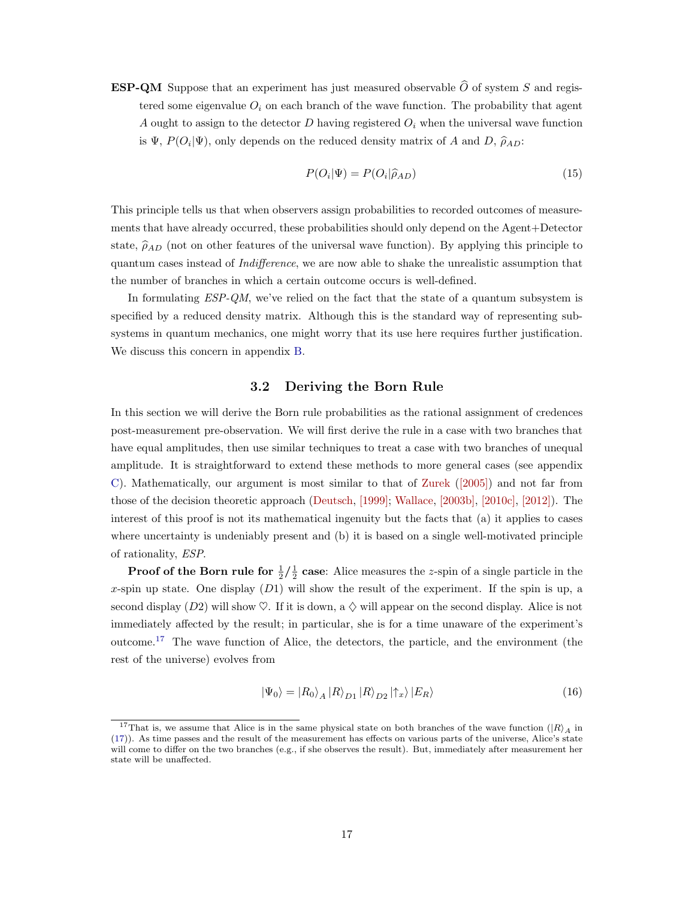**ESP-QM** Suppose that an experiment has just measured observable  $\widehat{O}$  of system S and registered some eigenvalue  $O_i$  on each branch of the wave function. The probability that agent A ought to assign to the detector  $D$  having registered  $O_i$  when the universal wave function is  $\Psi$ ,  $P(O_i | \Psi)$ , only depends on the reduced density matrix of A and D,  $\hat{\rho}_{AD}$ :

$$
P(O_i|\Psi) = P(O_i|\hat{\rho}_{AD})\tag{15}
$$

This principle tells us that when observers assign probabilities to recorded outcomes of measurements that have already occurred, these probabilities should only depend on the Agent+Detector state,  $\hat{\rho}_{AD}$  (not on other features of the universal wave function). By applying this principle to quantum cases instead of Indifference, we are now able to shake the unrealistic assumption that the number of branches in which a certain outcome occurs is well-defined.

In formulating *ESP-QM*, we've relied on the fact that the state of a quantum subsystem is specified by a reduced density matrix. Although this is the standard way of representing subsystems in quantum mechanics, one might worry that its use here requires further justification. We discuss this concern in appendix [B.](#page-36-0)

#### 3.2 Deriving the Born Rule

<span id="page-16-0"></span>In this section we will derive the Born rule probabilities as the rational assignment of credences post-measurement pre-observation. We will first derive the rule in a case with two branches that have equal amplitudes, then use similar techniques to treat a case with two branches of unequal amplitude. It is straightforward to extend these methods to more general cases (see appendix [C\)](#page-37-0). Mathematically, our argument is most similar to that of [Zurek](#page-43-1) [\(\[2005\]\)](#page-43-1) and not far from those of the decision theoretic approach [\(Deutsch,](#page-40-0) [\[1999\];](#page-40-0) [Wallace,](#page-43-12) [\[2003b\],](#page-43-12) [\[2010c\],](#page-43-0) [\[2012\]\)](#page-43-9). The interest of this proof is not its mathematical ingenuity but the facts that (a) it applies to cases where uncertainty is undeniably present and (b) it is based on a single well-motivated principle of rationality, ESP.

**Proof of the Born rule for**  $\frac{1}{2}$  / $\frac{1}{2}$  **case**: Alice measures the *z*-spin of a single particle in the x-spin up state. One display  $(D1)$  will show the result of the experiment. If the spin is up, a second display (D2) will show  $\heartsuit$ . If it is down, a  $\Diamond$  will appear on the second display. Alice is not immediately affected by the result; in particular, she is for a time unaware of the experiment's outcome.<sup>[17](#page-16-1)</sup> The wave function of Alice, the detectors, the particle, and the environment (the rest of the universe) evolves from

$$
|\Psi_0\rangle = |R_0\rangle_A |R\rangle_{D1} |R\rangle_{D2} |\uparrow_x\rangle |E_R\rangle
$$
\n(16)

<span id="page-16-1"></span><sup>&</sup>lt;sup>17</sup>That is, we assume that Alice is in the same physical state on both branches of the wave function  $(|R\rangle_A$  in [\(17\)](#page-17-0)). As time passes and the result of the measurement has effects on various parts of the universe, Alice's state will come to differ on the two branches (e.g., if she observes the result). But, immediately after measurement her state will be unaffected.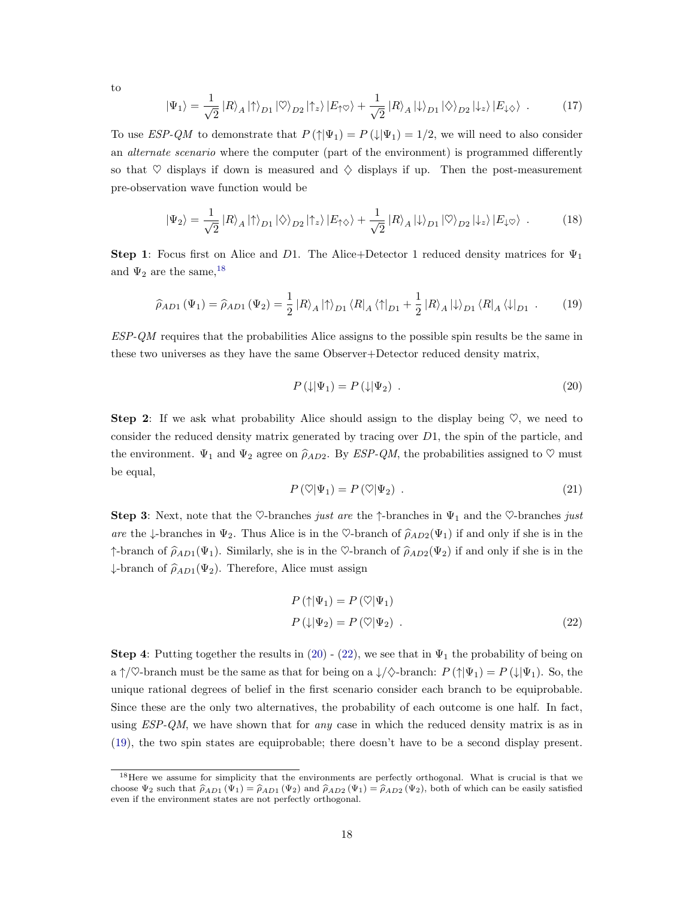to

<span id="page-17-0"></span>
$$
|\Psi_1\rangle = \frac{1}{\sqrt{2}} |R\rangle_A |\uparrow\rangle_{D1} |\heartsuit\rangle_{D2} |\uparrow_z\rangle |E_{\uparrow\heartsuit}\rangle + \frac{1}{\sqrt{2}} |R\rangle_A |\downarrow\rangle_{D1} |\diamondsuit\rangle_{D2} |\downarrow_z\rangle |E_{\downarrow\diamond}\rangle . \tag{17}
$$

To use ESP-QM to demonstrate that  $P(\uparrow \Psi_1) = P(\downarrow \Psi_1) = 1/2$ , we will need to also consider an alternate scenario where the computer (part of the environment) is programmed differently so that  $\heartsuit$  displays if down is measured and  $\Diamond$  displays if up. Then the post-measurement pre-observation wave function would be

$$
|\Psi_2\rangle = \frac{1}{\sqrt{2}} |R\rangle_A |\uparrow\rangle_{D1} |\diamond\rangle_{D2} |\uparrow_z\rangle |E_{\uparrow\diamond\rangle} + \frac{1}{\sqrt{2}} |R\rangle_A |\downarrow\rangle_{D1} |\heartsuit\rangle_{D2} |\downarrow_z\rangle |E_{\downarrow\heartsuit}\rangle . \tag{18}
$$

**Step 1**: Focus first on Alice and D1. The Alice+Detector 1 reduced density matrices for  $\Psi_1$ and  $\Psi_2$  are the same,  $^{18}$  $^{18}$  $^{18}$ 

<span id="page-17-4"></span>
$$
\widehat{\rho}_{AD1}(\Psi_1) = \widehat{\rho}_{AD1}(\Psi_2) = \frac{1}{2} |R\rangle_A |\!\uparrow\rangle_{D1} \langle R|_A \langle \uparrow|_{D1} + \frac{1}{2} |R\rangle_A |\!\downarrow\rangle_{D1} \langle R|_A \langle \downarrow|_{D1} . \qquad (19)
$$

ESP-QM requires that the probabilities Alice assigns to the possible spin results be the same in these two universes as they have the same Observer+Detector reduced density matrix,

<span id="page-17-2"></span>
$$
P(\downarrow|\Psi_1) = P(\downarrow|\Psi_2) . \tag{20}
$$

Step 2: If we ask what probability Alice should assign to the display being  $\heartsuit$ , we need to consider the reduced density matrix generated by tracing over D1, the spin of the particle, and the environment.  $\Psi_1$  and  $\Psi_2$  agree on  $\hat{\rho}_{AD2}$ . By ESP-QM, the probabilities assigned to  $\heartsuit$  must be equal,

$$
P(\heartsuit|\Psi_1) = P(\heartsuit|\Psi_2) . \tag{21}
$$

**Step 3:** Next, note that the  $\heartsuit$ -branches just are the  $\uparrow$ -branches in  $\Psi_1$  and the  $\heartsuit$ -branches just are the  $\downarrow$ -branches in  $\Psi_2$ . Thus Alice is in the  $\heartsuit$ -branch of  $\hat{\rho}_{AD2}(\Psi_1)$  if and only if she is in the ↑-branch of  $\hat{\rho}_{AD1}(\Psi_1)$ . Similarly, she is in the ♡-branch of  $\hat{\rho}_{AD2}(\Psi_2)$  if and only if she is in the  $\downarrow$ -branch of  $\hat{\rho}_{AD1}(\Psi_2)$ . Therefore, Alice must assign

<span id="page-17-3"></span>
$$
P(\uparrow | \Psi_1) = P(\heartsuit | \Psi_1)
$$
  
\n
$$
P(\downarrow | \Psi_2) = P(\heartsuit | \Psi_2) .
$$
\n(22)

Step 4: Putting together the results in [\(20\)](#page-17-2) - [\(22\)](#page-17-3), we see that in  $\Psi_1$  the probability of being on a  $\uparrow/\heartsuit$ -branch must be the same as that for being on a  $\downarrow/\diamondsuit$ -branch:  $P(\uparrow|\Psi_1) = P(\downarrow|\Psi_1)$ . So, the unique rational degrees of belief in the first scenario consider each branch to be equiprobable. Since these are the only two alternatives, the probability of each outcome is one half. In fact, using  $ESP-QM$ , we have shown that for *any* case in which the reduced density matrix is as in [\(19\)](#page-17-4), the two spin states are equiprobable; there doesn't have to be a second display present.

<span id="page-17-1"></span><sup>&</sup>lt;sup>18</sup>Here we assume for simplicity that the environments are perfectly orthogonal. What is crucial is that we choose  $\Psi_2$  such that  $\hat{\rho}_{AD1} (\Psi_1) = \hat{\rho}_{AD1} (\Psi_2)$  and  $\hat{\rho}_{AD2} (\Psi_1) = \hat{\rho}_{AD2} (\Psi_2)$ , both of which can be easily satisfied even if the environment states are not perfectly orthogonal.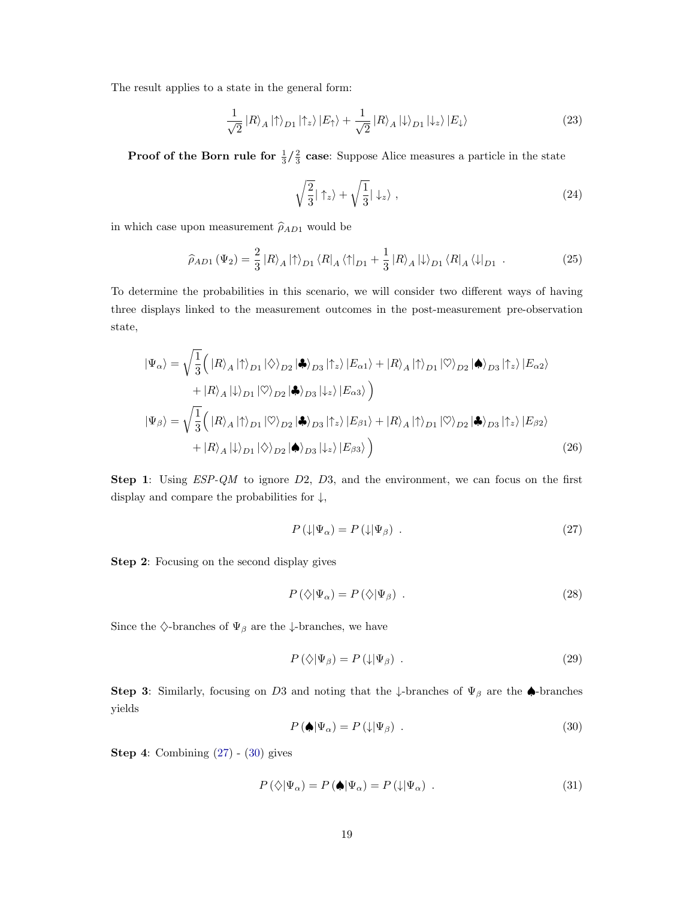The result applies to a state in the general form:

$$
\frac{1}{\sqrt{2}}\left|R\rangle_A\left|\uparrow\right\rangle_D_1\left|\uparrow_z\right\rangle\left|E_{\uparrow}\right\rangle+\frac{1}{\sqrt{2}}\left|R\rangle_A\left|\downarrow\right\rangle_D_1\left|\downarrow_z\right\rangle\left|E_{\downarrow}\right\rangle\tag{23}
$$

**Proof of the Born rule for**  $\frac{1}{3}$  / $\frac{2}{3}$  case: Suppose Alice measures a particle in the state

$$
\sqrt{\frac{2}{3}}|\uparrow_z\rangle + \sqrt{\frac{1}{3}}|\downarrow_z\rangle ,\qquad (24)
$$

in which case upon measurement  $\widehat{\rho}_{AD1}$  would be

<span id="page-18-2"></span>
$$
\widehat{\rho}_{AD1} \left( \Psi_2 \right) = \frac{2}{3} \left| R \right\rangle_A \left| \uparrow \right\rangle_{D1} \left\langle R \right|_A \left\langle \uparrow \right|_{D1} + \frac{1}{3} \left| R \right\rangle_A \left| \downarrow \right\rangle_{D1} \left\langle R \right|_A \left\langle \downarrow \right|_{D1} . \tag{25}
$$

To determine the probabilities in this scenario, we will consider two different ways of having three displays linked to the measurement outcomes in the post-measurement pre-observation state,

$$
|\Psi_{\alpha}\rangle = \sqrt{\frac{1}{3}} \Big( |R\rangle_{A} |{\uparrow}\rangle_{D1} |{\diamond}\rangle_{D2} |\clubsuit\rangle_{D3} |{\uparrow}_{z}\rangle |E_{\alpha1}\rangle + |R\rangle_{A} |{\uparrow}\rangle_{D1} |{\heartsuit}\rangle_{D2} |\spadesuit\rangle_{D3} |{\uparrow}_{z}\rangle |E_{\alpha2}\rangle
$$
  
+  $|R\rangle_{A} |{\downarrow}\rangle_{D1} |{\heartsuit}\rangle_{D2} |\clubsuit\rangle_{D3} |{\downarrow}_{z}\rangle |E_{\alpha3}\rangle \Big)$   

$$
|\Psi_{\beta}\rangle = \sqrt{\frac{1}{3}} \Big( |R\rangle_{A} |{\uparrow}\rangle_{D1} |{\heartsuit}\rangle_{D2} |\clubsuit\rangle_{D3} |{\uparrow}_{z}\rangle |E_{\beta1}\rangle + |R\rangle_{A} |{\uparrow}\rangle_{D1} |{\heartsuit}\rangle_{D2} |\clubsuit\rangle_{D3} |{\uparrow}_{z}\rangle |E_{\beta2}\rangle
$$
  
+  $|R\rangle_{A} |{\downarrow}\rangle_{D1} |{\diamond}\rangle_{D2} |\spadesuit\rangle_{D3} |{\downarrow}_{z}\rangle |E_{\beta3}\rangle \Big)$  (26)

Step 1: Using ESP-QM to ignore D2, D3, and the environment, we can focus on the first display and compare the probabilities for  $\downarrow$ ,

<span id="page-18-3"></span><span id="page-18-0"></span>
$$
P(\downarrow | \Psi_{\alpha}) = P(\downarrow | \Psi_{\beta}) \tag{27}
$$

Step 2: Focusing on the second display gives

$$
P\left(\diamondsuit|\Psi_{\alpha}\right) = P\left(\diamondsuit|\Psi_{\beta}\right) \tag{28}
$$

Since the  $\diamond$ -branches of  $\Psi_\beta$  are the  $\downarrow$ -branches, we have

$$
P\left(\diamondsuit|\Psi_{\beta}\right) = P\left(\downarrow|\Psi_{\beta}\right) \tag{29}
$$

Step 3: Similarly, focusing on D3 and noting that the ↓-branches of  $\Psi_\beta$  are the ◆-branches yields

<span id="page-18-1"></span>
$$
P(\spadesuit|\Psi_{\alpha}) = P(\downarrow|\Psi_{\beta}) \tag{30}
$$

**Step 4:** Combining  $(27)$  -  $(30)$  gives

$$
P(\diamondsuit|\Psi_{\alpha}) = P(\spadesuit|\Psi_{\alpha}) = P(\downarrow|\Psi_{\alpha}) . \tag{31}
$$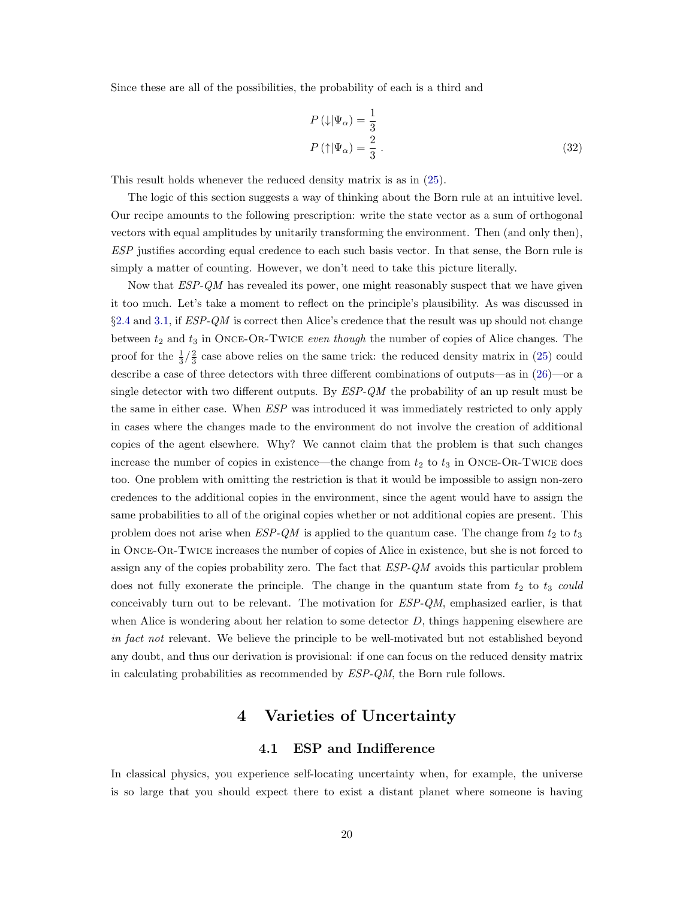Since these are all of the possibilities, the probability of each is a third and

$$
P(\downarrow | \Psi_{\alpha}) = \frac{1}{3}
$$
  
 
$$
P(\uparrow | \Psi_{\alpha}) = \frac{2}{3}.
$$
 (32)

This result holds whenever the reduced density matrix is as in [\(25\)](#page-18-2).

The logic of this section suggests a way of thinking about the Born rule at an intuitive level. Our recipe amounts to the following prescription: write the state vector as a sum of orthogonal vectors with equal amplitudes by unitarily transforming the environment. Then (and only then), ESP justifies according equal credence to each such basis vector. In that sense, the Born rule is simply a matter of counting. However, we don't need to take this picture literally.

Now that *ESP-QM* has revealed its power, one might reasonably suspect that we have given it too much. Let's take a moment to reflect on the principle's plausibility. As was discussed in §[2.4](#page-12-0) and [3.1,](#page-13-1) if ESP-QM is correct then Alice's credence that the result was up should not change between  $t_2$  and  $t_3$  in ONCE-OR-TWICE even though the number of copies of Alice changes. The proof for the  $\frac{1}{3}$  / $\frac{2}{3}$  case above relies on the same trick: the reduced density matrix in [\(25\)](#page-18-2) could describe a case of three detectors with three different combinations of outputs—as in [\(26\)](#page-18-3)—or a single detector with two different outputs. By  $ESP\text{-}QM$  the probability of an up result must be the same in either case. When ESP was introduced it was immediately restricted to only apply in cases where the changes made to the environment do not involve the creation of additional copies of the agent elsewhere. Why? We cannot claim that the problem is that such changes increase the number of copies in existence—the change from  $t_2$  to  $t_3$  in ONCE-OR-TWICE does too. One problem with omitting the restriction is that it would be impossible to assign non-zero credences to the additional copies in the environment, since the agent would have to assign the same probabilities to all of the original copies whether or not additional copies are present. This problem does not arise when  $ESP\text{-}QM$  is applied to the quantum case. The change from  $t_2$  to  $t_3$ in Once-Or-Twice increases the number of copies of Alice in existence, but she is not forced to assign any of the copies probability zero. The fact that  $ESP\text{-}QM$  avoids this particular problem does not fully exonerate the principle. The change in the quantum state from  $t_2$  to  $t_3$  could conceivably turn out to be relevant. The motivation for  $ESP-QM$ , emphasized earlier, is that when Alice is wondering about her relation to some detector  $D$ , things happening elsewhere are in fact not relevant. We believe the principle to be well-motivated but not established beyond any doubt, and thus our derivation is provisional: if one can focus on the reduced density matrix in calculating probabilities as recommended by ESP-QM, the Born rule follows.

## 4 Varieties of Uncertainty

#### 4.1 ESP and Indifference

<span id="page-19-1"></span><span id="page-19-0"></span>In classical physics, you experience self-locating uncertainty when, for example, the universe is so large that you should expect there to exist a distant planet where someone is having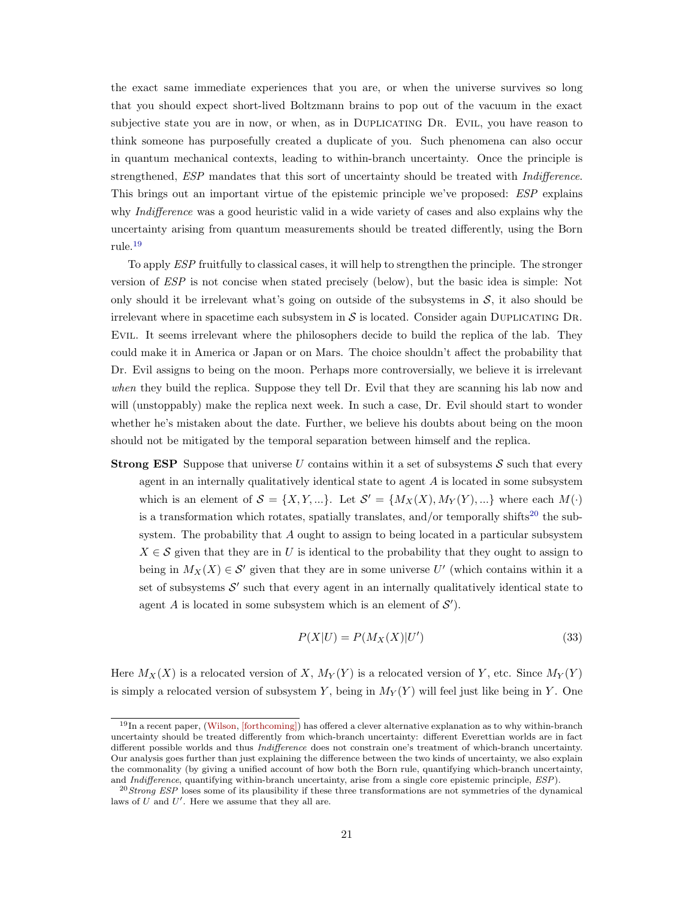the exact same immediate experiences that you are, or when the universe survives so long that you should expect short-lived Boltzmann brains to pop out of the vacuum in the exact subjective state you are in now, or when, as in DUPLICATING DR. EVIL, you have reason to think someone has purposefully created a duplicate of you. Such phenomena can also occur in quantum mechanical contexts, leading to within-branch uncertainty. Once the principle is strengthened, *ESP* mandates that this sort of uncertainty should be treated with *Indifference*. This brings out an important virtue of the epistemic principle we've proposed: ESP explains why Indifference was a good heuristic valid in a wide variety of cases and also explains why the uncertainty arising from quantum measurements should be treated differently, using the Born rule.[19](#page-20-0)

To apply ESP fruitfully to classical cases, it will help to strengthen the principle. The stronger version of ESP is not concise when stated precisely (below), but the basic idea is simple: Not only should it be irrelevant what's going on outside of the subsystems in  $S$ , it also should be irrelevant where in spacetime each subsystem in  $S$  is located. Consider again DUPLICATING DR. Evil. It seems irrelevant where the philosophers decide to build the replica of the lab. They could make it in America or Japan or on Mars. The choice shouldn't affect the probability that Dr. Evil assigns to being on the moon. Perhaps more controversially, we believe it is irrelevant when they build the replica. Suppose they tell Dr. Evil that they are scanning his lab now and will (unstoppably) make the replica next week. In such a case, Dr. Evil should start to wonder whether he's mistaken about the date. Further, we believe his doubts about being on the moon should not be mitigated by the temporal separation between himself and the replica.

**Strong ESP** Suppose that universe U contains within it a set of subsystems  $S$  such that every agent in an internally qualitatively identical state to agent  $A$  is located in some subsystem which is an element of  $S = \{X, Y, ...\}$ . Let  $S' = \{M_X(X), M_Y(Y), ...\}$  where each  $M(\cdot)$ is a transformation which rotates, spatially translates, and/or temporally shifts<sup>[20](#page-20-1)</sup> the subsystem. The probability that A ought to assign to being located in a particular subsystem  $X \in \mathcal{S}$  given that they are in U is identical to the probability that they ought to assign to being in  $M_X(X) \in \mathcal{S}'$  given that they are in some universe U' (which contains within it a set of subsystems  $\mathcal{S}'$  such that every agent in an internally qualitatively identical state to agent A is located in some subsystem which is an element of  $\mathcal{S}'$ .

<span id="page-20-2"></span>
$$
P(X|U) = P(M_X(X)|U')\tag{33}
$$

Here  $M_X(X)$  is a relocated version of X,  $M_Y(Y)$  is a relocated version of Y, etc. Since  $M_Y(Y)$ is simply a relocated version of subsystem Y, being in  $M_Y(Y)$  will feel just like being in Y. One

<span id="page-20-0"></span><sup>19</sup>In a recent paper, [\(Wilson,](#page-43-13) [\[forthcoming\]\)](#page-43-13) has offered a clever alternative explanation as to why within-branch uncertainty should be treated differently from which-branch uncertainty: different Everettian worlds are in fact different possible worlds and thus Indifference does not constrain one's treatment of which-branch uncertainty. Our analysis goes further than just explaining the difference between the two kinds of uncertainty, we also explain the commonality (by giving a unified account of how both the Born rule, quantifying which-branch uncertainty, and Indifference, quantifying within-branch uncertainty, arise from a single core epistemic principle, ESP).

<span id="page-20-1"></span> $^{20}$  Strong ESP loses some of its plausibility if these three transformations are not symmetries of the dynamical laws of  $U$  and  $U'$ . Here we assume that they all are.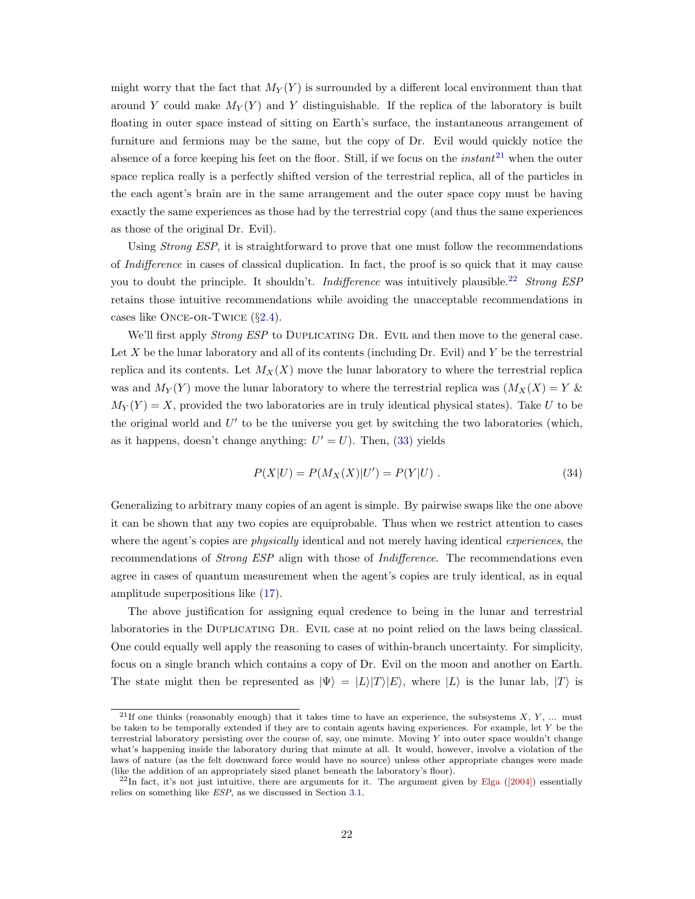might worry that the fact that  $M_Y(Y)$  is surrounded by a different local environment than that around Y could make  $M_Y(Y)$  and Y distinguishable. If the replica of the laboratory is built floating in outer space instead of sitting on Earth's surface, the instantaneous arrangement of furniture and fermions may be the same, but the copy of Dr. Evil would quickly notice the absence of a force keeping his feet on the floor. Still, if we focus on the  $instant^{21}$  $instant^{21}$  $instant^{21}$  when the outer space replica really is a perfectly shifted version of the terrestrial replica, all of the particles in the each agent's brain are in the same arrangement and the outer space copy must be having exactly the same experiences as those had by the terrestrial copy (and thus the same experiences as those of the original Dr. Evil).

Using Strong ESP, it is straightforward to prove that one must follow the recommendations of Indifference in cases of classical duplication. In fact, the proof is so quick that it may cause you to doubt the principle. It shouldn't. *Indifference* was intuitively plausible.<sup>[22](#page-21-1)</sup> Strong ESP retains those intuitive recommendations while avoiding the unacceptable recommendations in cases like ONCE-OR-TWICE  $(\S2.4)$  $(\S2.4)$ .

We'll first apply *Strong ESP* to DUPLICATING DR. EVIL and then move to the general case. Let X be the lunar laboratory and all of its contents (including  $Dr$ . Evil) and Y be the terrestrial replica and its contents. Let  $M_X(X)$  move the lunar laboratory to where the terrestrial replica was and  $M_Y(Y)$  move the lunar laboratory to where the terrestrial replica was  $(M_X(X) = Y \&$  $M_Y(Y) = X$ , provided the two laboratories are in truly identical physical states). Take U to be the original world and  $U'$  to be the universe you get by switching the two laboratories (which, as it happens, doesn't change anything:  $U' = U$ ). Then, [\(33\)](#page-20-2) yields

$$
P(X|U) = P(M_X(X)|U') = P(Y|U) .
$$
\n(34)

Generalizing to arbitrary many copies of an agent is simple. By pairwise swaps like the one above it can be shown that any two copies are equiprobable. Thus when we restrict attention to cases where the agent's copies are *physically* identical and not merely having identical *experiences*, the recommendations of *Strong ESP* align with those of *Indifference*. The recommendations even agree in cases of quantum measurement when the agent's copies are truly identical, as in equal amplitude superpositions like [\(17\)](#page-17-0).

The above justification for assigning equal credence to being in the lunar and terrestrial laboratories in the Duplicating Dr. Evil case at no point relied on the laws being classical. One could equally well apply the reasoning to cases of within-branch uncertainty. For simplicity, focus on a single branch which contains a copy of Dr. Evil on the moon and another on Earth. The state might then be represented as  $|\Psi\rangle = |L\rangle|T\rangle|E\rangle$ , where  $|L\rangle$  is the lunar lab,  $|T\rangle$  is

<span id="page-21-0"></span><sup>&</sup>lt;sup>21</sup>If one thinks (reasonably enough) that it takes time to have an experience, the subsystems  $X, Y, ...$  must be taken to be temporally extended if they are to contain agents having experiences. For example, let Y be the terrestrial laboratory persisting over the course of, say, one minute. Moving  $Y$  into outer space wouldn't change what's happening inside the laboratory during that minute at all. It would, however, involve a violation of the laws of nature (as the felt downward force would have no source) unless other appropriate changes were made (like the addition of an appropriately sized planet beneath the laboratory's floor).

<span id="page-21-1"></span> $^{22}$ In fact, it's not just intuitive, there are arguments for it. The argument given by [Elga](#page-40-1) [\(\[2004\]\)](#page-40-1) essentially relies on something like ESP, as we discussed in Section [3.1.](#page-13-1)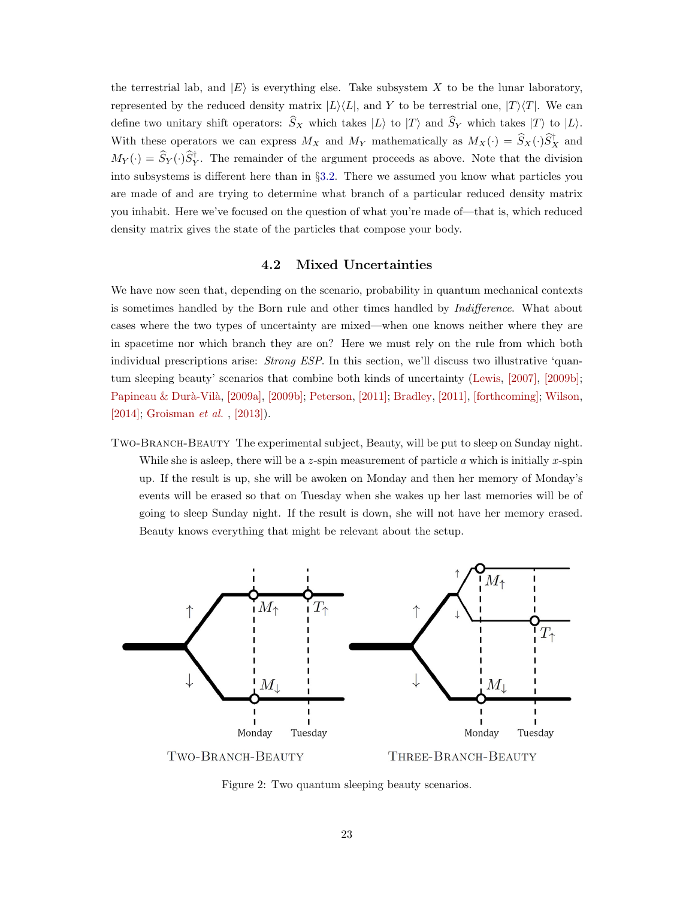the terrestrial lab, and  $|E\rangle$  is everything else. Take subsystem X to be the lunar laboratory, represented by the reduced density matrix  $|L\rangle\langle L|$ , and Y to be terrestrial one,  $|T\rangle\langle T|$ . We can define two unitary shift operators:  $\widehat{S}_X$  which takes  $|L\rangle$  to  $|T\rangle$  and  $\widehat{S}_Y$  which takes  $|T\rangle$  to  $|L\rangle$ . With these operators we can express  $M_X$  and  $M_Y$  mathematically as  $M_X(\cdot) = \widehat{S}_X(\cdot) \widehat{S}_X^{\dagger}$  and  $M_Y(\cdot) = \hat{S}_Y(\cdot)\hat{S}_Y^{\dagger}$ . The remainder of the argument proceeds as above. Note that the division into subsystems is different here than in §[3.2.](#page-16-0) There we assumed you know what particles you are made of and are trying to determine what branch of a particular reduced density matrix you inhabit. Here we've focused on the question of what you're made of—that is, which reduced density matrix gives the state of the particles that compose your body.

#### 4.2 Mixed Uncertainties

<span id="page-22-0"></span>We have now seen that, depending on the scenario, probability in quantum mechanical contexts is sometimes handled by the Born rule and other times handled by Indifference. What about cases where the two types of uncertainty are mixed—when one knows neither where they are in spacetime nor which branch they are on? Here we must rely on the rule from which both individual prescriptions arise: *Strong ESP*. In this section, we'll discuss two illustrative 'quantum sleeping beauty' scenarios that combine both kinds of uncertainty [\(Lewis,](#page-41-8) [\[2007\],](#page-41-8) [\[2009b\];](#page-41-9) Papineau & Durà-Vilà, [\[2009a\],](#page-41-10) [\[2009b\];](#page-41-11) [Peterson,](#page-41-12) [\[2011\];](#page-41-12) [Bradley,](#page-40-3) [\[2011\],](#page-40-3) [\[forthcoming\];](#page-40-4) [Wilson,](#page-43-14) [\[2014\];](#page-43-14) [Groisman](#page-41-13) et al., [\[2013\]\)](#page-41-13).

Two-Branch-Beauty The experimental subject, Beauty, will be put to sleep on Sunday night. While she is asleep, there will be a z-spin measurement of particle  $a$  which is initially x-spin up. If the result is up, she will be awoken on Monday and then her memory of Monday's events will be erased so that on Tuesday when she wakes up her last memories will be of going to sleep Sunday night. If the result is down, she will not have her memory erased. Beauty knows everything that might be relevant about the setup.



Figure 2: Two quantum sleeping beauty scenarios.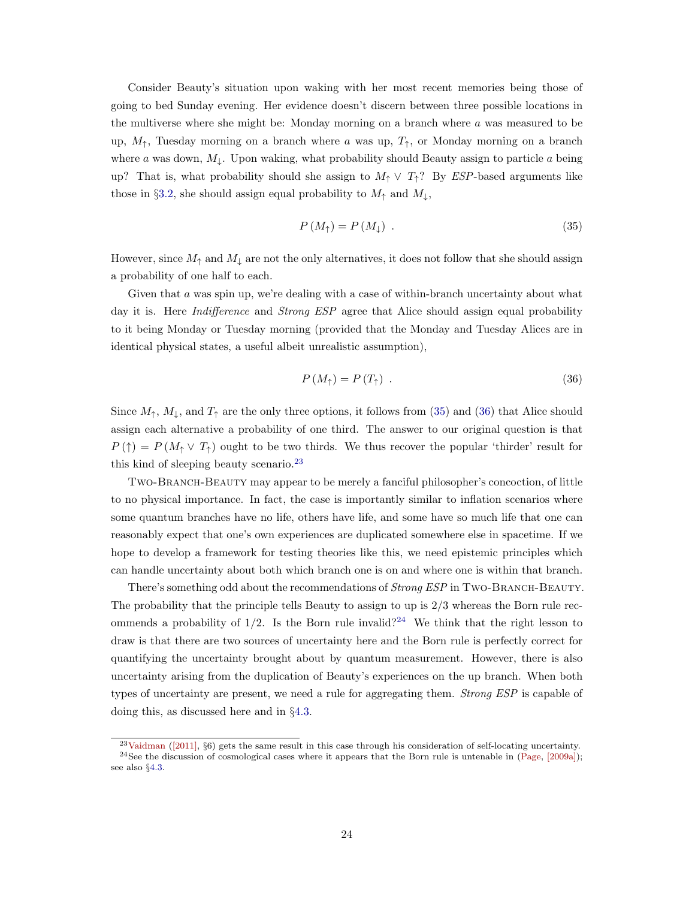Consider Beauty's situation upon waking with her most recent memories being those of going to bed Sunday evening. Her evidence doesn't discern between three possible locations in the multiverse where she might be: Monday morning on a branch where  $a$  was measured to be up,  $M_{\uparrow}$ , Tuesday morning on a branch where a was up,  $T_{\uparrow}$ , or Monday morning on a branch where a was down,  $M_{\downarrow}$ . Upon waking, what probability should Beauty assign to particle a being up? That is, what probability should she assign to  $M_{\uparrow} \vee T_{\uparrow}$ ? By *ESP*-based arguments like those in §[3.2,](#page-16-0) she should assign equal probability to  $M_{\uparrow}$  and  $M_{\downarrow}$ ,

<span id="page-23-0"></span>
$$
P(M_{\uparrow}) = P(M_{\downarrow}) \tag{35}
$$

However, since  $M_{\uparrow}$  and  $M_{\downarrow}$  are not the only alternatives, it does not follow that she should assign a probability of one half to each.

Given that a was spin up, we're dealing with a case of within-branch uncertainty about what day it is. Here *Indifference* and *Strong ESP* agree that Alice should assign equal probability to it being Monday or Tuesday morning (provided that the Monday and Tuesday Alices are in identical physical states, a useful albeit unrealistic assumption),

<span id="page-23-1"></span>
$$
P\left(M_{\uparrow}\right) = P\left(T_{\uparrow}\right) \tag{36}
$$

Since  $M_{\uparrow}$ ,  $M_{\downarrow}$ , and  $T_{\uparrow}$  are the only three options, it follows from [\(35\)](#page-23-0) and [\(36\)](#page-23-1) that Alice should assign each alternative a probability of one third. The answer to our original question is that  $P(\uparrow) = P(M_{\uparrow} \vee T_{\uparrow})$  ought to be two thirds. We thus recover the popular 'thirder' result for this kind of sleeping beauty scenario.<sup>[23](#page-23-2)</sup>

Two-Branch-Beauty may appear to be merely a fanciful philosopher's concoction, of little to no physical importance. In fact, the case is importantly similar to inflation scenarios where some quantum branches have no life, others have life, and some have so much life that one can reasonably expect that one's own experiences are duplicated somewhere else in spacetime. If we hope to develop a framework for testing theories like this, we need epistemic principles which can handle uncertainty about both which branch one is on and where one is within that branch.

There's something odd about the recommendations of *Strong ESP* in Two-BRANCH-BEAUTY. The probability that the principle tells Beauty to assign to up is 2/3 whereas the Born rule recommends a probability of  $1/2$ . Is the Born rule invalid?<sup>[24](#page-23-3)</sup> We think that the right lesson to draw is that there are two sources of uncertainty here and the Born rule is perfectly correct for quantifying the uncertainty brought about by quantum measurement. However, there is also uncertainty arising from the duplication of Beauty's experiences on the up branch. When both types of uncertainty are present, we need a rule for aggregating them. Strong ESP is capable of doing this, as discussed here and in §[4.3.](#page-24-0)

<span id="page-23-3"></span><span id="page-23-2"></span><sup>23</sup>[Vaidman](#page-42-9) [\(\[2011\],](#page-42-9) §6) gets the same result in this case through his consideration of self-locating uncertainty. <sup>24</sup>See the discussion of cosmological cases where it appears that the Born rule is untenable in [\(Page,](#page-41-14)  $[2009a]$ ); see also §[4.3.](#page-24-0)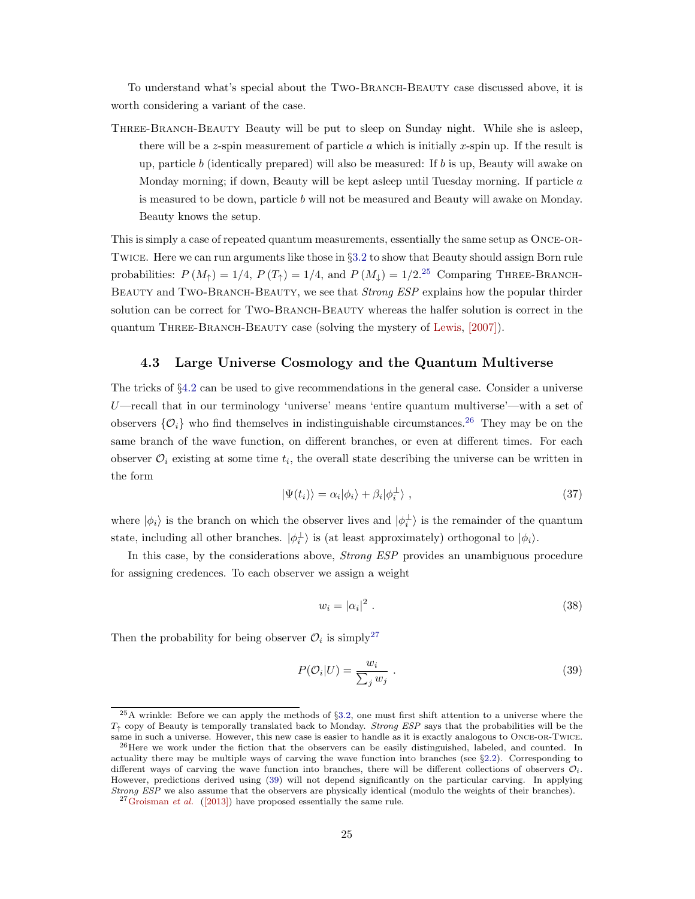To understand what's special about the Two-Branch-Beauty case discussed above, it is worth considering a variant of the case.

Three-Branch-Beauty Beauty will be put to sleep on Sunday night. While she is asleep, there will be a z-spin measurement of particle  $\alpha$  which is initially x-spin up. If the result is up, particle b (identically prepared) will also be measured: If  $b$  is up, Beauty will awake on Monday morning; if down, Beauty will be kept asleep until Tuesday morning. If particle a is measured to be down, particle  $b$  will not be measured and Beauty will awake on Monday. Beauty knows the setup.

This is simply a case of repeated quantum measurements, essentially the same setup as Once-or-Twice. Here we can run arguments like those in §[3.2](#page-16-0) to show that Beauty should assign Born rule probabilities:  $P(M<sub>†</sub>) = 1/4$ ,  $P(T<sub>†</sub>) = 1/4$ , and  $P(M<sub>⊥</sub>) = 1/2<sup>25</sup>$  $P(M<sub>⊥</sub>) = 1/2<sup>25</sup>$  $P(M<sub>⊥</sub>) = 1/2<sup>25</sup>$  Comparing THREE-BRANCH-BEAUTY and TWO-BRANCH-BEAUTY, we see that *Strong ESP* explains how the popular thirder solution can be correct for TWO-BRANCH-BEAUTY whereas the halfer solution is correct in the quantum Three-Branch-Beauty case (solving the mystery of [Lewis,](#page-41-8) [\[2007\]\)](#page-41-8).

#### <span id="page-24-0"></span>4.3 Large Universe Cosmology and the Quantum Multiverse

The tricks of §[4.2](#page-22-0) can be used to give recommendations in the general case. Consider a universe  $U$ —recall that in our terminology 'universe' means 'entire quantum multiverse'—with a set of observers  $\{\mathcal{O}_i\}$  who find themselves in indistinguishable circumstances.<sup>[26](#page-24-2)</sup> They may be on the same branch of the wave function, on different branches, or even at different times. For each observer  $\mathcal{O}_i$  existing at some time  $t_i$ , the overall state describing the universe can be written in the form

$$
|\Psi(t_i)\rangle = \alpha_i|\phi_i\rangle + \beta_i|\phi_i^{\perp}\rangle \tag{37}
$$

where  $|\phi_i\rangle$  is the branch on which the observer lives and  $|\phi_i^{\perp}\rangle$  is the remainder of the quantum state, including all other branches.  $|\phi_i^{\perp}\rangle$  is (at least approximately) orthogonal to  $|\phi_i\rangle$ .

In this case, by the considerations above, *Strong ESP* provides an unambiguous procedure for assigning credences. To each observer we assign a weight

$$
w_i = |\alpha_i|^2 \tag{38}
$$

Then the probability for being observer  $\mathcal{O}_i$  is simply<sup>[27](#page-24-3)</sup>

<span id="page-24-4"></span>
$$
P(\mathcal{O}_i|U) = \frac{w_i}{\sum_j w_j} \tag{39}
$$

<span id="page-24-1"></span><sup>25</sup>A wrinkle: Before we can apply the methods of §[3.2,](#page-16-0) one must first shift attention to a universe where the  $T<sub>†</sub>$  copy of Beauty is temporally translated back to Monday. Strong ESP says that the probabilities will be the same in such a universe. However, this new case is easier to handle as it is exactly analogous to ONCE-OR-TWICE.

<span id="page-24-2"></span><sup>&</sup>lt;sup>26</sup>Here we work under the fiction that the observers can be easily distinguished, labeled, and counted. In actuality there may be multiple ways of carving the wave function into branches (see  $\S 2.2$ ). Corresponding to different ways of carving the wave function into branches, there will be different collections of observers  $\mathcal{O}_i$ . However, predictions derived using [\(39\)](#page-24-4) will not depend significantly on the particular carving. In applying Strong ESP we also assume that the observers are physically identical (modulo the weights of their branches).

<span id="page-24-3"></span> $27$ [Groisman](#page-41-13) *et al.* [\(\[2013\]\)](#page-41-13) have proposed essentially the same rule.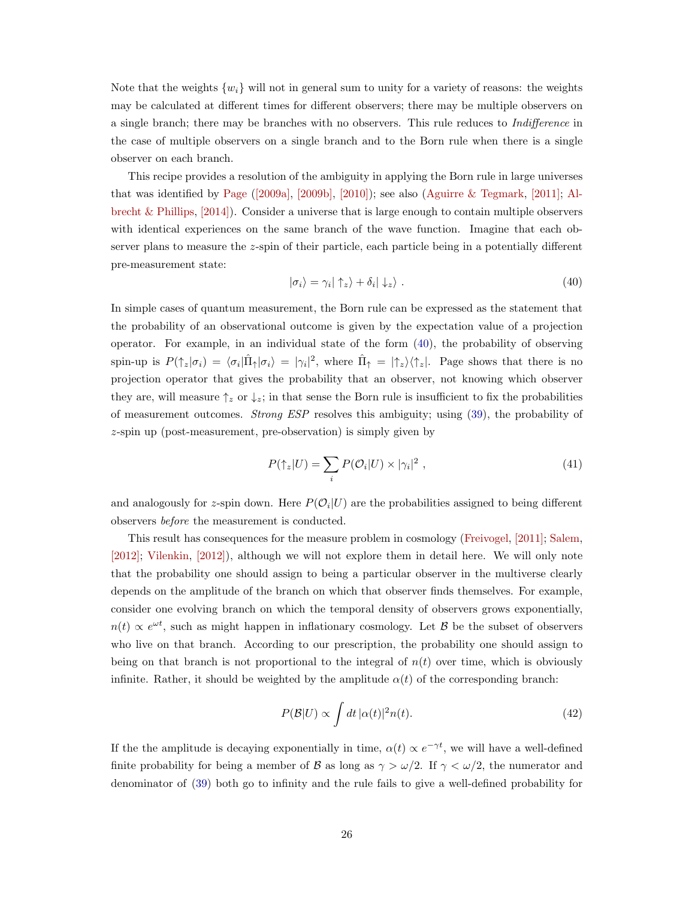Note that the weights  $\{w_i\}$  will not in general sum to unity for a variety of reasons: the weights may be calculated at different times for different observers; there may be multiple observers on a single branch; there may be branches with no observers. This rule reduces to Indifference in the case of multiple observers on a single branch and to the Born rule when there is a single observer on each branch.

This recipe provides a resolution of the ambiguity in applying the Born rule in large universes that was identified by [Page](#page-41-14)  $([2009a], [2009b], [2010])$  $([2009a], [2009b], [2010])$  $([2009a], [2009b], [2010])$  $([2009a], [2009b], [2010])$  $([2009a], [2009b], [2010])$ ; see also  $(A$ guirre & Tegmark,  $[2011]$ ; [Al](#page-40-6)[brecht & Phillips,](#page-40-6) [\[2014\]\)](#page-40-6). Consider a universe that is large enough to contain multiple observers with identical experiences on the same branch of the wave function. Imagine that each observer plans to measure the z-spin of their particle, each particle being in a potentially different pre-measurement state:

<span id="page-25-0"></span>
$$
|\sigma_i\rangle = \gamma_i |\uparrow_z\rangle + \delta_i |\downarrow_z\rangle. \tag{40}
$$

In simple cases of quantum measurement, the Born rule can be expressed as the statement that the probability of an observational outcome is given by the expectation value of a projection operator. For example, in an individual state of the form [\(40\)](#page-25-0), the probability of observing spin-up is  $P(\uparrow_z|\sigma_i) = \langle \sigma_i|\hat{\Pi}_{\uparrow}|\sigma_i\rangle = |\gamma_i|^2$ , where  $\hat{\Pi}_{\uparrow} = |\uparrow_z\rangle\langle\uparrow_z|$ . Page shows that there is no projection operator that gives the probability that an observer, not knowing which observer they are, will measure  $\uparrow_z$  or  $\downarrow_z$ ; in that sense the Born rule is insufficient to fix the probabilities of measurement outcomes. Strong ESP resolves this ambiguity; using [\(39\)](#page-24-4), the probability of z-spin up (post-measurement, pre-observation) is simply given by

$$
P(\uparrow_z|U) = \sum_i P(\mathcal{O}_i|U) \times |\gamma_i|^2 \,,\tag{41}
$$

and analogously for z-spin down. Here  $P(\mathcal{O}_i|U)$  are the probabilities assigned to being different observers before the measurement is conducted.

This result has consequences for the measure problem in cosmology [\(Freivogel,](#page-40-7) [\[2011\];](#page-40-7) [Salem,](#page-41-17) [\[2012\];](#page-41-17) [Vilenkin,](#page-42-10) [\[2012\]\)](#page-42-10), although we will not explore them in detail here. We will only note that the probability one should assign to being a particular observer in the multiverse clearly depends on the amplitude of the branch on which that observer finds themselves. For example, consider one evolving branch on which the temporal density of observers grows exponentially,  $n(t) \propto e^{\omega t}$ , such as might happen in inflationary cosmology. Let B be the subset of observers who live on that branch. According to our prescription, the probability one should assign to being on that branch is not proportional to the integral of  $n(t)$  over time, which is obviously infinite. Rather, it should be weighted by the amplitude  $\alpha(t)$  of the corresponding branch:

$$
P(\mathcal{B}|U) \propto \int dt \, |\alpha(t)|^2 n(t). \tag{42}
$$

If the the amplitude is decaying exponentially in time,  $\alpha(t) \propto e^{-\gamma t}$ , we will have a well-defined finite probability for being a member of B as long as  $\gamma > \omega/2$ . If  $\gamma < \omega/2$ , the numerator and denominator of [\(39\)](#page-24-4) both go to infinity and the rule fails to give a well-defined probability for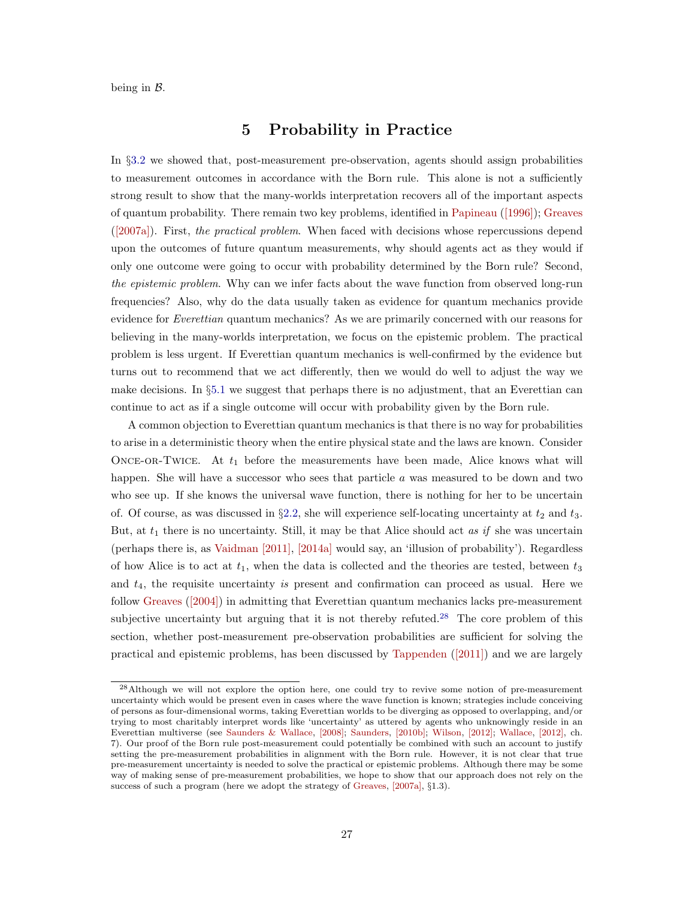## 5 Probability in Practice

<span id="page-26-0"></span>In §[3.2](#page-16-0) we showed that, post-measurement pre-observation, agents should assign probabilities to measurement outcomes in accordance with the Born rule. This alone is not a sufficiently strong result to show that the many-worlds interpretation recovers all of the important aspects of quantum probability. There remain two key problems, identified in [Papineau](#page-41-18) [\(\[1996\]\)](#page-41-18); [Greaves](#page-40-8) [\(\[2007a\]\)](#page-40-8). First, the practical problem. When faced with decisions whose repercussions depend upon the outcomes of future quantum measurements, why should agents act as they would if only one outcome were going to occur with probability determined by the Born rule? Second, the epistemic problem. Why can we infer facts about the wave function from observed long-run frequencies? Also, why do the data usually taken as evidence for quantum mechanics provide evidence for *Everettian* quantum mechanics? As we are primarily concerned with our reasons for believing in the many-worlds interpretation, we focus on the epistemic problem. The practical problem is less urgent. If Everettian quantum mechanics is well-confirmed by the evidence but turns out to recommend that we act differently, then we would do well to adjust the way we make decisions. In §[5.1](#page-27-0) we suggest that perhaps there is no adjustment, that an Everettian can continue to act as if a single outcome will occur with probability given by the Born rule.

A common objection to Everettian quantum mechanics is that there is no way for probabilities to arise in a deterministic theory when the entire physical state and the laws are known. Consider ONCE-OR-TWICE. At  $t_1$  before the measurements have been made, Alice knows what will happen. She will have a successor who sees that particle a was measured to be down and two who see up. If she knows the universal wave function, there is nothing for her to be uncertain of. Of course, as was discussed in §[2.2,](#page-8-0) she will experience self-locating uncertainty at  $t_2$  and  $t_3$ . But, at  $t_1$  there is no uncertainty. Still, it may be that Alice should act as if she was uncertain (perhaps there is, as [Vaidman](#page-42-9) [\[2011\],](#page-42-9) [\[2014a\]](#page-42-5) would say, an 'illusion of probability'). Regardless of how Alice is to act at  $t_1$ , when the data is collected and the theories are tested, between  $t_3$ and  $t<sub>4</sub>$ , the requisite uncertainty is present and confirmation can proceed as usual. Here we follow [Greaves](#page-40-9) [\(\[2004\]\)](#page-40-9) in admitting that Everettian quantum mechanics lacks pre-measurement subjective uncertainty but arguing that it is not thereby refuted.<sup>[28](#page-26-1)</sup> The core problem of this section, whether post-measurement pre-observation probabilities are sufficient for solving the practical and epistemic problems, has been discussed by [Tappenden](#page-42-11) [\(\[2011\]\)](#page-42-11) and we are largely

<span id="page-26-1"></span><sup>28</sup>Although we will not explore the option here, one could try to revive some notion of pre-measurement uncertainty which would be present even in cases where the wave function is known; strategies include conceiving of persons as four-dimensional worms, taking Everettian worlds to be diverging as opposed to overlapping, and/or trying to most charitably interpret words like 'uncertainty' as uttered by agents who unknowingly reside in an Everettian multiverse (see [Saunders & Wallace,](#page-42-12) [\[2008\];](#page-42-12) [Saunders,](#page-42-4) [\[2010b\];](#page-42-4) [Wilson,](#page-43-8) [\[2012\];](#page-43-8) [Wallace,](#page-43-9) [\[2012\],](#page-43-9) ch. 7). Our proof of the Born rule post-measurement could potentially be combined with such an account to justify setting the pre-measurement probabilities in alignment with the Born rule. However, it is not clear that true pre-measurement uncertainty is needed to solve the practical or epistemic problems. Although there may be some way of making sense of pre-measurement probabilities, we hope to show that our approach does not rely on the success of such a program (here we adopt the strategy of [Greaves,](#page-40-8) [\[2007a\],](#page-40-8) §1.3).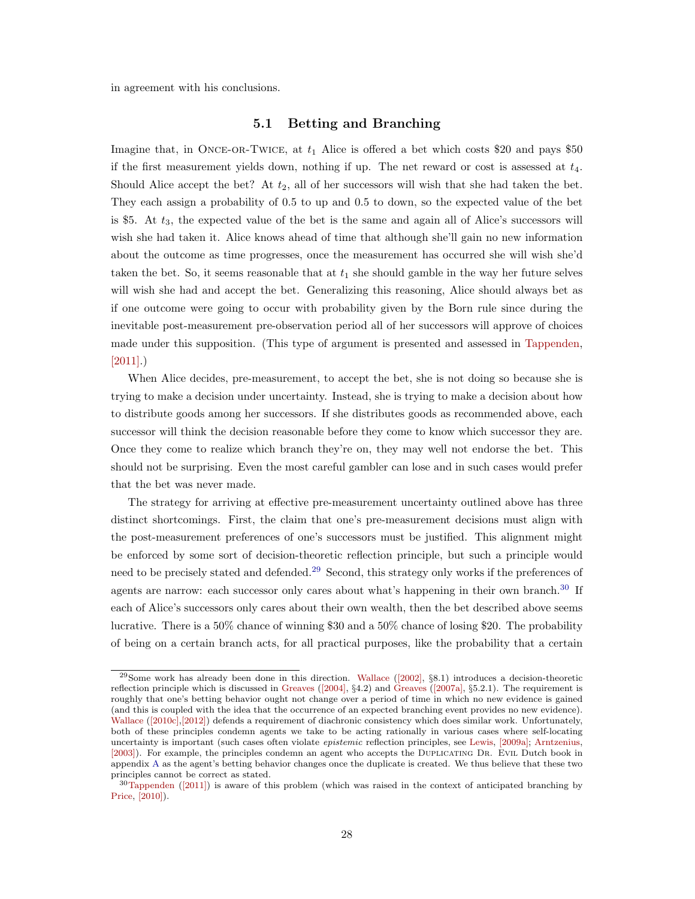<span id="page-27-0"></span>in agreement with his conclusions.

#### 5.1 Betting and Branching

Imagine that, in ONCE-OR-TWICE, at  $t_1$  Alice is offered a bet which costs \$20 and pays \$50 if the first measurement yields down, nothing if up. The net reward or cost is assessed at  $t_4$ . Should Alice accept the bet? At  $t_2$ , all of her successors will wish that she had taken the bet. They each assign a probability of 0.5 to up and 0.5 to down, so the expected value of the bet is \$5. At  $t_3$ , the expected value of the bet is the same and again all of Alice's successors will wish she had taken it. Alice knows ahead of time that although she'll gain no new information about the outcome as time progresses, once the measurement has occurred she will wish she'd taken the bet. So, it seems reasonable that at  $t_1$  she should gamble in the way her future selves will wish she had and accept the bet. Generalizing this reasoning, Alice should always bet as if one outcome were going to occur with probability given by the Born rule since during the inevitable post-measurement pre-observation period all of her successors will approve of choices made under this supposition. (This type of argument is presented and assessed in [Tappenden,](#page-42-11) [\[2011\].](#page-42-11))

When Alice decides, pre-measurement, to accept the bet, she is not doing so because she is trying to make a decision under uncertainty. Instead, she is trying to make a decision about how to distribute goods among her successors. If she distributes goods as recommended above, each successor will think the decision reasonable before they come to know which successor they are. Once they come to realize which branch they're on, they may well not endorse the bet. This should not be surprising. Even the most careful gambler can lose and in such cases would prefer that the bet was never made.

The strategy for arriving at effective pre-measurement uncertainty outlined above has three distinct shortcomings. First, the claim that one's pre-measurement decisions must align with the post-measurement preferences of one's successors must be justified. This alignment might be enforced by some sort of decision-theoretic reflection principle, but such a principle would need to be precisely stated and defended.[29](#page-27-1) Second, this strategy only works if the preferences of agents are narrow: each successor only cares about what's happening in their own branch.<sup>[30](#page-27-2)</sup> If each of Alice's successors only cares about their own wealth, then the bet described above seems lucrative. There is a 50% chance of winning \$30 and a 50% chance of losing \$20. The probability of being on a certain branch acts, for all practical purposes, like the probability that a certain

<span id="page-27-1"></span><sup>29</sup>Some work has already been done in this direction. [Wallace](#page-42-13) [\(\[2002\],](#page-42-13) §8.1) introduces a decision-theoretic reflection principle which is discussed in [Greaves](#page-40-9) [\(\[2004\],](#page-40-9) §4.2) and [Greaves](#page-40-8) [\(\[2007a\],](#page-40-8) §5.2.1). The requirement is roughly that one's betting behavior ought not change over a period of time in which no new evidence is gained (and this is coupled with the idea that the occurrence of an expected branching event provides no new evidence). [Wallace](#page-43-0) [\(\[2010c\],](#page-43-0)[\[2012\]\)](#page-43-9) defends a requirement of diachronic consistency which does similar work. Unfortunately, both of these principles condemn agents we take to be acting rationally in various cases where self-locating uncertainty is important (such cases often violate epistemic reflection principles, see [Lewis,](#page-41-7) [\[2009a\];](#page-41-7) [Arntzenius,](#page-40-10) [\[2003\]\)](#page-40-10). For example, the principles condemn an agent who accepts the Duplicating Dr. Evil Dutch book in appendix [A](#page-34-0) as the agent's betting behavior changes once the duplicate is created. We thus believe that these two principles cannot be correct as stated.

<span id="page-27-2"></span> $30$ [Tappenden](#page-42-11) [\(\[2011\]\)](#page-42-11) is aware of this problem (which was raised in the context of anticipated branching by [Price,](#page-41-19) [\[2010\]\)](#page-41-19).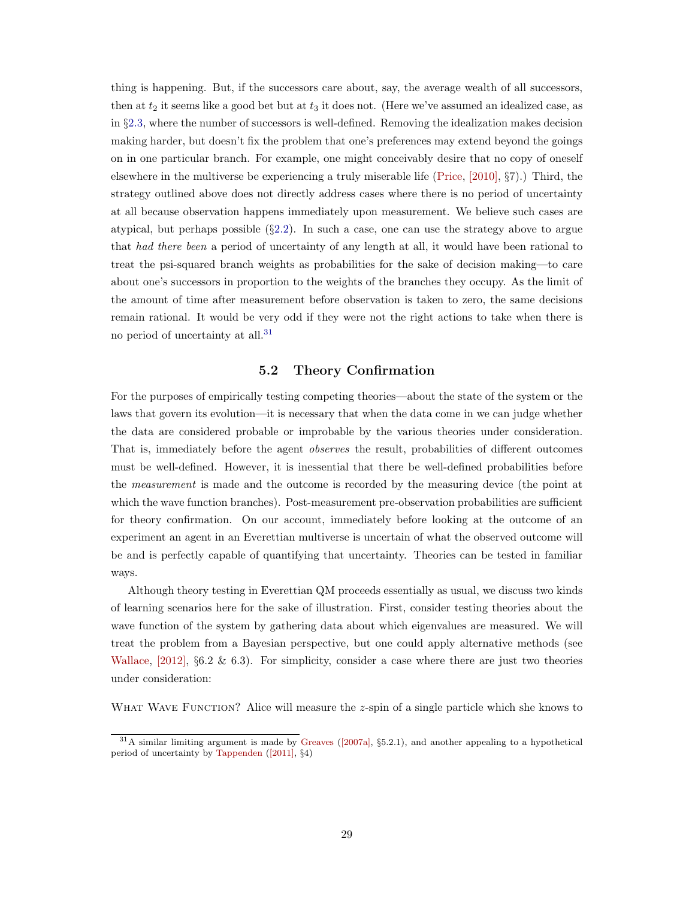thing is happening. But, if the successors care about, say, the average wealth of all successors, then at  $t_2$  it seems like a good bet but at  $t_3$  it does not. (Here we've assumed an idealized case, as in §[2.3,](#page-11-0) where the number of successors is well-defined. Removing the idealization makes decision making harder, but doesn't fix the problem that one's preferences may extend beyond the goings on in one particular branch. For example, one might conceivably desire that no copy of oneself elsewhere in the multiverse be experiencing a truly miserable life [\(Price,](#page-41-19) [\[2010\],](#page-41-19) §7).) Third, the strategy outlined above does not directly address cases where there is no period of uncertainty at all because observation happens immediately upon measurement. We believe such cases are atypical, but perhaps possible  $(\S2.2)$  $(\S2.2)$ . In such a case, one can use the strategy above to argue that had there been a period of uncertainty of any length at all, it would have been rational to treat the psi-squared branch weights as probabilities for the sake of decision making—to care about one's successors in proportion to the weights of the branches they occupy. As the limit of the amount of time after measurement before observation is taken to zero, the same decisions remain rational. It would be very odd if they were not the right actions to take when there is no period of uncertainty at all.<sup>[31](#page-28-1)</sup>

### 5.2 Theory Confirmation

<span id="page-28-0"></span>For the purposes of empirically testing competing theories—about the state of the system or the laws that govern its evolution—it is necessary that when the data come in we can judge whether the data are considered probable or improbable by the various theories under consideration. That is, immediately before the agent observes the result, probabilities of different outcomes must be well-defined. However, it is inessential that there be well-defined probabilities before the measurement is made and the outcome is recorded by the measuring device (the point at which the wave function branches). Post-measurement pre-observation probabilities are sufficient for theory confirmation. On our account, immediately before looking at the outcome of an experiment an agent in an Everettian multiverse is uncertain of what the observed outcome will be and is perfectly capable of quantifying that uncertainty. Theories can be tested in familiar ways.

Although theory testing in Everettian QM proceeds essentially as usual, we discuss two kinds of learning scenarios here for the sake of illustration. First, consider testing theories about the wave function of the system by gathering data about which eigenvalues are measured. We will treat the problem from a Bayesian perspective, but one could apply alternative methods (see [Wallace,](#page-43-9)  $[2012]$ ,  $\S6.2 \& 6.3$ ). For simplicity, consider a case where there are just two theories under consideration:

WHAT WAVE FUNCTION? Alice will measure the z-spin of a single particle which she knows to

<span id="page-28-1"></span><sup>31</sup>A similar limiting argument is made by [Greaves](#page-40-8) [\(\[2007a\],](#page-40-8) §5.2.1), and another appealing to a hypothetical period of uncertainty by [Tappenden](#page-42-11) [\(\[2011\],](#page-42-11) §4)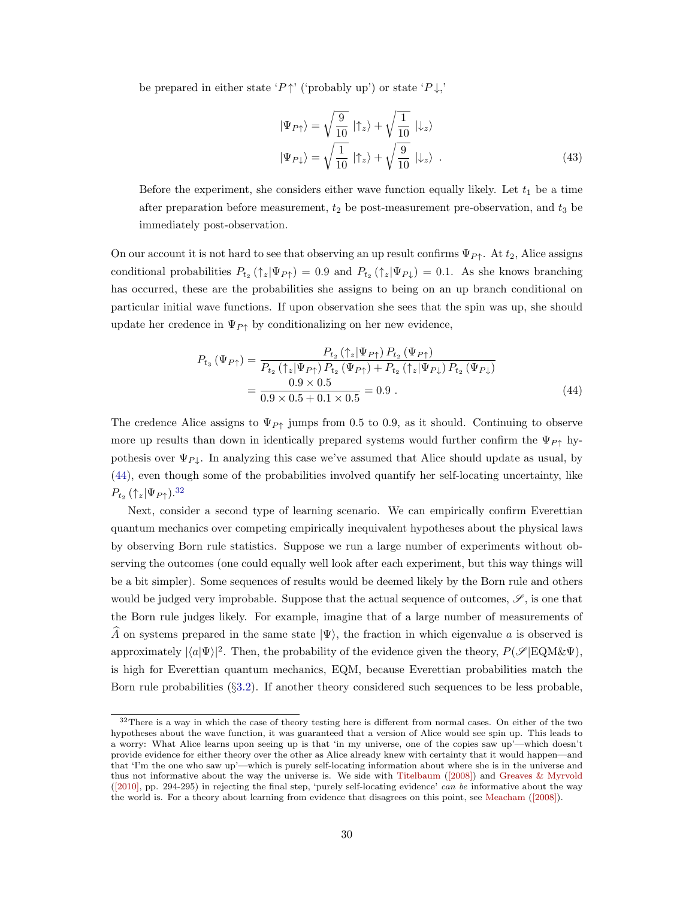be prepared in either state ' $P \uparrow'$ ' ('probably up') or state ' $P \downarrow$ ,'

$$
|\Psi_{P\uparrow}\rangle = \sqrt{\frac{9}{10}} |{\uparrow}_{z}\rangle + \sqrt{\frac{1}{10}} |{\downarrow}_{z}\rangle
$$
  

$$
|\Psi_{P\downarrow}\rangle = \sqrt{\frac{1}{10}} |{\uparrow}_{z}\rangle + \sqrt{\frac{9}{10}} |{\downarrow}_{z}\rangle .
$$
 (43)

Before the experiment, she considers either wave function equally likely. Let  $t_1$  be a time after preparation before measurement,  $t_2$  be post-measurement pre-observation, and  $t_3$  be immediately post-observation.

On our account it is not hard to see that observing an up result confirms  $\Psi_{P\uparrow}$ . At  $t_2$ , Alice assigns conditional probabilities  $P_{t_2}(\uparrow_z|\Psi_{P\uparrow}) = 0.9$  and  $P_{t_2}(\uparrow_z|\Psi_{P\downarrow}) = 0.1$ . As she knows branching has occurred, these are the probabilities she assigns to being on an up branch conditional on particular initial wave functions. If upon observation she sees that the spin was up, she should update her credence in  $\Psi_{P\uparrow}$  by conditionalizing on her new evidence,

<span id="page-29-0"></span>
$$
P_{t_3}(\Psi_{P\uparrow}) = \frac{P_{t_2}(\uparrow_z |\Psi_{P\uparrow}) P_{t_2}(\Psi_{P\uparrow})}{P_{t_2}(\uparrow_z |\Psi_{P\uparrow}) P_{t_2}(\Psi_{P\uparrow}) + P_{t_2}(\uparrow_z |\Psi_{P\downarrow}) P_{t_2}(\Psi_{P\downarrow})}
$$
  
= 
$$
\frac{0.9 \times 0.5}{0.9 \times 0.5 + 0.1 \times 0.5} = 0.9.
$$
 (44)

The credence Alice assigns to  $\Psi_{P\uparrow}$  jumps from 0.5 to 0.9, as it should. Continuing to observe more up results than down in identically prepared systems would further confirm the  $\Psi_{P\uparrow}$  hypothesis over  $\Psi_{P\downarrow}$ . In analyzing this case we've assumed that Alice should update as usual, by [\(44\)](#page-29-0), even though some of the probabilities involved quantify her self-locating uncertainty, like  $P_{t_2}(\uparrow_z|\Psi_{P\uparrow})$ .<sup>[32](#page-29-1)</sup>

Next, consider a second type of learning scenario. We can empirically confirm Everettian quantum mechanics over competing empirically inequivalent hypotheses about the physical laws by observing Born rule statistics. Suppose we run a large number of experiments without observing the outcomes (one could equally well look after each experiment, but this way things will be a bit simpler). Some sequences of results would be deemed likely by the Born rule and others would be judged very improbable. Suppose that the actual sequence of outcomes,  $\mathscr{S}$ , is one that the Born rule judges likely. For example, imagine that of a large number of measurements of A on systems prepared in the same state  $|\Psi\rangle$ , the fraction in which eigenvalue a is observed is approximately  $|\langle a|\Psi\rangle|^2$ . Then, the probability of the evidence given the theory,  $P(\mathscr{S}|\text{EQM\&\Psi})$ , is high for Everettian quantum mechanics, EQM, because Everettian probabilities match the Born rule probabilities (§[3.2\)](#page-16-0). If another theory considered such sequences to be less probable,

<span id="page-29-1"></span><sup>&</sup>lt;sup>32</sup>There is a way in which the case of theory testing here is different from normal cases. On either of the two hypotheses about the wave function, it was guaranteed that a version of Alice would see spin up. This leads to a worry: What Alice learns upon seeing up is that 'in my universe, one of the copies saw up'—which doesn't provide evidence for either theory over the other as Alice already knew with certainty that it would happen—and that 'I'm the one who saw up'—which is purely self-locating information about where she is in the universe and thus not informative about the way the universe is. We side with [Titelbaum](#page-42-14) [\(\[2008\]\)](#page-42-14) and [Greaves & Myrvold](#page-40-11) [\(\[2010\],](#page-40-11) pp. 294-295) in rejecting the final step, 'purely self-locating evidence' can be informative about the way the world is. For a theory about learning from evidence that disagrees on this point, see [Meacham](#page-41-6) [\(\[2008\]\)](#page-41-6).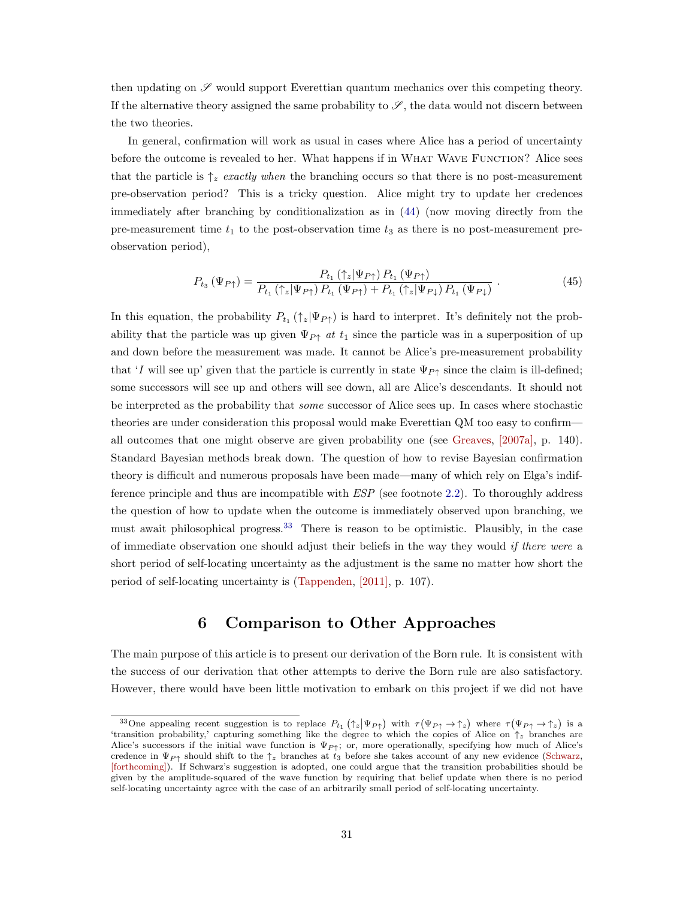then updating on  $\mathscr S$  would support Everettian quantum mechanics over this competing theory. If the alternative theory assigned the same probability to  $\mathscr{S}$ , the data would not discern between the two theories.

In general, confirmation will work as usual in cases where Alice has a period of uncertainty before the outcome is revealed to her. What happens if in WHAT WAVE FUNCTION? Alice sees that the particle is  $\uparrow_z$  exactly when the branching occurs so that there is no post-measurement pre-observation period? This is a tricky question. Alice might try to update her credences immediately after branching by conditionalization as in [\(44\)](#page-29-0) (now moving directly from the pre-measurement time  $t_1$  to the post-observation time  $t_3$  as there is no post-measurement preobservation period),

$$
P_{t_3}(\Psi_{P\uparrow}) = \frac{P_{t_1}(\uparrow_z|\Psi_{P\uparrow})\,P_{t_1}\,(\Psi_{P\uparrow})}{P_{t_1}\,(\uparrow_z|\Psi_{P\uparrow})\,P_{t_1}\,(\Psi_{P\uparrow}) + P_{t_1}\,(\uparrow_z|\Psi_{P\downarrow})\,P_{t_1}\,(\Psi_{P\downarrow})} \,. \tag{45}
$$

In this equation, the probability  $P_{t_1}(\uparrow_z|\Psi_{P\uparrow})$  is hard to interpret. It's definitely not the probability that the particle was up given  $\Psi_{P\uparrow}$  at  $t_1$  since the particle was in a superposition of up and down before the measurement was made. It cannot be Alice's pre-measurement probability that 'I will see up' given that the particle is currently in state  $\Psi_{P\uparrow}$  since the claim is ill-defined; some successors will see up and others will see down, all are Alice's descendants. It should not be interpreted as the probability that *some* successor of Alice sees up. In cases where stochastic theories are under consideration this proposal would make Everettian QM too easy to confirm all outcomes that one might observe are given probability one (see [Greaves,](#page-40-8) [\[2007a\],](#page-40-8) p. 140). Standard Bayesian methods break down. The question of how to revise Bayesian confirmation theory is difficult and numerous proposals have been made—many of which rely on Elga's indifference principle and thus are incompatible with  $ESP$  (see footnote [2.2\)](#page-8-2). To thoroughly address the question of how to update when the outcome is immediately observed upon branching, we must await philosophical progress.[33](#page-30-1) There is reason to be optimistic. Plausibly, in the case of immediate observation one should adjust their beliefs in the way they would if there were a short period of self-locating uncertainty as the adjustment is the same no matter how short the period of self-locating uncertainty is [\(Tappenden,](#page-42-11) [\[2011\],](#page-42-11) p. 107).

## 6 Comparison to Other Approaches

<span id="page-30-0"></span>The main purpose of this article is to present our derivation of the Born rule. It is consistent with the success of our derivation that other attempts to derive the Born rule are also satisfactory. However, there would have been little motivation to embark on this project if we did not have

<span id="page-30-1"></span><sup>&</sup>lt;sup>33</sup>One appealing recent suggestion is to replace  $P_{t_1}(\uparrow_z|\Psi_{P\uparrow})$  with  $\tau(\Psi_{P\uparrow} \to \uparrow_z)$  where  $\tau(\Psi_{P\uparrow} \to \uparrow_z)$  is a 'transition probability,' capturing something like the degree to which the copies of Alice on ↑<sup>z</sup> branches are Alice's successors if the initial wave function is  $\Psi_{P\uparrow}$ ; or, more operationally, specifying how much of Alice's credence in  $\Psi_{P\uparrow}$  should shift to the  $\uparrow_z$  branches at  $t_3$  before she takes account of any new evidence [\(Schwarz,](#page-42-15) [\[forthcoming\]\)](#page-42-15). If Schwarz's suggestion is adopted, one could argue that the transition probabilities should be given by the amplitude-squared of the wave function by requiring that belief update when there is no period self-locating uncertainty agree with the case of an arbitrarily small period of self-locating uncertainty.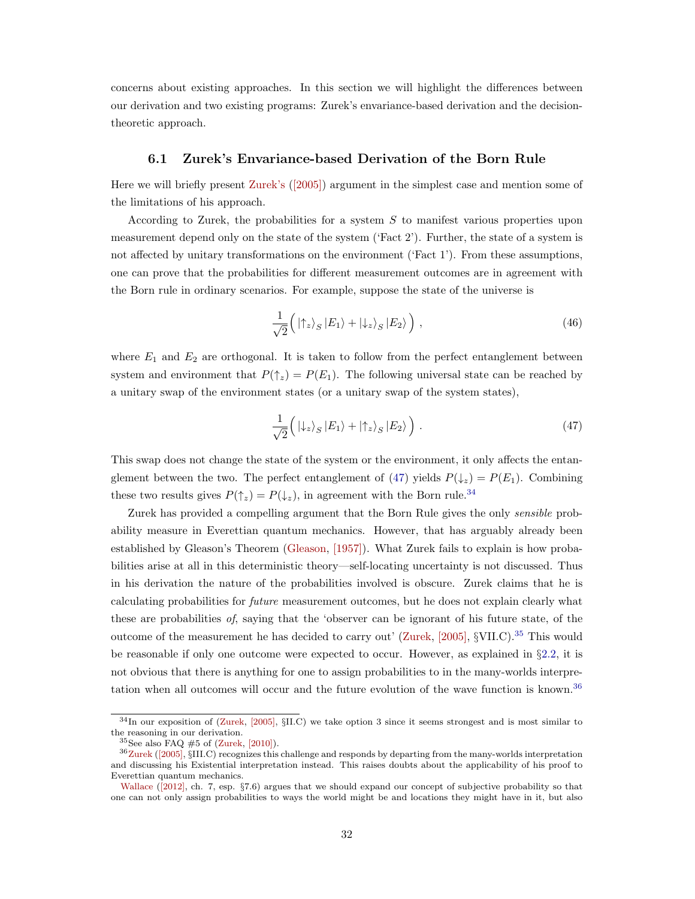concerns about existing approaches. In this section we will highlight the differences between our derivation and two existing programs: Zurek's envariance-based derivation and the decisiontheoretic approach.

#### 6.1 Zurek's Envariance-based Derivation of the Born Rule

<span id="page-31-0"></span>Here we will briefly present [Zurek's](#page-43-1) [\(\[2005\]\)](#page-43-1) argument in the simplest case and mention some of the limitations of his approach.

According to Zurek, the probabilities for a system S to manifest various properties upon measurement depend only on the state of the system ('Fact 2'). Further, the state of a system is not affected by unitary transformations on the environment ('Fact 1'). From these assumptions, one can prove that the probabilities for different measurement outcomes are in agreement with the Born rule in ordinary scenarios. For example, suppose the state of the universe is

$$
\frac{1}{\sqrt{2}}\left(\left|\uparrow_{z}\right\rangle_{S}\left|E_{1}\right\rangle+\left|\downarrow_{z}\right\rangle_{S}\left|E_{2}\right\rangle\right),\tag{46}
$$

where  $E_1$  and  $E_2$  are orthogonal. It is taken to follow from the perfect entanglement between system and environment that  $P(\uparrow_z) = P(E_1)$ . The following universal state can be reached by a unitary swap of the environment states (or a unitary swap of the system states),

<span id="page-31-1"></span>
$$
\frac{1}{\sqrt{2}}\left(\left|\downarrow_z\right\rangle_S\left|E_1\right\rangle+\left|\uparrow_z\right\rangle_S\left|E_2\right\rangle\right). \tag{47}
$$

This swap does not change the state of the system or the environment, it only affects the entan-glement between the two. The perfect entanglement of [\(47\)](#page-31-1) yields  $P(\downarrow_z) = P(E_1)$ . Combining these two results gives  $P(\uparrow_z) = P(\downarrow_z)$ , in agreement with the Born rule.<sup>[34](#page-31-2)</sup>

Zurek has provided a compelling argument that the Born Rule gives the only sensible probability measure in Everettian quantum mechanics. However, that has arguably already been established by Gleason's Theorem [\(Gleason,](#page-40-12) [\[1957\]\)](#page-40-12). What Zurek fails to explain is how probabilities arise at all in this deterministic theory—self-locating uncertainty is not discussed. Thus in his derivation the nature of the probabilities involved is obscure. Zurek claims that he is calculating probabilities for future measurement outcomes, but he does not explain clearly what these are probabilities of, saying that the 'observer can be ignorant of his future state, of the outcome of the measurement he has decided to carry out' [\(Zurek,](#page-43-1)  $[2005]$ ,  $\S$ VII.C).<sup>[35](#page-31-3)</sup> This would be reasonable if only one outcome were expected to occur. However, as explained in §[2.2,](#page-8-0) it is not obvious that there is anything for one to assign probabilities to in the many-worlds interpretation when all outcomes will occur and the future evolution of the wave function is known.[36](#page-31-4)

<span id="page-31-2"></span><sup>34</sup>In our exposition of [\(Zurek,](#page-43-1) [\[2005\],](#page-43-1) §II.C) we take option 3 since it seems strongest and is most similar to the reasoning in our derivation.

<span id="page-31-4"></span><span id="page-31-3"></span> $35$ See also FAQ  $#5$  of [\(Zurek,](#page-43-15) [\[2010\]\)](#page-43-15).

<sup>36</sup>[Zurek](#page-43-1) [\(\[2005\],](#page-43-1) §III.C) recognizes this challenge and responds by departing from the many-worlds interpretation and discussing his Existential interpretation instead. This raises doubts about the applicability of his proof to Everettian quantum mechanics.

[Wallace](#page-43-9) [\(\[2012\],](#page-43-9) ch. 7, esp. §7.6) argues that we should expand our concept of subjective probability so that one can not only assign probabilities to ways the world might be and locations they might have in it, but also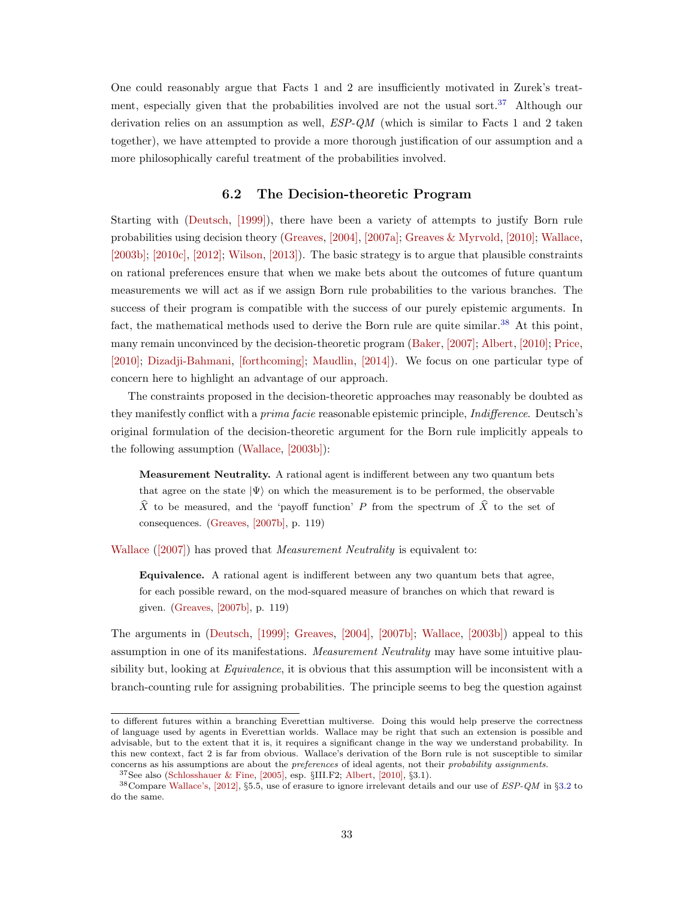One could reasonably argue that Facts 1 and 2 are insufficiently motivated in Zurek's treat-ment, especially given that the probabilities involved are not the usual sort.<sup>[37](#page-32-1)</sup> Although our derivation relies on an assumption as well,  $ESP-QM$  (which is similar to Facts 1 and 2 taken together), we have attempted to provide a more thorough justification of our assumption and a more philosophically careful treatment of the probabilities involved.

#### 6.2 The Decision-theoretic Program

<span id="page-32-0"></span>Starting with [\(Deutsch,](#page-40-0) [\[1999\]\)](#page-40-0), there have been a variety of attempts to justify Born rule probabilities using decision theory [\(Greaves,](#page-40-9) [\[2004\],](#page-40-9) [\[2007a\];](#page-40-8) [Greaves & Myrvold,](#page-40-11) [\[2010\];](#page-40-11) [Wallace,](#page-43-12) [\[2003b\];](#page-43-12) [\[2010c\],](#page-43-0) [\[2012\];](#page-43-9) [Wilson,](#page-43-16) [\[2013\]\)](#page-43-16). The basic strategy is to argue that plausible constraints on rational preferences ensure that when we make bets about the outcomes of future quantum measurements we will act as if we assign Born rule probabilities to the various branches. The success of their program is compatible with the success of our purely epistemic arguments. In fact, the mathematical methods used to derive the Born rule are quite similar.<sup>[38](#page-32-2)</sup> At this point, many remain unconvinced by the decision-theoretic program [\(Baker,](#page-40-13) [\[2007\];](#page-40-13) [Albert,](#page-40-14) [\[2010\];](#page-40-14) [Price,](#page-41-19) [\[2010\];](#page-41-19) [Dizadji-Bahmani,](#page-40-15) [\[forthcoming\];](#page-40-15) [Maudlin,](#page-41-20) [\[2014\]\)](#page-41-20). We focus on one particular type of concern here to highlight an advantage of our approach.

The constraints proposed in the decision-theoretic approaches may reasonably be doubted as they manifestly conflict with a *prima facie* reasonable epistemic principle, *Indifference*. Deutsch's original formulation of the decision-theoretic argument for the Born rule implicitly appeals to the following assumption [\(Wallace,](#page-43-12) [\[2003b\]\)](#page-43-12):

Measurement Neutrality. A rational agent is indifferent between any two quantum bets that agree on the state  $|\Psi\rangle$  on which the measurement is to be performed, the observable  $\widehat{X}$  to be measured, and the 'payoff function' P from the spectrum of  $\widehat{X}$  to the set of consequences. [\(Greaves,](#page-40-16) [\[2007b\],](#page-40-16) p. 119)

[Wallace](#page-43-11) [\(\[2007\]\)](#page-43-11) has proved that Measurement Neutrality is equivalent to:

Equivalence. A rational agent is indifferent between any two quantum bets that agree, for each possible reward, on the mod-squared measure of branches on which that reward is given. [\(Greaves,](#page-40-16) [\[2007b\],](#page-40-16) p. 119)

The arguments in [\(Deutsch,](#page-40-0) [\[1999\];](#page-40-0) [Greaves,](#page-40-9) [\[2004\],](#page-40-9) [\[2007b\];](#page-40-16) [Wallace,](#page-43-12) [\[2003b\]\)](#page-43-12) appeal to this assumption in one of its manifestations. *Measurement Neutrality* may have some intuitive plausibility but, looking at *Equivalence*, it is obvious that this assumption will be inconsistent with a branch-counting rule for assigning probabilities. The principle seems to beg the question against

to different futures within a branching Everettian multiverse. Doing this would help preserve the correctness of language used by agents in Everettian worlds. Wallace may be right that such an extension is possible and advisable, but to the extent that it is, it requires a significant change in the way we understand probability. In this new context, fact 2 is far from obvious. Wallace's derivation of the Born rule is not susceptible to similar concerns as his assumptions are about the preferences of ideal agents, not their probability assignments.

<span id="page-32-2"></span><span id="page-32-1"></span> $37$ See also [\(Schlosshauer & Fine,](#page-42-16) [\[2005\],](#page-42-16) esp.  $\S$ III.F2; [Albert,](#page-40-14) [\[2010\],](#page-40-14)  $\S 3.1$ ).

<sup>38</sup>Compare [Wallace's,](#page-43-9) [\[2012\],](#page-43-9) §5.5, use of erasure to ignore irrelevant details and our use of ESP-QM in §[3.2](#page-16-0) to do the same.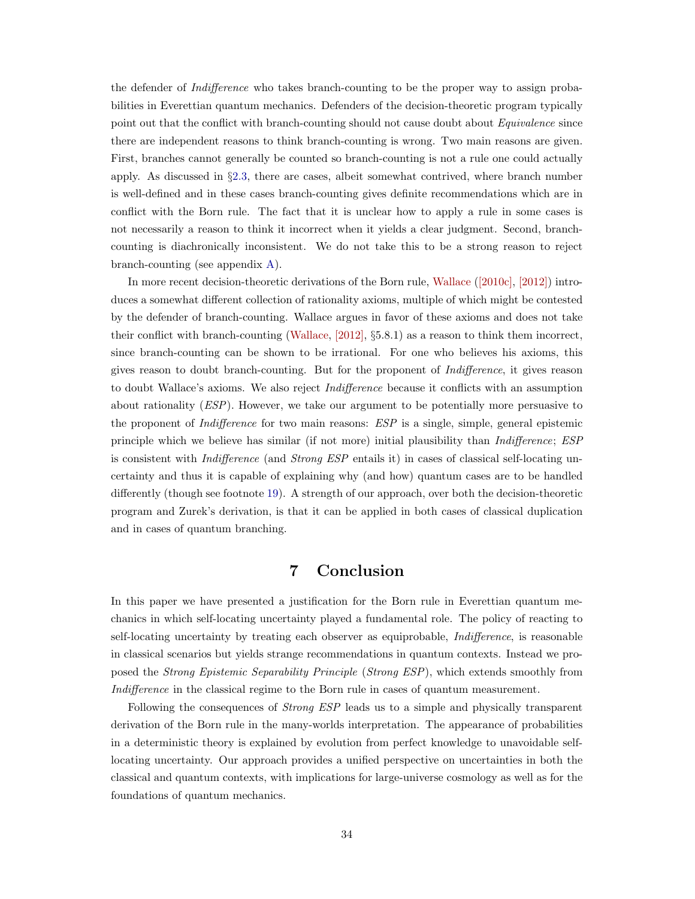the defender of Indifference who takes branch-counting to be the proper way to assign probabilities in Everettian quantum mechanics. Defenders of the decision-theoretic program typically point out that the conflict with branch-counting should not cause doubt about *Equivalence* since there are independent reasons to think branch-counting is wrong. Two main reasons are given. First, branches cannot generally be counted so branch-counting is not a rule one could actually apply. As discussed in §[2.3,](#page-11-0) there are cases, albeit somewhat contrived, where branch number is well-defined and in these cases branch-counting gives definite recommendations which are in conflict with the Born rule. The fact that it is unclear how to apply a rule in some cases is not necessarily a reason to think it incorrect when it yields a clear judgment. Second, branchcounting is diachronically inconsistent. We do not take this to be a strong reason to reject branch-counting (see appendix [A\)](#page-34-0).

In more recent decision-theoretic derivations of the Born rule, [Wallace](#page-43-0) [\(\[2010c\],](#page-43-0) [\[2012\]\)](#page-43-9) introduces a somewhat different collection of rationality axioms, multiple of which might be contested by the defender of branch-counting. Wallace argues in favor of these axioms and does not take their conflict with branch-counting [\(Wallace,](#page-43-9)  $[2012]$ ,  $\S 5.8.1$ ) as a reason to think them incorrect, since branch-counting can be shown to be irrational. For one who believes his axioms, this gives reason to doubt branch-counting. But for the proponent of Indifference, it gives reason to doubt Wallace's axioms. We also reject *Indifference* because it conflicts with an assumption about rationality (ESP). However, we take our argument to be potentially more persuasive to the proponent of Indifference for two main reasons: ESP is a single, simple, general epistemic principle which we believe has similar (if not more) initial plausibility than Indifference; ESP is consistent with *Indifference* (and *Strong ESP* entails it) in cases of classical self-locating uncertainty and thus it is capable of explaining why (and how) quantum cases are to be handled differently (though see footnote [19\)](#page-20-0). A strength of our approach, over both the decision-theoretic program and Zurek's derivation, is that it can be applied in both cases of classical duplication and in cases of quantum branching.

## 7 Conclusion

<span id="page-33-0"></span>In this paper we have presented a justification for the Born rule in Everettian quantum mechanics in which self-locating uncertainty played a fundamental role. The policy of reacting to self-locating uncertainty by treating each observer as equiprobable, *Indifference*, is reasonable in classical scenarios but yields strange recommendations in quantum contexts. Instead we proposed the Strong Epistemic Separability Principle (Strong ESP), which extends smoothly from Indifference in the classical regime to the Born rule in cases of quantum measurement.

Following the consequences of Strong ESP leads us to a simple and physically transparent derivation of the Born rule in the many-worlds interpretation. The appearance of probabilities in a deterministic theory is explained by evolution from perfect knowledge to unavoidable selflocating uncertainty. Our approach provides a unified perspective on uncertainties in both the classical and quantum contexts, with implications for large-universe cosmology as well as for the foundations of quantum mechanics.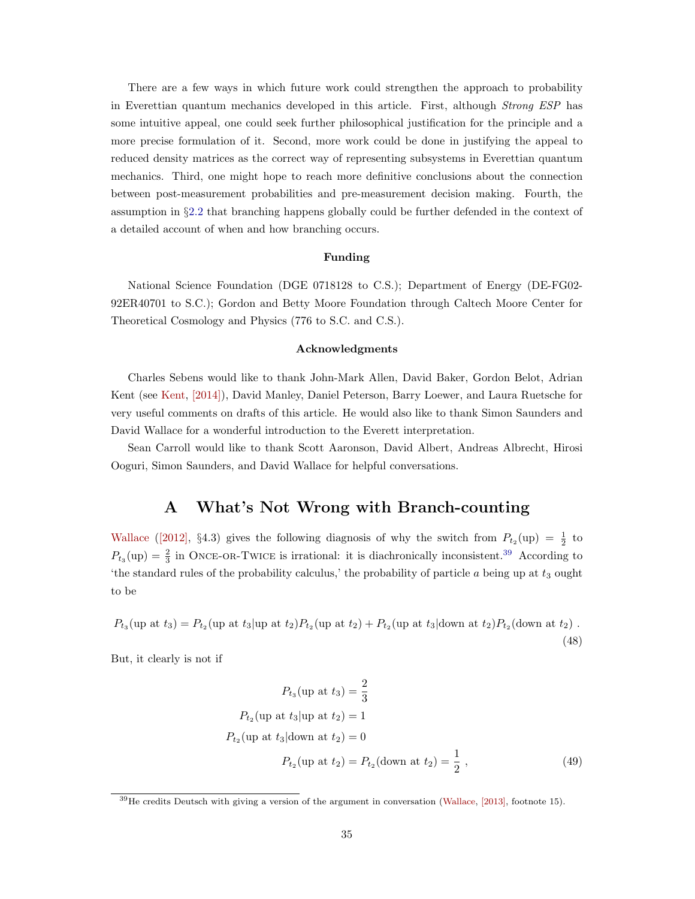There are a few ways in which future work could strengthen the approach to probability in Everettian quantum mechanics developed in this article. First, although Strong ESP has some intuitive appeal, one could seek further philosophical justification for the principle and a more precise formulation of it. Second, more work could be done in justifying the appeal to reduced density matrices as the correct way of representing subsystems in Everettian quantum mechanics. Third, one might hope to reach more definitive conclusions about the connection between post-measurement probabilities and pre-measurement decision making. Fourth, the assumption in §[2.2](#page-8-0) that branching happens globally could be further defended in the context of a detailed account of when and how branching occurs.

#### Funding

National Science Foundation (DGE 0718128 to C.S.); Department of Energy (DE-FG02- 92ER40701 to S.C.); Gordon and Betty Moore Foundation through Caltech Moore Center for Theoretical Cosmology and Physics (776 to S.C. and C.S.).

#### Acknowledgments

Charles Sebens would like to thank John-Mark Allen, David Baker, Gordon Belot, Adrian Kent (see [Kent,](#page-41-21) [\[2014\]\)](#page-41-21), David Manley, Daniel Peterson, Barry Loewer, and Laura Ruetsche for very useful comments on drafts of this article. He would also like to thank Simon Saunders and David Wallace for a wonderful introduction to the Everett interpretation.

Sean Carroll would like to thank Scott Aaronson, David Albert, Andreas Albrecht, Hirosi Ooguri, Simon Saunders, and David Wallace for helpful conversations.

## A What's Not Wrong with Branch-counting

<span id="page-34-0"></span>[Wallace](#page-43-9) [\(\[2012\],](#page-43-9) §4.3) gives the following diagnosis of why the switch from  $P_{t_2}(up) = \frac{1}{2}$  to  $P_{t_3}(\text{up}) = \frac{2}{3}$  in ONCE-OR-TWICE is irrational: it is diachronically inconsistent.<sup>[39](#page-34-1)</sup> According to 'the standard rules of the probability calculus,' the probability of particle  $a$  being up at  $t_3$  ought to be

<span id="page-34-2"></span>
$$
P_{t_3}(\text{up at } t_3) = P_{t_2}(\text{up at } t_3 | \text{up at } t_2) P_{t_2}(\text{up at } t_2) + P_{t_2}(\text{up at } t_3 | \text{down at } t_2) P_{t_2}(\text{down at } t_2).
$$
\n(48)

But, it clearly is not if

<span id="page-34-3"></span>
$$
P_{t_3}(\text{up at } t_3) = \frac{2}{3}
$$
  
\n
$$
P_{t_2}(\text{up at } t_3 | \text{up at } t_2) = 1
$$
  
\n
$$
P_{t_2}(\text{up at } t_3 | \text{down at } t_2) = 0
$$
  
\n
$$
P_{t_2}(\text{up at } t_2) = P_{t_2}(\text{down at } t_2) = \frac{1}{2},
$$
\n(49)

<span id="page-34-1"></span><sup>39</sup>He credits Deutsch with giving a version of the argument in conversation [\(Wallace,](#page-43-17) [\[2013\],](#page-43-17) footnote 15).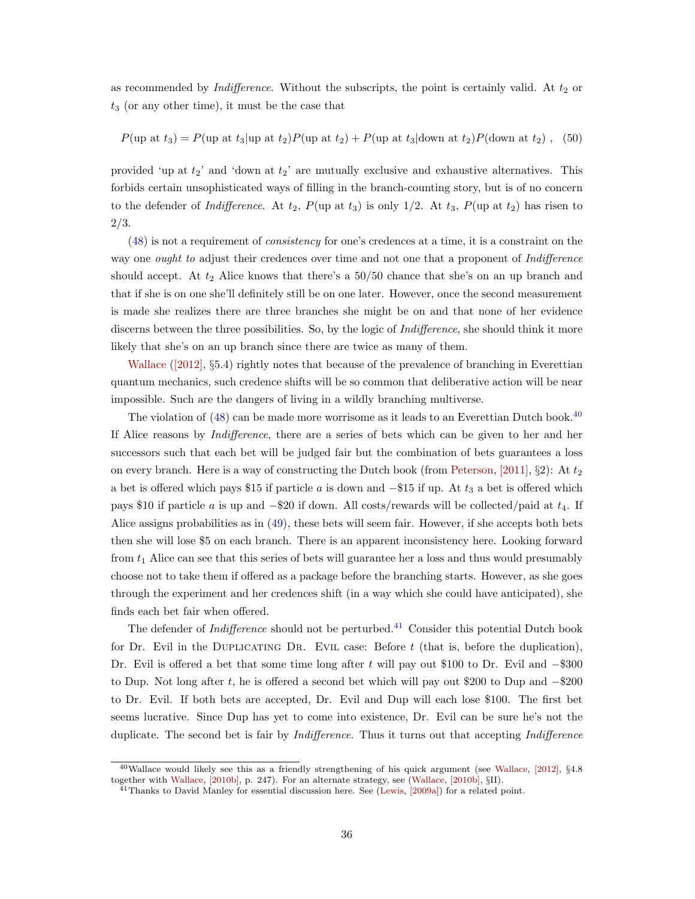as recommended by *Indifference*. Without the subscripts, the point is certainly valid. At  $t_2$  or  $t_3$  (or any other time), it must be the case that

$$
P(\text{up at } t_3) = P(\text{up at } t_3 | \text{up at } t_2) P(\text{up at } t_2) + P(\text{up at } t_3 | \text{down at } t_2) P(\text{down at } t_2), \quad (50)
$$

provided 'up at  $t_2$ ' and 'down at  $t_2$ ' are mutually exclusive and exhaustive alternatives. This forbids certain unsophisticated ways of filling in the branch-counting story, but is of no concern to the defender of *Indifference*. At  $t_2$ ,  $P(\text{up at } t_3)$  is only 1/2. At  $t_3$ ,  $P(\text{up at } t_2)$  has risen to 2/3.

[\(48\)](#page-34-2) is not a requirement of consistency for one's credences at a time, it is a constraint on the way one *ought to* adjust their credences over time and not one that a proponent of *Indifference* should accept. At  $t_2$  Alice knows that there's a  $50/50$  chance that she's on an up branch and that if she is on one she'll definitely still be on one later. However, once the second measurement is made she realizes there are three branches she might be on and that none of her evidence discerns between the three possibilities. So, by the logic of *Indifference*, she should think it more likely that she's on an up branch since there are twice as many of them.

[Wallace](#page-43-9) [\(\[2012\],](#page-43-9) §5.4) rightly notes that because of the prevalence of branching in Everettian quantum mechanics, such credence shifts will be so common that deliberative action will be near impossible. Such are the dangers of living in a wildly branching multiverse.

The violation of  $(48)$  can be made more worrisome as it leads to an Everettian Dutch book.<sup>[40](#page-35-0)</sup> If Alice reasons by Indifference, there are a series of bets which can be given to her and her successors such that each bet will be judged fair but the combination of bets guarantees a loss on every branch. Here is a way of constructing the Dutch book (from [Peterson,](#page-41-12) [\[2011\],](#page-41-12)  $\S2$ ): At  $t_2$ a bet is offered which pays \$15 if particle a is down and  $-\$15$  if up. At  $t_3$  a bet is offered which pays \$10 if particle a is up and  $-$ \$20 if down. All costs/rewards will be collected/paid at  $t_4$ . If Alice assigns probabilities as in [\(49\)](#page-34-3), these bets will seem fair. However, if she accepts both bets then she will lose \$5 on each branch. There is an apparent inconsistency here. Looking forward from  $t_1$  Alice can see that this series of bets will guarantee her a loss and thus would presumably choose not to take them if offered as a package before the branching starts. However, as she goes through the experiment and her credences shift (in a way which she could have anticipated), she finds each bet fair when offered.

The defender of *Indifference* should not be perturbed.<sup>[41](#page-35-1)</sup> Consider this potential Dutch book for Dr. Evil in the DUPLICATING DR. EVIL case: Before  $t$  (that is, before the duplication), Dr. Evil is offered a bet that some time long after t will pay out \$100 to Dr. Evil and  $-$ \$300 to Dup. Not long after t, he is offered a second bet which will pay out \$200 to Dup and  $-$ \$200 to Dr. Evil. If both bets are accepted, Dr. Evil and Dup will each lose \$100. The first bet seems lucrative. Since Dup has yet to come into existence, Dr. Evil can be sure he's not the duplicate. The second bet is fair by *Indifference*. Thus it turns out that accepting *Indifference* 

<span id="page-35-0"></span><sup>40</sup>Wallace would likely see this as a friendly strengthening of his quick argument (see [Wallace,](#page-43-9) [\[2012\],](#page-43-9) §4.8 together with [Wallace,](#page-43-18) [\[2010b\],](#page-43-18) p. 247). For an alternate strategy, see [\(Wallace,](#page-43-18) [\[2010b\],](#page-43-18) §II).

<span id="page-35-1"></span> $^{41}$ Thanks to David Manley for essential discussion here. See [\(Lewis,](#page-41-7) [\[2009a\]\)](#page-41-7) for a related point.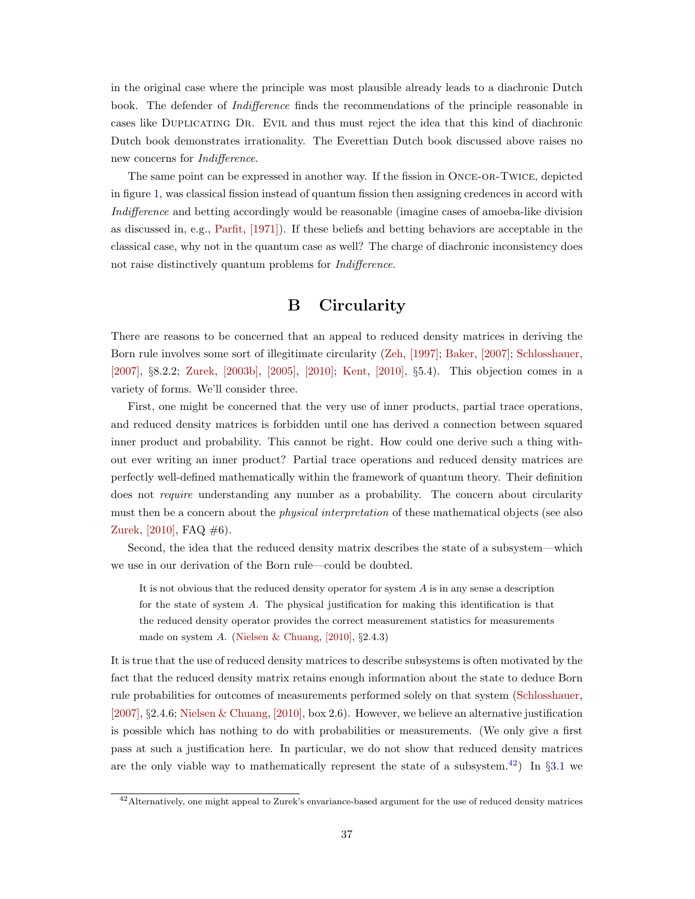in the original case where the principle was most plausible already leads to a diachronic Dutch book. The defender of Indifference finds the recommendations of the principle reasonable in cases like Duplicating Dr. Evil and thus must reject the idea that this kind of diachronic Dutch book demonstrates irrationality. The Everettian Dutch book discussed above raises no new concerns for Indifference.

The same point can be expressed in another way. If the fission in Once-or-Twice, depicted in figure [1,](#page-7-0) was classical fission instead of quantum fission then assigning credences in accord with Indifference and betting accordingly would be reasonable (imagine cases of amoeba-like division as discussed in, e.g., [Parfit,](#page-41-22) [\[1971\]\)](#page-41-22). If these beliefs and betting behaviors are acceptable in the classical case, why not in the quantum case as well? The charge of diachronic inconsistency does not raise distinctively quantum problems for Indifference.

# B Circularity

<span id="page-36-0"></span>There are reasons to be concerned that an appeal to reduced density matrices in deriving the Born rule involves some sort of illegitimate circularity [\(Zeh,](#page-43-19) [\[1997\];](#page-43-19) [Baker,](#page-40-13) [\[2007\];](#page-40-13) [Schlosshauer,](#page-42-2) [\[2007\],](#page-42-2) §8.2.2; [Zurek,](#page-43-3) [\[2003b\],](#page-43-3) [\[2005\],](#page-43-1) [\[2010\];](#page-43-15) [Kent,](#page-41-23) [\[2010\],](#page-41-23) §5.4). This objection comes in a variety of forms. We'll consider three.

First, one might be concerned that the very use of inner products, partial trace operations, and reduced density matrices is forbidden until one has derived a connection between squared inner product and probability. This cannot be right. How could one derive such a thing without ever writing an inner product? Partial trace operations and reduced density matrices are perfectly well-defined mathematically within the framework of quantum theory. Their definition does not *require* understanding any number as a probability. The concern about circularity must then be a concern about the *physical interpretation* of these mathematical objects (see also [Zurek,](#page-43-15) [\[2010\],](#page-43-15) FAQ  $\#6$ ).

Second, the idea that the reduced density matrix describes the state of a subsystem—which we use in our derivation of the Born rule—could be doubted.

It is not obvious that the reduced density operator for system  $A$  is in any sense a description for the state of system A. The physical justification for making this identification is that the reduced density operator provides the correct measurement statistics for measurements made on system A. [\(Nielsen & Chuang,](#page-41-2) [\[2010\],](#page-41-2)  $\S 2.4.3$ )

It is true that the use of reduced density matrices to describe subsystems is often motivated by the fact that the reduced density matrix retains enough information about the state to deduce Born rule probabilities for outcomes of measurements performed solely on that system [\(Schlosshauer,](#page-42-2) [\[2007\],](#page-42-2) §2.4.6; [Nielsen & Chuang,](#page-41-2) [\[2010\],](#page-41-2) box 2.6). However, we believe an alternative justification is possible which has nothing to do with probabilities or measurements. (We only give a first pass at such a justification here. In particular, we do not show that reduced density matrices are the only viable way to mathematically represent the state of a subsystem.<sup>[42](#page-36-1)</sup>) In §[3.1](#page-13-1) we

<span id="page-36-1"></span><sup>42</sup>Alternatively, one might appeal to Zurek's envariance-based argument for the use of reduced density matrices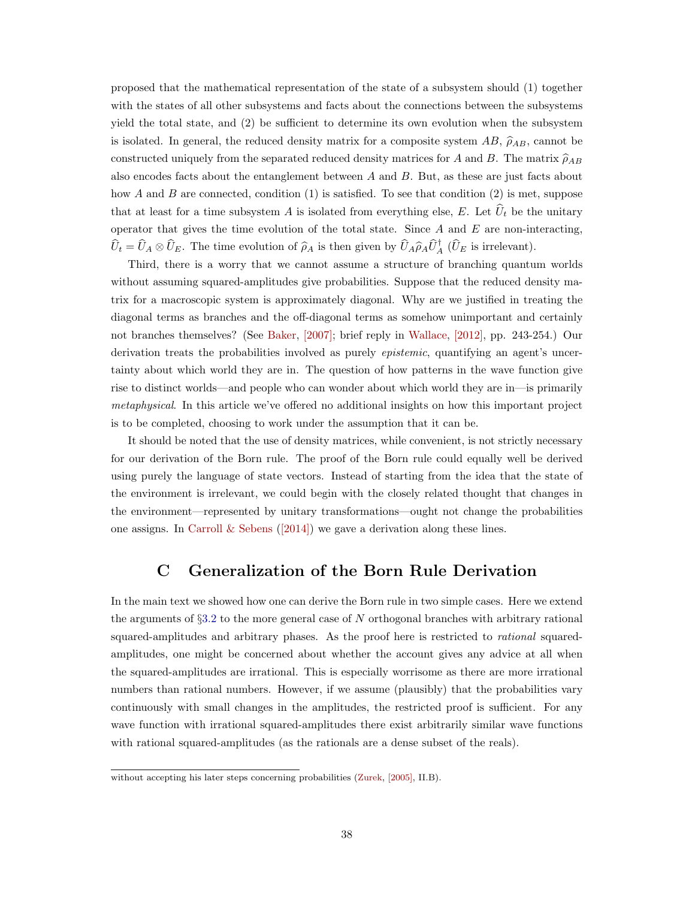proposed that the mathematical representation of the state of a subsystem should (1) together with the states of all other subsystems and facts about the connections between the subsystems yield the total state, and (2) be sufficient to determine its own evolution when the subsystem is isolated. In general, the reduced density matrix for a composite system  $AB$ ,  $\hat{\rho}_{AB}$ , cannot be constructed uniquely from the separated reduced density matrices for A and B. The matrix  $\hat{\rho}_{AB}$ also encodes facts about the entanglement between  $A$  and  $B$ . But, as these are just facts about how A and B are connected, condition  $(1)$  is satisfied. To see that condition  $(2)$  is met, suppose that at least for a time subsystem A is isolated from everything else, E. Let  $\hat{U}_t$  be the unitary operator that gives the time evolution of the total state. Since  $A$  and  $E$  are non-interacting,  $\widehat{U}_t = \widehat{U}_A \otimes \widehat{U}_E$ . The time evolution of  $\widehat{\rho}_A$  is then given by  $\widehat{U}_A \widehat{\rho}_A \widehat{U}_A^{\dagger}$  ( $\widehat{U}_E$  is irrelevant).

Third, there is a worry that we cannot assume a structure of branching quantum worlds without assuming squared-amplitudes give probabilities. Suppose that the reduced density matrix for a macroscopic system is approximately diagonal. Why are we justified in treating the diagonal terms as branches and the off-diagonal terms as somehow unimportant and certainly not branches themselves? (See [Baker,](#page-40-13) [\[2007\];](#page-40-13) brief reply in [Wallace,](#page-43-9) [\[2012\],](#page-43-9) pp. 243-254.) Our derivation treats the probabilities involved as purely *epistemic*, quantifying an agent's uncertainty about which world they are in. The question of how patterns in the wave function give rise to distinct worlds—and people who can wonder about which world they are in—is primarily metaphysical. In this article we've offered no additional insights on how this important project is to be completed, choosing to work under the assumption that it can be.

It should be noted that the use of density matrices, while convenient, is not strictly necessary for our derivation of the Born rule. The proof of the Born rule could equally well be derived using purely the language of state vectors. Instead of starting from the idea that the state of the environment is irrelevant, we could begin with the closely related thought that changes in the environment—represented by unitary transformations—ought not change the probabilities one assigns. In [Carroll & Sebens](#page-40-17)  $(2014)$  we gave a derivation along these lines.

## C Generalization of the Born Rule Derivation

<span id="page-37-0"></span>In the main text we showed how one can derive the Born rule in two simple cases. Here we extend the arguments of  $\S 3.2$  $\S 3.2$  to the more general case of N orthogonal branches with arbitrary rational squared-amplitudes and arbitrary phases. As the proof here is restricted to *rational* squaredamplitudes, one might be concerned about whether the account gives any advice at all when the squared-amplitudes are irrational. This is especially worrisome as there are more irrational numbers than rational numbers. However, if we assume (plausibly) that the probabilities vary continuously with small changes in the amplitudes, the restricted proof is sufficient. For any wave function with irrational squared-amplitudes there exist arbitrarily similar wave functions with rational squared-amplitudes (as the rationals are a dense subset of the reals).

without accepting his later steps concerning probabilities [\(Zurek,](#page-43-1) [\[2005\],](#page-43-1) II.B).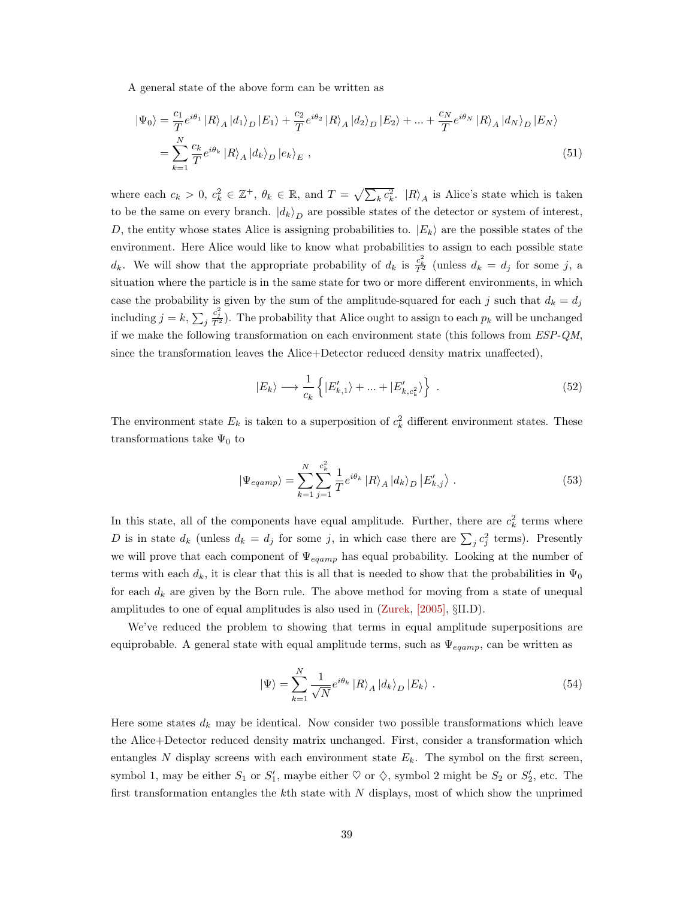A general state of the above form can be written as

$$
\begin{split} \left| \Psi_{0} \right\rangle &= \frac{c_{1}}{T} e^{i\theta_{1}} \left| R \right\rangle_{A} \left| d_{1} \right\rangle_{D} \left| E_{1} \right\rangle + \frac{c_{2}}{T} e^{i\theta_{2}} \left| R \right\rangle_{A} \left| d_{2} \right\rangle_{D} \left| E_{2} \right\rangle + \dots + \frac{c_{N}}{T} e^{i\theta_{N}} \left| R \right\rangle_{A} \left| d_{N} \right\rangle_{D} \left| E_{N} \right\rangle \\ &= \sum_{k=1}^{N} \frac{c_{k}}{T} e^{i\theta_{k}} \left| R \right\rangle_{A} \left| d_{k} \right\rangle_{D} \left| e_{k} \right\rangle_{E} \,, \end{split} \tag{51}
$$

where each  $c_k > 0$ ,  $c_k^2 \in \mathbb{Z}^+$ ,  $\theta_k \in \mathbb{R}$ , and  $T = \sqrt{\sum_k c_k^2}$ .  $|R\rangle_A$  is Alice's state which is taken to be the same on every branch.  $|d_k\rangle_D$  are possible states of the detector or system of interest, D, the entity whose states Alice is assigning probabilities to.  $|E_k\rangle$  are the possible states of the environment. Here Alice would like to know what probabilities to assign to each possible state  $d_k$ . We will show that the appropriate probability of  $d_k$  is  $\frac{c_k^2}{T^2}$  (unless  $d_k = d_j$  for some j, a situation where the particle is in the same state for two or more different environments, in which case the probability is given by the sum of the amplitude-squared for each j such that  $d_k = d_j$ including  $j = k$ ,  $\sum_j$  $\frac{c_j^2}{T^2}$ ). The probability that Alice ought to assign to each  $p_k$  will be unchanged if we make the following transformation on each environment state (this follows from ESP-QM, since the transformation leaves the Alice+Detector reduced density matrix unaffected),

$$
|E_k\rangle \longrightarrow \frac{1}{c_k} \left\{ |E'_{k,1}\rangle + \dots + |E'_{k,c_k^2}\rangle \right\} . \tag{52}
$$

The environment state  $E_k$  is taken to a superposition of  $c_k^2$  different environment states. These transformations take  $\Psi_0$  to

$$
\left|\Psi_{eqamp}\right\rangle = \sum_{k=1}^{N} \sum_{j=1}^{c_k^2} \frac{1}{T} e^{i\theta_k} \left|R\right\rangle_A \left|d_k\right\rangle_D \left|E'_{k,j}\right\rangle. \tag{53}
$$

In this state, all of the components have equal amplitude. Further, there are  $c_k^2$  terms where D is in state  $d_k$  (unless  $d_k = d_j$  for some j, in which case there are  $\sum_j c_j^2$  terms). Presently we will prove that each component of  $\Psi_{eqamp}$  has equal probability. Looking at the number of terms with each  $d_k$ , it is clear that this is all that is needed to show that the probabilities in  $\Psi_0$ for each  $d_k$  are given by the Born rule. The above method for moving from a state of unequal amplitudes to one of equal amplitudes is also used in [\(Zurek,](#page-43-1) [\[2005\],](#page-43-1) §II.D).

We've reduced the problem to showing that terms in equal amplitude superpositions are equiprobable. A general state with equal amplitude terms, such as  $\Psi_{eqamp}$ , can be written as

<span id="page-38-0"></span>
$$
|\Psi\rangle = \sum_{k=1}^{N} \frac{1}{\sqrt{N}} e^{i\theta_k} |R\rangle_A |d_k\rangle_D |E_k\rangle.
$$
 (54)

Here some states  $d_k$  may be identical. Now consider two possible transformations which leave the Alice+Detector reduced density matrix unchanged. First, consider a transformation which entangles N display screens with each environment state  $E_k$ . The symbol on the first screen, symbol 1, may be either  $S_1$  or  $S'_1$ , maybe either  $\heartsuit$  or  $\diamondsuit$ , symbol 2 might be  $S_2$  or  $S'_2$ , etc. The first transformation entangles the  $k$ th state with  $N$  displays, most of which show the unprimed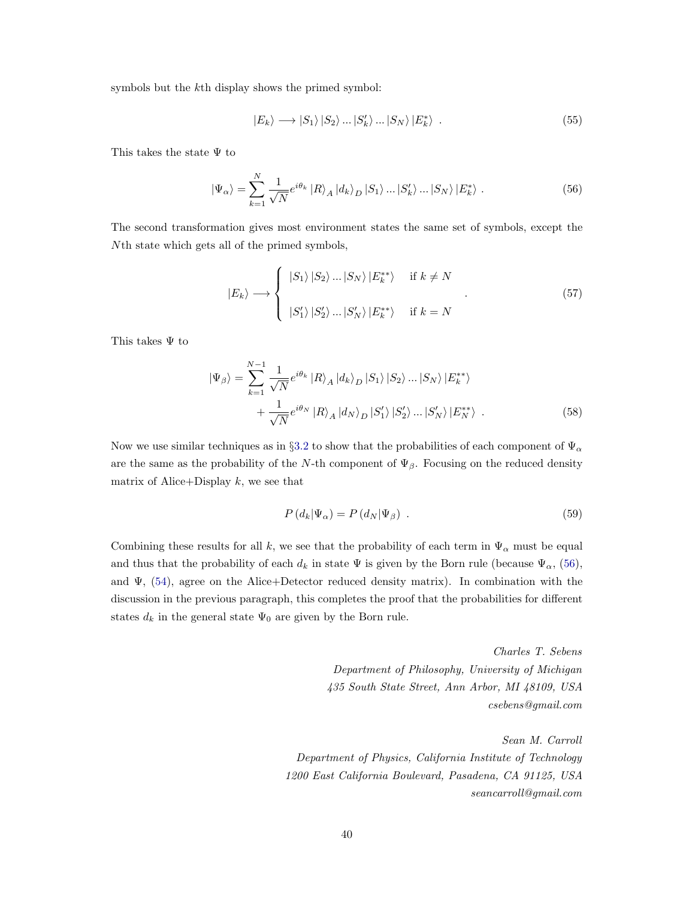symbols but the kth display shows the primed symbol:

$$
|E_k\rangle \longrightarrow |S_1\rangle |S_2\rangle \dots |S'_k\rangle \dots |S_N\rangle |E_k^*\rangle . \tag{55}
$$

This takes the state  $\Psi$  to

<span id="page-39-0"></span>
$$
|\Psi_{\alpha}\rangle = \sum_{k=1}^{N} \frac{1}{\sqrt{N}} e^{i\theta_k} |R\rangle_A |d_k\rangle_D |S_1\rangle \dots |S'_k\rangle \dots |S_N\rangle |E_k^*\rangle . \tag{56}
$$

The second transformation gives most environment states the same set of symbols, except the Nth state which gets all of the primed symbols,

$$
|E_{k}\rangle \longrightarrow \begin{cases} |S_{1}\rangle |S_{2}\rangle ... |S_{N}\rangle |E_{k}^{**}\rangle & \text{if } k \neq N \\ |S'_{1}\rangle |S'_{2}\rangle ... |S'_{N}\rangle |E_{k}^{**}\rangle & \text{if } k = N \end{cases}
$$
(57)

This takes Ψ to

$$
\left| \Psi_{\beta} \right\rangle = \sum_{k=1}^{N-1} \frac{1}{\sqrt{N}} e^{i\theta_k} \left| R \right\rangle_A \left| d_k \right\rangle_D \left| S_1 \right\rangle \left| S_2 \right\rangle \dots \left| S_N \right\rangle \left| E_k^{**} \right\rangle + \frac{1}{\sqrt{N}} e^{i\theta_N} \left| R \right\rangle_A \left| d_N \right\rangle_D \left| S_1' \right\rangle \left| S_2' \right\rangle \dots \left| S_N' \right\rangle \left| E_N^{**} \right\rangle . \tag{58}
$$

Now we use similar techniques as in §[3.2](#page-16-0) to show that the probabilities of each component of  $\Psi_{\alpha}$ are the same as the probability of the N-th component of  $\Psi_{\beta}$ . Focusing on the reduced density matrix of Alice+Display  $k$ , we see that

$$
P(d_k|\Psi_{\alpha}) = P(d_N|\Psi_{\beta}) \tag{59}
$$

Combining these results for all k, we see that the probability of each term in  $\Psi_{\alpha}$  must be equal and thus that the probability of each  $d_k$  in state  $\Psi$  is given by the Born rule (because  $\Psi_\alpha$ , [\(56\)](#page-39-0), and  $\Psi$ , [\(54\)](#page-38-0), agree on the Alice+Detector reduced density matrix). In combination with the discussion in the previous paragraph, this completes the proof that the probabilities for different states  $d_k$  in the general state  $\Psi_0$  are given by the Born rule.

> Charles T. Sebens Department of Philosophy, University of Michigan 435 South State Street, Ann Arbor, MI 48109, USA csebens@gmail.com

Sean M. Carroll Department of Physics, California Institute of Technology 1200 East California Boulevard, Pasadena, CA 91125, USA seancarroll@gmail.com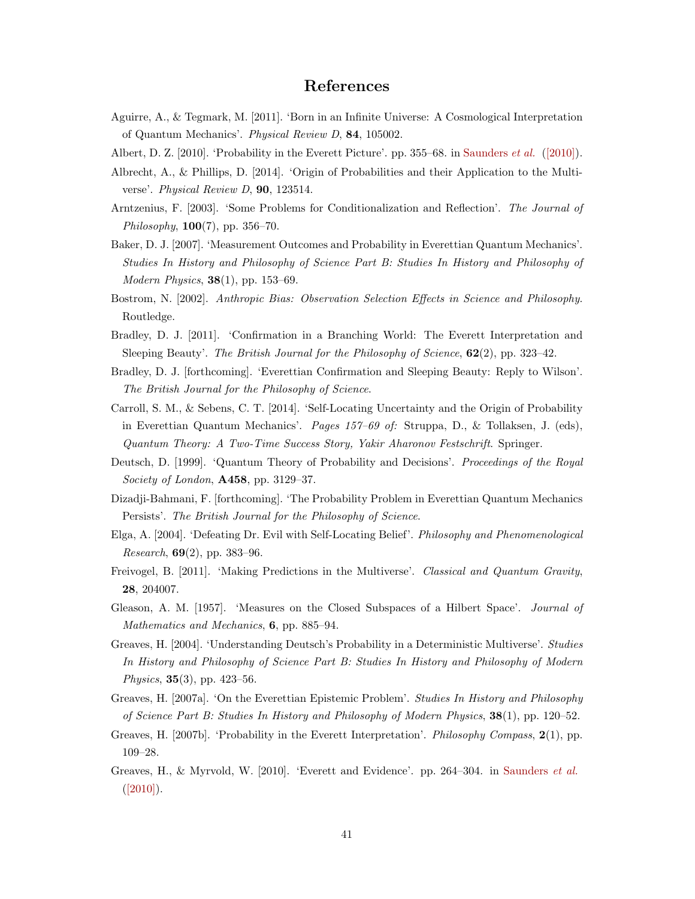## References

- <span id="page-40-5"></span>Aguirre, A., & Tegmark, M. [2011]. 'Born in an Infinite Universe: A Cosmological Interpretation of Quantum Mechanics'. Physical Review D, 84, 105002.
- <span id="page-40-14"></span><span id="page-40-6"></span>Albert, D. Z. [2010]. 'Probability in the Everett Picture'. pp. 355–68. in [Saunders](#page-42-17) et al. [\(\[2010\]\)](#page-42-17).
- Albrecht, A., & Phillips, D. [2014]. 'Origin of Probabilities and their Application to the Multiverse'. Physical Review D, 90, 123514.
- <span id="page-40-10"></span>Arntzenius, F. [2003]. 'Some Problems for Conditionalization and Reflection'. The Journal of Philosophy,  $100(7)$ , pp. 356–70.
- <span id="page-40-13"></span>Baker, D. J. [2007]. 'Measurement Outcomes and Probability in Everettian Quantum Mechanics'. Studies In History and Philosophy of Science Part B: Studies In History and Philosophy of Modern Physics, 38(1), pp. 153–69.
- <span id="page-40-2"></span>Bostrom, N. [2002]. Anthropic Bias: Observation Selection Effects in Science and Philosophy. Routledge.
- <span id="page-40-3"></span>Bradley, D. J. [2011]. 'Confirmation in a Branching World: The Everett Interpretation and Sleeping Beauty'. The British Journal for the Philosophy of Science,  $62(2)$ , pp. 323–42.
- <span id="page-40-4"></span>Bradley, D. J. [forthcoming]. 'Everettian Confirmation and Sleeping Beauty: Reply to Wilson'. The British Journal for the Philosophy of Science.
- <span id="page-40-17"></span>Carroll, S. M., & Sebens, C. T. [2014]. 'Self-Locating Uncertainty and the Origin of Probability in Everettian Quantum Mechanics'. Pages 157–69 of: Struppa, D., & Tollaksen, J. (eds), Quantum Theory: A Two-Time Success Story, Yakir Aharonov Festschrift. Springer.
- <span id="page-40-0"></span>Deutsch, D. [1999]. 'Quantum Theory of Probability and Decisions'. Proceedings of the Royal Society of London, A458, pp. 3129–37.
- <span id="page-40-15"></span>Dizadji-Bahmani, F. [forthcoming]. 'The Probability Problem in Everettian Quantum Mechanics Persists'. The British Journal for the Philosophy of Science.
- <span id="page-40-1"></span>Elga, A. [2004]. 'Defeating Dr. Evil with Self-Locating Belief'. Philosophy and Phenomenological *Research*,  $69(2)$ , pp. 383–96.
- <span id="page-40-7"></span>Freivogel, B. [2011]. 'Making Predictions in the Multiverse'. Classical and Quantum Gravity, 28, 204007.
- <span id="page-40-12"></span>Gleason, A. M. [1957]. 'Measures on the Closed Subspaces of a Hilbert Space'. Journal of Mathematics and Mechanics, **6**, pp. 885–94.
- <span id="page-40-9"></span>Greaves, H. [2004]. 'Understanding Deutsch's Probability in a Deterministic Multiverse'. Studies In History and Philosophy of Science Part B: Studies In History and Philosophy of Modern *Physics*, **35**(3), pp. 423–56.
- <span id="page-40-8"></span>Greaves, H. [2007a]. 'On the Everettian Epistemic Problem'. Studies In History and Philosophy of Science Part B: Studies In History and Philosophy of Modern Physics, 38(1), pp. 120–52.
- <span id="page-40-16"></span>Greaves, H. [2007b]. 'Probability in the Everett Interpretation'. Philosophy Compass, 2(1), pp. 109–28.
- <span id="page-40-11"></span>Greaves, H., & Myrvold, W. [2010]. 'Everett and Evidence'. pp. 264–304. in [Saunders](#page-42-17) et al.  $([2010]).$  $([2010]).$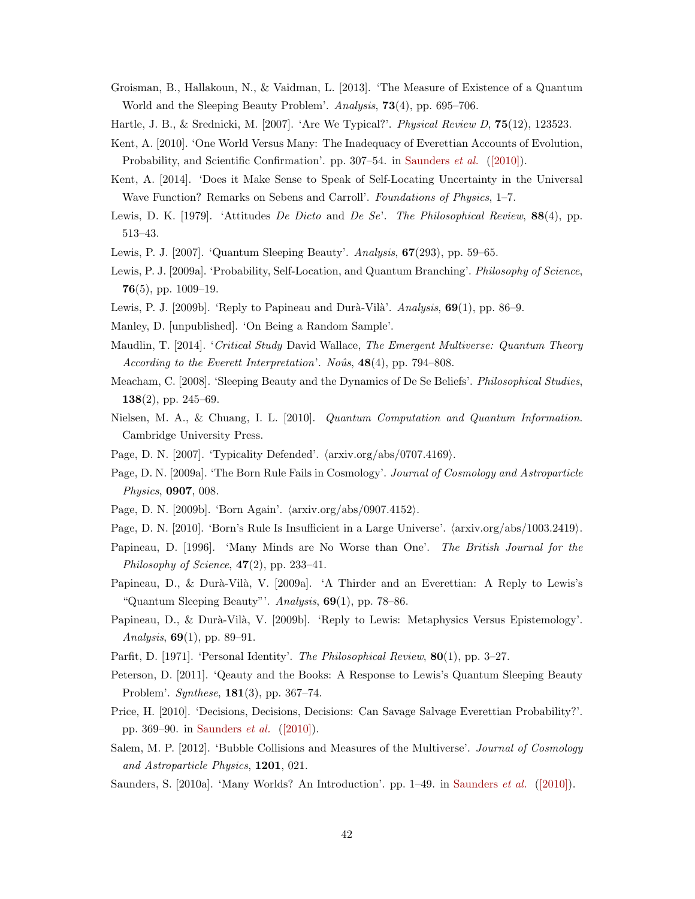- <span id="page-41-13"></span>Groisman, B., Hallakoun, N., & Vaidman, L. [2013]. 'The Measure of Existence of a Quantum World and the Sleeping Beauty Problem'. Analysis, 73(4), pp. 695–706.
- <span id="page-41-23"></span><span id="page-41-0"></span>Hartle, J. B., & Srednicki, M. [2007]. 'Are We Typical?'. Physical Review D, 75(12), 123523.
- Kent, A. [2010]. 'One World Versus Many: The Inadequacy of Everettian Accounts of Evolution, Probability, and Scientific Confirmation'. pp. 307–54. in [Saunders](#page-42-17) *et al.* [\(\[2010\]\)](#page-42-17).
- <span id="page-41-21"></span>Kent, A. [2014]. 'Does it Make Sense to Speak of Self-Locating Uncertainty in the Universal Wave Function? Remarks on Sebens and Carroll'. Foundations of Physics, 1–7.
- <span id="page-41-4"></span>Lewis, D. K. [1979]. 'Attitudes *De Dicto* and *De Se'. The Philosophical Review*, **88**(4), pp. 513–43.
- <span id="page-41-8"></span><span id="page-41-7"></span>Lewis, P. J. [2007]. 'Quantum Sleeping Beauty'. Analysis, 67(293), pp. 59–65.
- Lewis, P. J. [2009a]. 'Probability, Self-Location, and Quantum Branching'. Philosophy of Science, 76(5), pp. 1009–19.
- <span id="page-41-9"></span><span id="page-41-5"></span>Lewis, P. J.  $[2009b]$ . 'Reply to Papineau and Durà-Vilà'. Analysis,  $69(1)$ , pp. 86–9.
- <span id="page-41-20"></span>Manley, D. [unpublished]. 'On Being a Random Sample'.
- Maudlin, T. [2014]. 'Critical Study David Wallace, The Emergent Multiverse: Quantum Theory According to the Everett Interpretation'. Noûs,  $48(4)$ , pp. 794–808.
- <span id="page-41-6"></span>Meacham, C. [2008]. 'Sleeping Beauty and the Dynamics of De Se Beliefs'. Philosophical Studies, 138(2), pp. 245–69.
- <span id="page-41-2"></span>Nielsen, M. A., & Chuang, I. L. [2010]. Quantum Computation and Quantum Information. Cambridge University Press.
- <span id="page-41-1"></span>Page, D. N. [2007]. 'Typicality Defended'.  $\langle \arxiv.org/abs/0707.4169 \rangle$ .
- <span id="page-41-14"></span>Page, D. N. [2009a]. 'The Born Rule Fails in Cosmology'. Journal of Cosmology and Astroparticle Physics, 0907, 008.
- <span id="page-41-16"></span><span id="page-41-15"></span>Page, D. N. [2009b]. 'Born Again'.  $\langle \arxiv.org/abs/0907.4152 \rangle$ .
- <span id="page-41-18"></span>Page, D. N. [2010]. 'Born's Rule Is Insufficient in a Large Universe'. harxiv.org/abs/1003.2419i.
- Papineau, D. [1996]. 'Many Minds are No Worse than One'. The British Journal for the Philosophy of Science,  $47(2)$ , pp. 233–41.
- <span id="page-41-10"></span>Papineau, D., & Durà-Vilà, V. [2009a]. 'A Thirder and an Everettian: A Reply to Lewis's "Quantum Sleeping Beauty"'. Analysis,  $69(1)$ , pp. 78–86.
- <span id="page-41-11"></span>Papineau, D., & Durà-Vilà, V. [2009b]. 'Reply to Lewis: Metaphysics Versus Epistemology'. *Analysis*,  $69(1)$ , pp. 89–91.
- <span id="page-41-22"></span><span id="page-41-12"></span>Parfit, D. [1971]. 'Personal Identity'. The Philosophical Review, 80(1), pp. 3–27.
- Peterson, D. [2011]. 'Qeauty and the Books: A Response to Lewis's Quantum Sleeping Beauty Problem'. Synthese, 181(3), pp. 367–74.
- <span id="page-41-19"></span>Price, H. [2010]. 'Decisions, Decisions, Decisions: Can Savage Salvage Everettian Probability?'. pp. 369–90. in [Saunders](#page-42-17) et al. [\(\[2010\]\)](#page-42-17).
- <span id="page-41-17"></span>Salem, M. P. [2012]. 'Bubble Collisions and Measures of the Multiverse'. Journal of Cosmology and Astroparticle Physics, 1201, 021.
- <span id="page-41-3"></span>Saunders, S. [2010a]. 'Many Worlds? An Introduction'. pp. 1–49. in [Saunders](#page-42-17) et al. [\(\[2010\]\)](#page-42-17).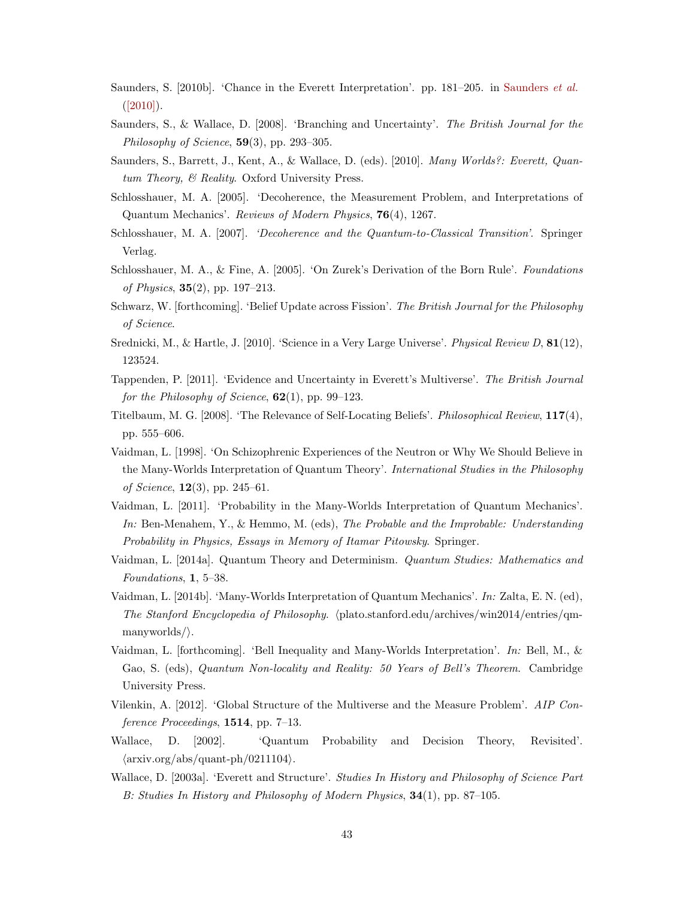- <span id="page-42-4"></span>Saunders, S. [2010b]. 'Chance in the Everett Interpretation'. pp. 181–205. in [Saunders](#page-42-17) et al.  $([2010]).$  $([2010]).$
- <span id="page-42-12"></span>Saunders, S., & Wallace, D. [2008]. 'Branching and Uncertainty'. The British Journal for the Philosophy of Science,  $59(3)$ , pp. 293-305.
- <span id="page-42-17"></span>Saunders, S., Barrett, J., Kent, A., & Wallace, D. (eds). [2010]. Many Worlds?: Everett, Quantum Theory, & Reality. Oxford University Press.
- <span id="page-42-3"></span>Schlosshauer, M. A. [2005]. 'Decoherence, the Measurement Problem, and Interpretations of Quantum Mechanics'. Reviews of Modern Physics, 76(4), 1267.
- <span id="page-42-2"></span>Schlosshauer, M. A. [2007]. 'Decoherence and the Quantum-to-Classical Transition'. Springer Verlag.
- <span id="page-42-16"></span>Schlosshauer, M. A., & Fine, A. [2005]. 'On Zurek's Derivation of the Born Rule'. Foundations of Physics,  $35(2)$ , pp. 197–213.
- <span id="page-42-15"></span>Schwarz, W. [forthcoming]. 'Belief Update across Fission'. The British Journal for the Philosophy of Science.
- <span id="page-42-0"></span>Srednicki, M., & Hartle, J. [2010]. 'Science in a Very Large Universe'. *Physical Review D*, **81**(12), 123524.
- <span id="page-42-11"></span>Tappenden, P. [2011]. 'Evidence and Uncertainty in Everett's Multiverse'. The British Journal for the Philosophy of Science,  $62(1)$ , pp. 99–123.
- <span id="page-42-14"></span>Titelbaum, M. G. [2008]. 'The Relevance of Self-Locating Beliefs'. Philosophical Review, 117(4), pp. 555–606.
- <span id="page-42-8"></span>Vaidman, L. [1998]. 'On Schizophrenic Experiences of the Neutron or Why We Should Believe in the Many-Worlds Interpretation of Quantum Theory'. International Studies in the Philosophy of Science,  $12(3)$ , pp. 245–61.
- <span id="page-42-9"></span>Vaidman, L. [2011]. 'Probability in the Many-Worlds Interpretation of Quantum Mechanics'. In: Ben-Menahem, Y., & Hemmo, M. (eds), The Probable and the Improbable: Understanding Probability in Physics, Essays in Memory of Itamar Pitowsky. Springer.
- <span id="page-42-5"></span>Vaidman, L. [2014a]. Quantum Theory and Determinism. Quantum Studies: Mathematics and Foundations, 1, 5–38.
- <span id="page-42-6"></span>Vaidman, L. [2014b]. 'Many-Worlds Interpretation of Quantum Mechanics'. In: Zalta, E. N. (ed), The Stanford Encyclopedia of Philosophy. (plato.stanford.edu/archives/win2014/entries/qmmanyworlds/ $\rangle$ .
- <span id="page-42-7"></span>Vaidman, L. [forthcoming]. 'Bell Inequality and Many-Worlds Interpretation'. In: Bell, M., & Gao, S. (eds), Quantum Non-locality and Reality: 50 Years of Bell's Theorem. Cambridge University Press.
- <span id="page-42-10"></span>Vilenkin, A. [2012]. 'Global Structure of the Multiverse and the Measure Problem'. AIP Conference Proceedings,  $1514$ , pp.  $7-13$ .
- <span id="page-42-13"></span>Wallace, D. [2002]. 'Quantum Probability and Decision Theory, Revisited'.  $\langle$ arxiv.org/abs/quant-ph/0211104 $\rangle$ .
- <span id="page-42-1"></span>Wallace, D. [2003a]. 'Everett and Structure'. Studies In History and Philosophy of Science Part B: Studies In History and Philosophy of Modern Physics, 34(1), pp. 87–105.